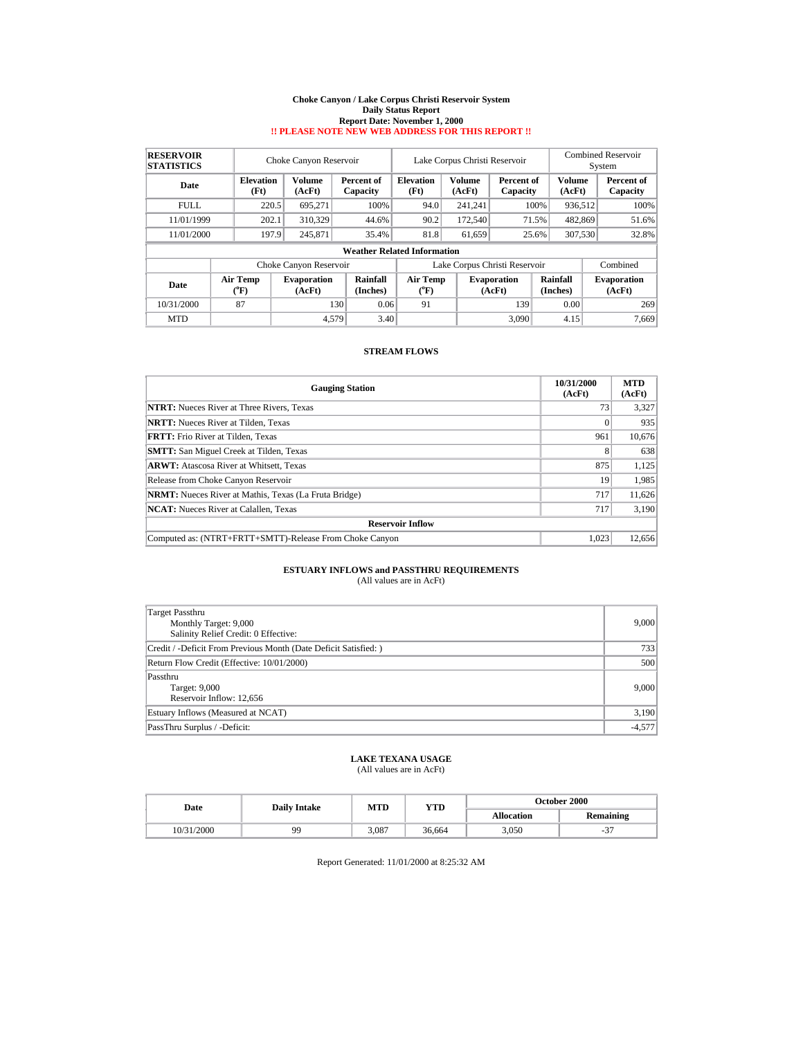#### **Choke Canyon / Lake Corpus Christi Reservoir System Daily Status Report Report Date: November 1, 2000 !! PLEASE NOTE NEW WEB ADDRESS FOR THIS REPORT !!**

| <b>RESERVOIR</b><br><b>STATISTICS</b> |                                       | Choke Canyon Reservoir       |                                    | Lake Corpus Christi Reservoir               |  |                         |                                                      |       | Combined Reservoir<br>System |                         |                              |  |       |
|---------------------------------------|---------------------------------------|------------------------------|------------------------------------|---------------------------------------------|--|-------------------------|------------------------------------------------------|-------|------------------------------|-------------------------|------------------------------|--|-------|
| Date                                  | <b>Elevation</b><br>(Ft)              | <b>Volume</b><br>(AcFt)      | Percent of<br>Capacity             | <b>Elevation</b><br>(Ft)                    |  | <b>Volume</b><br>(AcFt) | Percent of<br>Capacity                               |       |                              | <b>Volume</b><br>(AcFt) | Percent of<br>Capacity       |  |       |
| <b>FULL</b>                           | 220.5                                 | 695.271                      | 100%                               | 94.0                                        |  | 241.241                 |                                                      | 100%  | 936,512                      |                         | 100%                         |  |       |
| 11/01/1999                            | 202.1                                 | 310,329                      | 44.6%                              | 90.2                                        |  | 172,540                 |                                                      | 71.5% | 482,869                      |                         | 51.6%                        |  |       |
| 11/01/2000                            | 197.9                                 | 245,871                      | 35.4%                              | 81.8                                        |  | 61,659                  | 25.6%                                                |       |                              |                         | 307,530                      |  | 32.8% |
|                                       |                                       |                              | <b>Weather Related Information</b> |                                             |  |                         |                                                      |       |                              |                         |                              |  |       |
|                                       |                                       | Choke Canyon Reservoir       |                                    |                                             |  |                         | Lake Corpus Christi Reservoir                        |       |                              |                         | Combined                     |  |       |
| Date                                  | <b>Air Temp</b><br>$({}^o\mathrm{F})$ | <b>Evaporation</b><br>(AcFt) | Rainfall<br>(Inches)               | <b>Air Temp</b><br>$({}^{\circ}\mathrm{F})$ |  |                         | Rainfall<br><b>Evaporation</b><br>(AcFt)<br>(Inches) |       |                              |                         | <b>Evaporation</b><br>(AcFt) |  |       |
| 10/31/2000                            | 87                                    | 130                          | 0.06                               | 91                                          |  |                         | 139                                                  |       | 0.00                         |                         | 269                          |  |       |
| <b>MTD</b>                            |                                       | 4.579                        | 3.40                               |                                             |  |                         | 3.090                                                |       | 4.15                         |                         | 7,669                        |  |       |

### **STREAM FLOWS**

| <b>Gauging Station</b>                                       | 10/31/2000<br>(AcFt) | <b>MTD</b><br>(AcFt) |
|--------------------------------------------------------------|----------------------|----------------------|
| <b>NTRT:</b> Nueces River at Three Rivers, Texas             | 73                   | 3,327                |
| <b>NRTT:</b> Nueces River at Tilden, Texas                   |                      | 935                  |
| <b>FRTT:</b> Frio River at Tilden, Texas                     | 961                  | 10,676               |
| <b>SMTT:</b> San Miguel Creek at Tilden, Texas               | 8                    | 638                  |
| <b>ARWT:</b> Atascosa River at Whitsett, Texas               | 875                  | 1,125                |
| Release from Choke Canyon Reservoir                          | 19                   | 1,985                |
| <b>NRMT:</b> Nueces River at Mathis, Texas (La Fruta Bridge) | 717                  | 11,626               |
| <b>NCAT:</b> Nueces River at Calallen, Texas                 | 717                  | 3,190                |
| <b>Reservoir Inflow</b>                                      |                      |                      |
| Computed as: (NTRT+FRTT+SMTT)-Release From Choke Canyon      | 1.023                | 12,656               |

# **ESTUARY INFLOWS and PASSTHRU REQUIREMENTS**<br>(All values are in AcFt)

| Target Passthru<br>Monthly Target: 9,000<br>Salinity Relief Credit: 0 Effective: | 9.000    |
|----------------------------------------------------------------------------------|----------|
| Credit / -Deficit From Previous Month (Date Deficit Satisfied:)                  | 733      |
| Return Flow Credit (Effective: 10/01/2000)                                       | 500      |
| Passthru<br>Target: 9,000<br>Reservoir Inflow: 12,656                            | 9,000    |
| Estuary Inflows (Measured at NCAT)                                               | 3,190    |
| PassThru Surplus / -Deficit:                                                     | $-4,577$ |

## **LAKE TEXANA USAGE**

(All values are in AcFt)

| Date       | <b>Daily Intake</b> | MTD   | YTD    | October 2000      |                  |  |  |  |
|------------|---------------------|-------|--------|-------------------|------------------|--|--|--|
|            |                     |       |        | <b>Allocation</b> | <b>Remaining</b> |  |  |  |
| 10/31/2000 | 99                  | 3.087 | 36.664 | 3,050             | $\sim$<br>-5.    |  |  |  |

Report Generated: 11/01/2000 at 8:25:32 AM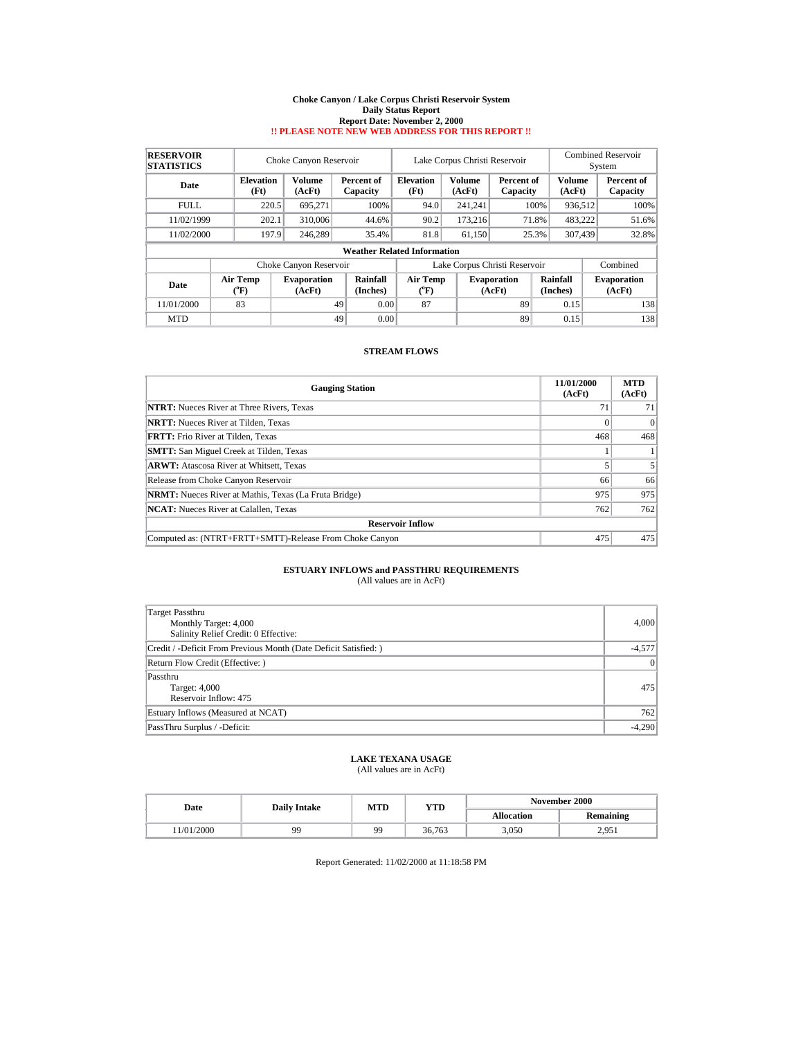#### **Choke Canyon / Lake Corpus Christi Reservoir System Daily Status Report Report Date: November 2, 2000 !! PLEASE NOTE NEW WEB ADDRESS FOR THIS REPORT !!**

| <b>RESERVOIR</b><br><b>STATISTICS</b> |                                       | Choke Canyon Reservoir<br>Lake Corpus Christi Reservoir |                        |                                       |                               |                  |                              |                      |                  | <b>Combined Reservoir</b><br>System |                              |  |       |
|---------------------------------------|---------------------------------------|---------------------------------------------------------|------------------------|---------------------------------------|-------------------------------|------------------|------------------------------|----------------------|------------------|-------------------------------------|------------------------------|--|-------|
| Date                                  | <b>Elevation</b><br>(Ft)              | Volume<br>(AcFt)                                        | Percent of<br>Capacity | <b>Elevation</b><br>(Ft)              |                               | Volume<br>(AcFt) | Percent of<br>Capacity       |                      | Volume<br>(AcFt) |                                     | Percent of<br>Capacity       |  |       |
| FULL.                                 | 220.5                                 | 695.271                                                 | 100%                   | 94.0                                  |                               | 241.241          |                              | 100%                 | 936.512          |                                     | 100%                         |  |       |
| 11/02/1999                            | 202.1                                 | 310,006                                                 | 44.6%                  | 90.2                                  |                               | 173.216          |                              | 71.8%                | 483.222          |                                     | 51.6%                        |  |       |
| 11/02/2000                            | 197.9                                 | 246.289                                                 | 35.4%                  | 81.8                                  |                               | 61.150           | 25.3%                        |                      |                  |                                     | 307.439                      |  | 32.8% |
|                                       |                                       |                                                         |                        | <b>Weather Related Information</b>    |                               |                  |                              |                      |                  |                                     |                              |  |       |
|                                       |                                       | Choke Canyon Reservoir                                  |                        |                                       | Lake Corpus Christi Reservoir |                  |                              |                      | Combined         |                                     |                              |  |       |
| Date                                  | <b>Air Temp</b><br>$({}^o\mathrm{F})$ | <b>Evaporation</b><br>(AcFt)                            | Rainfall<br>(Inches)   | <b>Air Temp</b><br>$({}^o\mathrm{F})$ |                               |                  | <b>Evaporation</b><br>(AcFt) | Rainfall<br>(Inches) |                  |                                     | <b>Evaporation</b><br>(AcFt) |  |       |
| 11/01/2000                            | 83                                    |                                                         | 49<br>0.00             | 87                                    |                               |                  | 89                           |                      | 0.15             |                                     | 138                          |  |       |
| <b>MTD</b>                            |                                       |                                                         | 49<br>0.00             |                                       |                               |                  | 89                           |                      | 0.15             |                                     | 138                          |  |       |

### **STREAM FLOWS**

| <b>Gauging Station</b>                                       | 11/01/2000<br>(AcFt) | <b>MTD</b><br>(AcFt) |
|--------------------------------------------------------------|----------------------|----------------------|
| <b>NTRT:</b> Nueces River at Three Rivers, Texas             | 71                   |                      |
| <b>NRTT:</b> Nueces River at Tilden, Texas                   |                      | 0                    |
| <b>FRTT:</b> Frio River at Tilden, Texas                     | 468                  | 468                  |
| <b>SMTT:</b> San Miguel Creek at Tilden, Texas               |                      |                      |
| <b>ARWT:</b> Atascosa River at Whitsett, Texas               |                      |                      |
| Release from Choke Canyon Reservoir                          | 66                   | 66                   |
| <b>NRMT:</b> Nueces River at Mathis, Texas (La Fruta Bridge) | 975                  | 975                  |
| <b>NCAT:</b> Nueces River at Calallen, Texas                 | 762                  | 762                  |
| <b>Reservoir Inflow</b>                                      |                      |                      |
| Computed as: (NTRT+FRTT+SMTT)-Release From Choke Canyon      | 475                  | 475                  |

# **ESTUARY INFLOWS and PASSTHRU REQUIREMENTS**<br>(All values are in AcFt)

| Target Passthru<br>Monthly Target: 4,000<br>Salinity Relief Credit: 0 Effective: | 4.000    |
|----------------------------------------------------------------------------------|----------|
| Credit / -Deficit From Previous Month (Date Deficit Satisfied:)                  | $-4,577$ |
| Return Flow Credit (Effective: )                                                 | 0        |
| Passthru<br>Target: 4,000<br>Reservoir Inflow: 475                               | 475      |
| Estuary Inflows (Measured at NCAT)                                               | 762      |
| PassThru Surplus / -Deficit:                                                     | $-4.290$ |

## **LAKE TEXANA USAGE**

(All values are in AcFt)

| Date      | <b>Daily Intake</b> | <b>MTD</b> | YTD    | <b>November 2000</b> |                  |  |  |  |
|-----------|---------------------|------------|--------|----------------------|------------------|--|--|--|
|           |                     |            |        | <b>Allocation</b>    | <b>Remaining</b> |  |  |  |
| 1/01/2000 | 99                  | 99         | 36.763 | 3,050                | 2.051<br>2.731   |  |  |  |

Report Generated: 11/02/2000 at 11:18:58 PM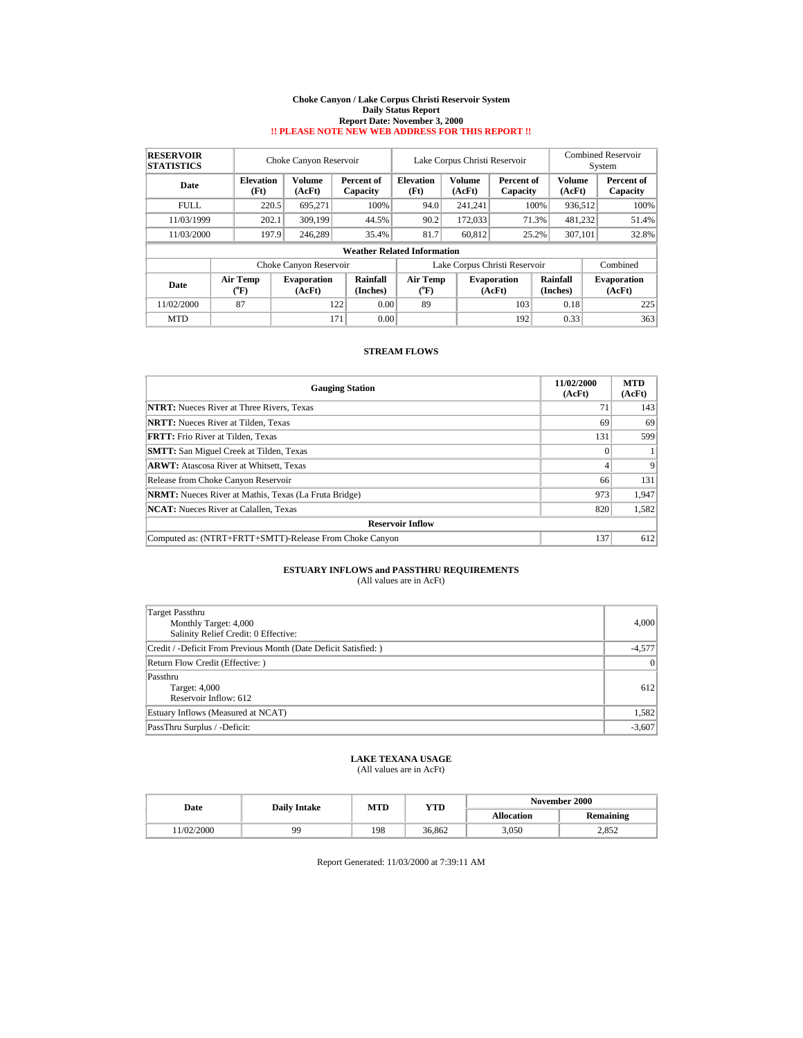#### **Choke Canyon / Lake Corpus Christi Reservoir System Daily Status Report Report Date: November 3, 2000 !! PLEASE NOTE NEW WEB ADDRESS FOR THIS REPORT !!**

| <b>RESERVOIR</b><br><b>STATISTICS</b> | Choke Canyon Reservoir<br>Lake Corpus Christi Reservoir |                          |                              |                                    |                          |                  |                               |                      | Combined Reservoir<br>System |                         |                              |
|---------------------------------------|---------------------------------------------------------|--------------------------|------------------------------|------------------------------------|--------------------------|------------------|-------------------------------|----------------------|------------------------------|-------------------------|------------------------------|
| Date                                  |                                                         | <b>Elevation</b><br>(Ft) | <b>Volume</b><br>(AcFt)      | Percent of<br>Capacity             | <b>Elevation</b><br>(Ft) | Volume<br>(AcFt) | Percent of<br>Capacity        |                      |                              | <b>Volume</b><br>(AcFt) | Percent of<br>Capacity       |
| FULL.                                 |                                                         | 220.5                    | 695.271                      | 100%                               | 94.0                     | 241.241          |                               | 100%                 | 936.512                      |                         | 100%                         |
| 11/03/1999                            |                                                         | 202.1                    | 309,199                      | 44.5%                              | 90.2                     | 172,033          |                               | 71.3%                | 481,232                      |                         | 51.4%                        |
| 11/03/2000                            |                                                         | 197.9                    | 246.289                      | 35.4%                              | 81.7                     | 60.812           | 25.2%                         |                      | 307,101                      |                         | 32.8%                        |
|                                       |                                                         |                          |                              | <b>Weather Related Information</b> |                          |                  |                               |                      |                              |                         |                              |
|                                       |                                                         |                          | Choke Canyon Reservoir       |                                    |                          |                  | Lake Corpus Christi Reservoir |                      |                              |                         | Combined                     |
| Date                                  |                                                         | <b>Air Temp</b><br>(°F)  | <b>Evaporation</b><br>(AcFt) | Rainfall<br>(Inches)               | <b>Air Temp</b><br>("F)  |                  | <b>Evaporation</b><br>(AcFt)  | Rainfall<br>(Inches) |                              |                         | <b>Evaporation</b><br>(AcFt) |
| 11/02/2000                            |                                                         | 87                       |                              | 0.00<br>122                        | 89                       |                  | 103                           |                      | 0.18                         |                         | 225                          |
| <b>MTD</b>                            |                                                         |                          | 171                          | 0.00                               |                          |                  | 192                           |                      | 0.33                         |                         | 363                          |

### **STREAM FLOWS**

| <b>Gauging Station</b>                                       | 11/02/2000<br>(AcFt) | <b>MTD</b><br>(AcFt) |
|--------------------------------------------------------------|----------------------|----------------------|
| <b>NTRT:</b> Nueces River at Three Rivers, Texas             | 7 <sup>1</sup>       | 143                  |
| <b>NRTT:</b> Nueces River at Tilden, Texas                   | 69                   | 69                   |
| <b>FRTT:</b> Frio River at Tilden. Texas                     | 131                  | 599                  |
| <b>SMTT:</b> San Miguel Creek at Tilden, Texas               |                      |                      |
| <b>ARWT:</b> Atascosa River at Whitsett, Texas               |                      | 9                    |
| Release from Choke Canyon Reservoir                          | 66                   | 131                  |
| <b>NRMT:</b> Nueces River at Mathis, Texas (La Fruta Bridge) | 973                  | 1.947                |
| <b>NCAT:</b> Nueces River at Calallen, Texas                 | 820                  | 1,582                |
| <b>Reservoir Inflow</b>                                      |                      |                      |
| Computed as: (NTRT+FRTT+SMTT)-Release From Choke Canyon      | 137                  | 612                  |

# **ESTUARY INFLOWS and PASSTHRU REQUIREMENTS**<br>(All values are in AcFt)

| Target Passthru<br>Monthly Target: 4,000<br>Salinity Relief Credit: 0 Effective: | 4.000    |
|----------------------------------------------------------------------------------|----------|
| Credit / -Deficit From Previous Month (Date Deficit Satisfied:)                  | $-4,577$ |
| Return Flow Credit (Effective: )                                                 | 0        |
| Passthru<br>Target: 4,000<br>Reservoir Inflow: 612                               | 612      |
| Estuary Inflows (Measured at NCAT)                                               | 1,582    |
| PassThru Surplus / -Deficit:                                                     | $-3,607$ |

## **LAKE TEXANA USAGE**

(All values are in AcFt)

| Date      | <b>Daily Intake</b> | <b>MTD</b> | YTD    | <b>November 2000</b> |                  |  |  |
|-----------|---------------------|------------|--------|----------------------|------------------|--|--|
|           |                     |            |        | <b>Allocation</b>    | <b>Remaining</b> |  |  |
| 1/02/2000 | 99                  | 198        | 36.862 | 3,050                | າວເາ<br>2.OJZ    |  |  |

Report Generated: 11/03/2000 at 7:39:11 AM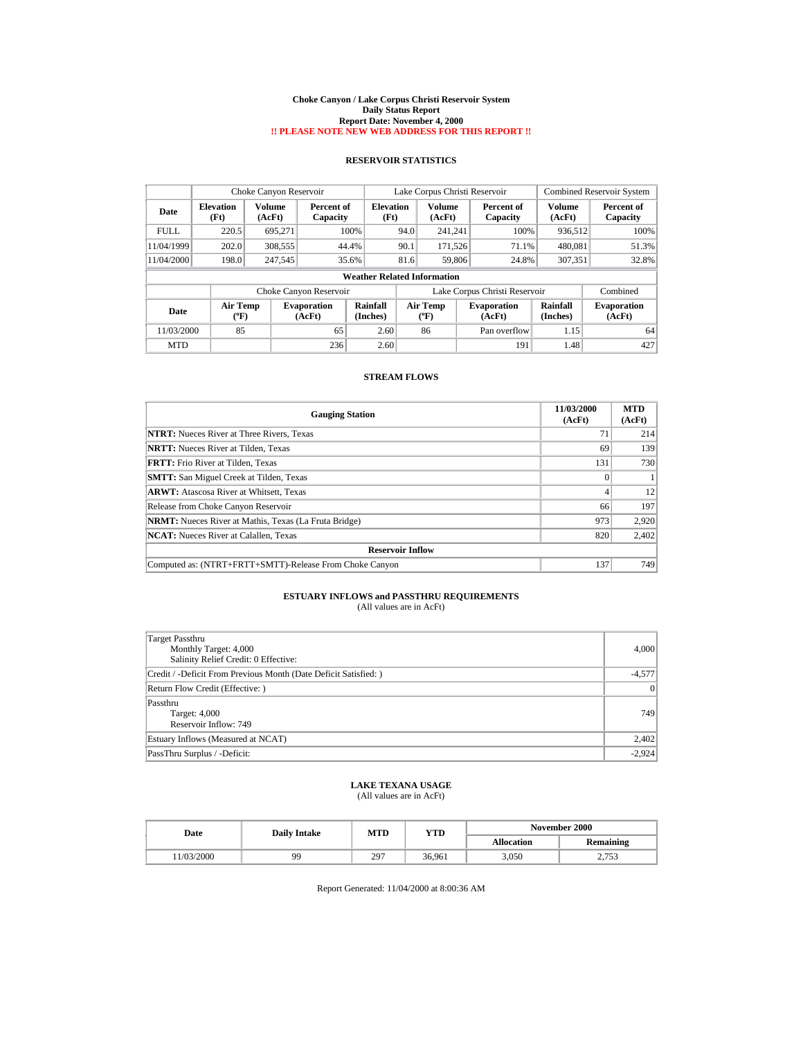#### **Choke Canyon / Lake Corpus Christi Reservoir System Daily Status Report Report Date: November 4, 2000 !! PLEASE NOTE NEW WEB ADDRESS FOR THIS REPORT !!**

## **RESERVOIR STATISTICS**

|             | Choke Canyon Reservoir             |                  |                              |                      | Lake Corpus Christi Reservoir |                         |  |                               | <b>Combined Reservoir System</b> |                              |
|-------------|------------------------------------|------------------|------------------------------|----------------------|-------------------------------|-------------------------|--|-------------------------------|----------------------------------|------------------------------|
| Date        | <b>Elevation</b><br>(Ft)           | Volume<br>(AcFt) | Percent of<br>Capacity       | Elevation<br>(Ft)    |                               | <b>Volume</b><br>(AcFt) |  | Percent of<br>Capacity        | Volume<br>(AcFt)                 | Percent of<br>Capacity       |
| <b>FULL</b> | 220.5                              | 695.271          |                              | 100%                 | 94.0                          | 241.241                 |  | 100%                          | 936,512                          | 100%                         |
| 11/04/1999  | 202.0                              | 308,555          |                              | 44.4%                | 90.1                          | 171.526                 |  | 71.1%                         | 480,081                          | 51.3%                        |
| 11/04/2000  | 198.0                              | 247.545          |                              | 35.6%                | 81.6                          | 59,806                  |  | 24.8%                         | 307.351                          | 32.8%                        |
|             | <b>Weather Related Information</b> |                  |                              |                      |                               |                         |  |                               |                                  |                              |
|             |                                    |                  | Choke Canyon Reservoir       |                      |                               |                         |  | Lake Corpus Christi Reservoir |                                  | Combined                     |
| Date        | <b>Air Temp</b><br>(°F)            |                  | <b>Evaporation</b><br>(AcFt) | Rainfall<br>(Inches) |                               | Air Temp<br>(°F)        |  | <b>Evaporation</b><br>(AcFt)  | Rainfall<br>(Inches)             | <b>Evaporation</b><br>(AcFt) |
| 11/03/2000  | 85                                 |                  | 65                           | 2.60                 |                               | 86                      |  | Pan overflow                  | 1.15                             | 64                           |
| <b>MTD</b>  |                                    |                  | 236                          | 2.60                 |                               |                         |  | 191                           | 1.48                             | 427                          |

### **STREAM FLOWS**

| <b>Gauging Station</b>                                       | 11/03/2000<br>(AcFt) | <b>MTD</b><br>(AcFt) |  |  |  |
|--------------------------------------------------------------|----------------------|----------------------|--|--|--|
| <b>NTRT:</b> Nueces River at Three Rivers, Texas             | 71                   | 214                  |  |  |  |
| <b>NRTT:</b> Nueces River at Tilden, Texas                   | 69                   | 139                  |  |  |  |
| <b>FRTT:</b> Frio River at Tilden, Texas                     | 131                  | 730                  |  |  |  |
| <b>SMTT:</b> San Miguel Creek at Tilden, Texas               |                      |                      |  |  |  |
| <b>ARWT:</b> Atascosa River at Whitsett, Texas               | 4                    | 12                   |  |  |  |
| Release from Choke Canyon Reservoir                          | 66                   | 197                  |  |  |  |
| <b>NRMT:</b> Nueces River at Mathis, Texas (La Fruta Bridge) | 973                  | 2.920                |  |  |  |
| <b>NCAT:</b> Nueces River at Calallen, Texas                 | 820                  | 2,402                |  |  |  |
| <b>Reservoir Inflow</b>                                      |                      |                      |  |  |  |
| Computed as: (NTRT+FRTT+SMTT)-Release From Choke Canyon      | 137                  | 749                  |  |  |  |

# **ESTUARY INFLOWS and PASSTHRU REQUIREMENTS**<br>(All values are in AcFt)

| Target Passthru<br>Monthly Target: 4,000<br>Salinity Relief Credit: 0 Effective: | 4,000    |
|----------------------------------------------------------------------------------|----------|
| Credit / -Deficit From Previous Month (Date Deficit Satisfied:)                  | $-4,577$ |
| Return Flow Credit (Effective: )                                                 | 0        |
| Passthru<br>Target: 4,000<br>Reservoir Inflow: 749                               | 749      |
| Estuary Inflows (Measured at NCAT)                                               | 2,402    |
| PassThru Surplus / -Deficit:                                                     | $-2,924$ |

### **LAKE TEXANA USAGE** (All values are in AcFt)

| Date       | <b>Daily Intake</b> | MTD | YTD    | November 2000     |                  |  |
|------------|---------------------|-----|--------|-------------------|------------------|--|
|            |                     |     |        | <b>Allocation</b> | <b>Remaining</b> |  |
| 11/03/2000 | 99                  | 297 | 36.961 | 3,050             | 2.753            |  |

Report Generated: 11/04/2000 at 8:00:36 AM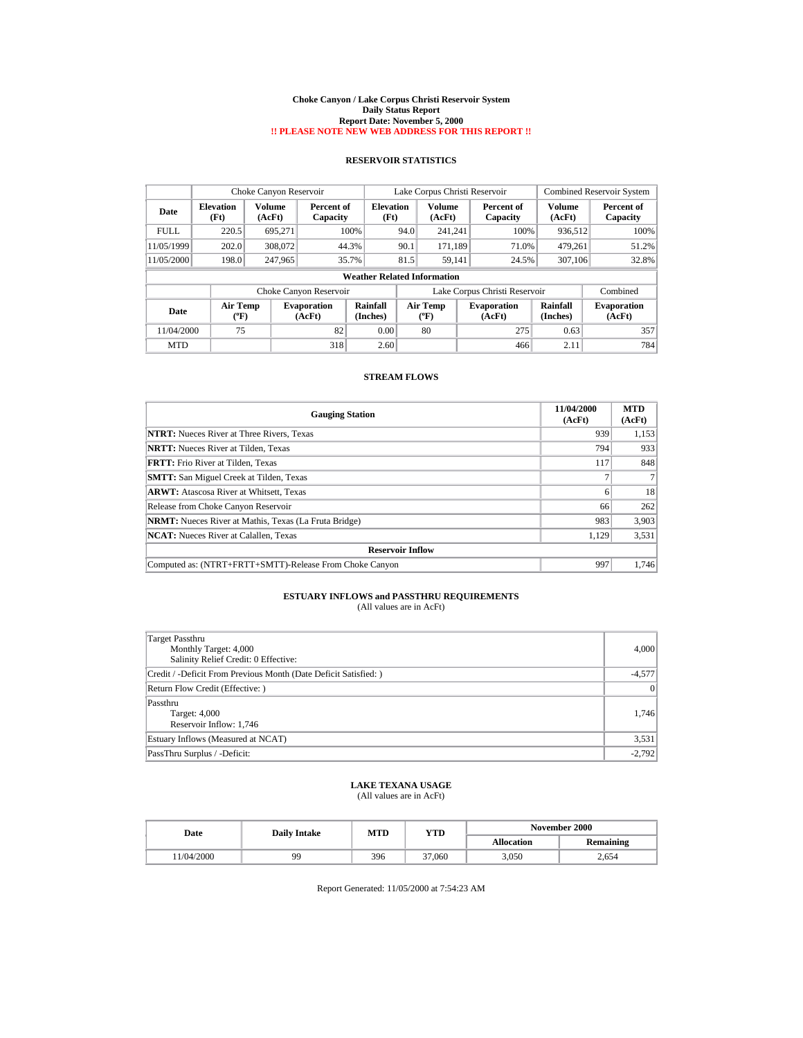#### **Choke Canyon / Lake Corpus Christi Reservoir System Daily Status Report Report Date: November 5, 2000 !! PLEASE NOTE NEW WEB ADDRESS FOR THIS REPORT !!**

## **RESERVOIR STATISTICS**

|             | Choke Canyon Reservoir             |                  |                              |                      | Lake Corpus Christi Reservoir |                                |  |                               |                      | <b>Combined Reservoir System</b> |
|-------------|------------------------------------|------------------|------------------------------|----------------------|-------------------------------|--------------------------------|--|-------------------------------|----------------------|----------------------------------|
| Date        | <b>Elevation</b><br>(Ft)           | Volume<br>(AcFt) | Percent of<br>Capacity       | Elevation<br>(Ft)    |                               | Volume<br>(AcFt)               |  | Percent of<br>Capacity        | Volume<br>(AcFt)     | Percent of<br>Capacity           |
| <b>FULL</b> | 220.5                              | 695.271          |                              | 100%                 | 94.0                          | 241.241                        |  | 100%                          | 936,512              | 100%                             |
| 11/05/1999  | 202.0                              | 308,072          |                              | 44.3%                | 90.1                          | 171.189                        |  | 71.0%                         | 479.261              | 51.2%                            |
| 11/05/2000  | 198.0                              | 247.965          |                              | 35.7%                | 81.5                          | 59.141                         |  | 24.5%                         | 307,106              | 32.8%                            |
|             | <b>Weather Related Information</b> |                  |                              |                      |                               |                                |  |                               |                      |                                  |
|             |                                    |                  | Choke Canyon Reservoir       |                      |                               |                                |  | Lake Corpus Christi Reservoir |                      | Combined                         |
| Date        | <b>Air Temp</b><br>(°F)            |                  | <b>Evaporation</b><br>(AcFt) | Rainfall<br>(Inches) |                               | Air Temp<br>$({}^o\mathrm{F})$ |  | <b>Evaporation</b><br>(AcFt)  | Rainfall<br>(Inches) | <b>Evaporation</b><br>(AcFt)     |
| 11/04/2000  | 75                                 |                  | 82                           | 0.00                 |                               | 80                             |  | 275                           | 0.63                 | 357                              |
| <b>MTD</b>  |                                    |                  | 318                          | 2.60                 |                               |                                |  | 466                           | 2.11                 | 784                              |

### **STREAM FLOWS**

| <b>Gauging Station</b>                                       | 11/04/2000<br>(AcFt) | <b>MTD</b><br>(AcFt) |  |  |  |
|--------------------------------------------------------------|----------------------|----------------------|--|--|--|
| <b>NTRT:</b> Nueces River at Three Rivers, Texas             | 939                  | 1,153                |  |  |  |
| <b>NRTT:</b> Nueces River at Tilden, Texas                   | 794                  | 933                  |  |  |  |
| <b>FRTT:</b> Frio River at Tilden, Texas                     | 117                  | 848                  |  |  |  |
| <b>SMTT:</b> San Miguel Creek at Tilden, Texas               |                      |                      |  |  |  |
| <b>ARWT:</b> Atascosa River at Whitsett, Texas               | 6                    | 18                   |  |  |  |
| Release from Choke Canyon Reservoir                          | 66                   | 262                  |  |  |  |
| <b>NRMT:</b> Nueces River at Mathis, Texas (La Fruta Bridge) | 983                  | 3,903                |  |  |  |
| <b>NCAT:</b> Nueces River at Calallen, Texas                 | 1,129                | 3,531                |  |  |  |
| <b>Reservoir Inflow</b>                                      |                      |                      |  |  |  |
| Computed as: (NTRT+FRTT+SMTT)-Release From Choke Canyon      | 997                  | 1,746                |  |  |  |

# **ESTUARY INFLOWS and PASSTHRU REQUIREMENTS**<br>(All values are in AcFt)

| Target Passthru<br>Monthly Target: 4,000<br>Salinity Relief Credit: 0 Effective: | 4,000    |
|----------------------------------------------------------------------------------|----------|
| Credit / -Deficit From Previous Month (Date Deficit Satisfied:)                  | $-4,577$ |
| Return Flow Credit (Effective: )                                                 | 0        |
| Passthru<br>Target: 4,000<br>Reservoir Inflow: 1,746                             | 1,746    |
| Estuary Inflows (Measured at NCAT)                                               | 3,531    |
| PassThru Surplus / -Deficit:                                                     | $-2,792$ |

### **LAKE TEXANA USAGE** (All values are in AcFt)

| Date       | <b>Daily Intake</b> | MTD | YTD    | November 2000     |                  |  |
|------------|---------------------|-----|--------|-------------------|------------------|--|
|            |                     |     |        | <b>Allocation</b> | <b>Remaining</b> |  |
| 11/04/2000 | 99                  | 396 | 37,060 | 3,050             | 2.654            |  |

Report Generated: 11/05/2000 at 7:54:23 AM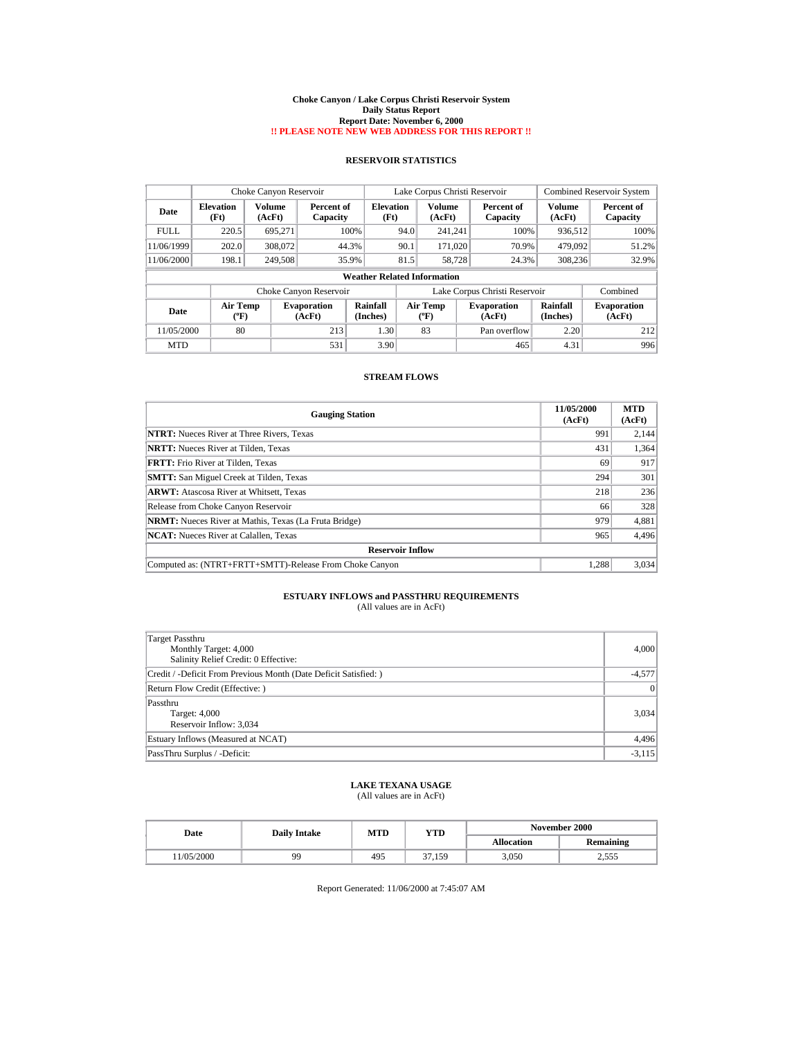#### **Choke Canyon / Lake Corpus Christi Reservoir System Daily Status Report Report Date: November 6, 2000 !! PLEASE NOTE NEW WEB ADDRESS FOR THIS REPORT !!**

## **RESERVOIR STATISTICS**

|             | Choke Canyon Reservoir   |                  |                              |                                    | Lake Corpus Christi Reservoir |                         |  |                               | <b>Combined Reservoir System</b> |                              |
|-------------|--------------------------|------------------|------------------------------|------------------------------------|-------------------------------|-------------------------|--|-------------------------------|----------------------------------|------------------------------|
| Date        | <b>Elevation</b><br>(Ft) | Volume<br>(AcFt) | Percent of<br>Capacity       | <b>Elevation</b><br>(Ft)           |                               | Volume<br>(AcFt)        |  | Percent of<br>Capacity        | Volume<br>(AcFt)                 | Percent of<br>Capacity       |
| <b>FULL</b> | 220.5                    | 695.271          | 100%                         |                                    | 94.0                          | 241.241                 |  | 100%                          | 936,512                          | 100%                         |
| 11/06/1999  | 202.0                    | 308,072          | 44.3%                        |                                    | 90.1                          | 171,020                 |  | 70.9%                         | 479.092                          | 51.2%                        |
| 11/06/2000  | 198.1                    | 249,508          | 35.9%                        |                                    | 81.5                          | 58.728                  |  | 24.3%                         | 308.236                          | 32.9%                        |
|             |                          |                  |                              | <b>Weather Related Information</b> |                               |                         |  |                               |                                  |                              |
|             |                          |                  | Choke Canyon Reservoir       |                                    |                               |                         |  | Lake Corpus Christi Reservoir |                                  | Combined                     |
| Date        | <b>Air Temp</b><br>(°F)  |                  | <b>Evaporation</b><br>(AcFt) | Rainfall<br>(Inches)               |                               | <b>Air Temp</b><br>(°F) |  | <b>Evaporation</b><br>(AcFt)  | Rainfall<br>(Inches)             | <b>Evaporation</b><br>(AcFt) |
| 11/05/2000  | 80                       |                  | 213                          | 1.30                               |                               | 83                      |  | Pan overflow                  | 2.20                             | 212                          |
| <b>MTD</b>  |                          |                  | 531                          | 3.90                               |                               |                         |  | 465                           | 4.31                             | 996                          |

### **STREAM FLOWS**

| <b>Gauging Station</b>                                       | 11/05/2000<br>(AcFt) | <b>MTD</b><br>(AcFt) |  |  |  |
|--------------------------------------------------------------|----------------------|----------------------|--|--|--|
| <b>NTRT:</b> Nueces River at Three Rivers, Texas             | 991                  | 2,144                |  |  |  |
| <b>NRTT:</b> Nueces River at Tilden, Texas                   | 431                  | 1,364                |  |  |  |
| <b>FRTT:</b> Frio River at Tilden, Texas                     | 69                   | 917                  |  |  |  |
| <b>SMTT:</b> San Miguel Creek at Tilden, Texas               | 294                  | 301                  |  |  |  |
| <b>ARWT:</b> Atascosa River at Whitsett, Texas               | 218                  | 236                  |  |  |  |
| Release from Choke Canyon Reservoir                          | 66                   | 328                  |  |  |  |
| <b>NRMT:</b> Nueces River at Mathis, Texas (La Fruta Bridge) | 979                  | 4,881                |  |  |  |
| <b>NCAT:</b> Nueces River at Calallen, Texas                 | 965                  | 4,496                |  |  |  |
| <b>Reservoir Inflow</b>                                      |                      |                      |  |  |  |
| Computed as: (NTRT+FRTT+SMTT)-Release From Choke Canyon      | 1.288                | 3,034                |  |  |  |

# **ESTUARY INFLOWS and PASSTHRU REQUIREMENTS**<br>(All values are in AcFt)

| Target Passthru<br>Monthly Target: 4,000<br>Salinity Relief Credit: 0 Effective: | 4,000    |
|----------------------------------------------------------------------------------|----------|
| Credit / -Deficit From Previous Month (Date Deficit Satisfied:)                  | $-4,577$ |
| Return Flow Credit (Effective: )                                                 | 0        |
| Passthru<br>Target: 4,000<br>Reservoir Inflow: 3,034                             | 3,034    |
| Estuary Inflows (Measured at NCAT)                                               | 4,496    |
| PassThru Surplus / -Deficit:                                                     | $-3,115$ |

### **LAKE TEXANA USAGE** (All values are in AcFt)

| Date       | <b>Daily Intake</b> | MTD | YTD    | November 2000     |                  |  |
|------------|---------------------|-----|--------|-------------------|------------------|--|
|            |                     |     |        | <b>Allocation</b> | <b>Remaining</b> |  |
| 11/05/2000 | 99                  | 495 | 37.159 | 3,050             | 2.555            |  |

Report Generated: 11/06/2000 at 7:45:07 AM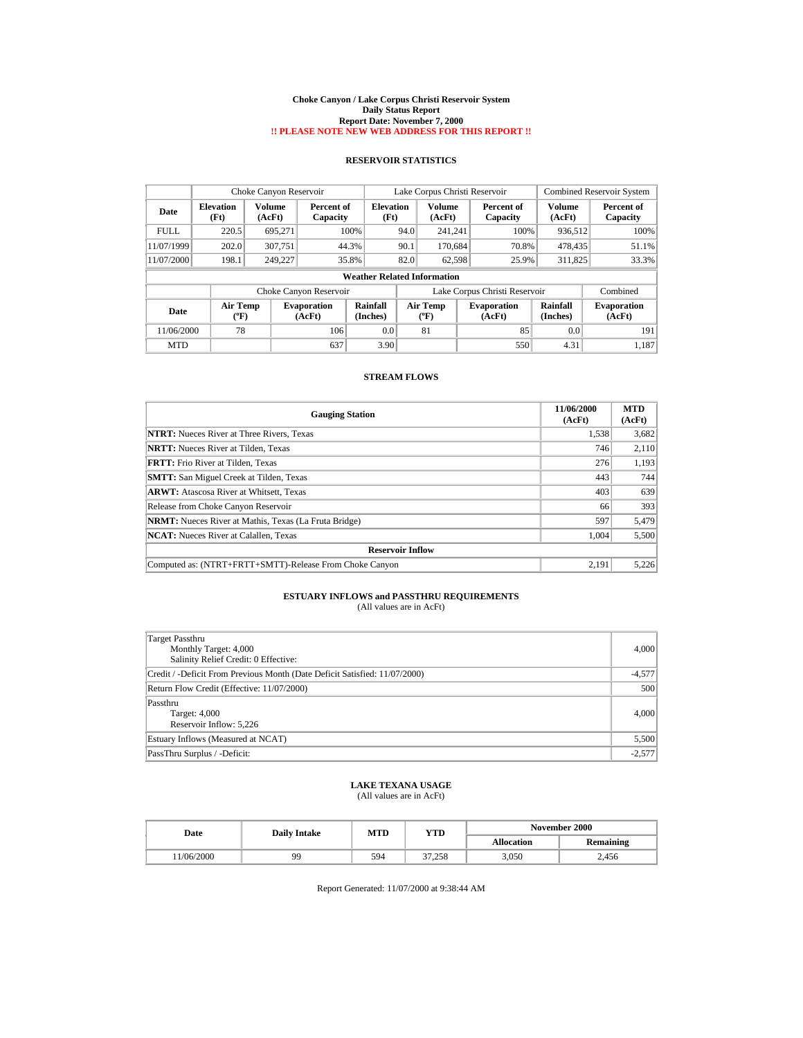#### **Choke Canyon / Lake Corpus Christi Reservoir System Daily Status Report Report Date: November 7, 2000 !! PLEASE NOTE NEW WEB ADDRESS FOR THIS REPORT !!**

## **RESERVOIR STATISTICS**

|             | Choke Canyon Reservoir   |                  |                              |                                    | Lake Corpus Christi Reservoir |                                |  |                               | <b>Combined Reservoir System</b> |                              |
|-------------|--------------------------|------------------|------------------------------|------------------------------------|-------------------------------|--------------------------------|--|-------------------------------|----------------------------------|------------------------------|
| Date        | <b>Elevation</b><br>(Ft) | Volume<br>(AcFt) | Percent of<br>Capacity       | Elevation<br>(Ft)                  |                               | Volume<br>(AcFt)               |  | Percent of<br>Capacity        | Volume<br>(AcFt)                 | Percent of<br>Capacity       |
| <b>FULL</b> | 220.5                    | 695.271          |                              | 100%                               | 94.0                          | 241.241                        |  | 100%                          | 936,512                          | 100%                         |
| 11/07/1999  | 202.0                    | 307.751          | 44.3%                        |                                    | 90.1                          | 170.684                        |  | 70.8%                         | 478.435                          | 51.1%                        |
| 11/07/2000  | 198.1                    | 249.227          | 35.8%                        |                                    | 82.0                          | 62.598                         |  | 25.9%                         | 311.825                          | 33.3%                        |
|             |                          |                  |                              | <b>Weather Related Information</b> |                               |                                |  |                               |                                  |                              |
|             |                          |                  | Choke Canyon Reservoir       |                                    |                               |                                |  | Lake Corpus Christi Reservoir |                                  | Combined                     |
| Date        | <b>Air Temp</b><br>(°F)  |                  | <b>Evaporation</b><br>(AcFt) | Rainfall<br>(Inches)               |                               | Air Temp<br>$({}^o\mathrm{F})$ |  | <b>Evaporation</b><br>(AcFt)  | Rainfall<br>(Inches)             | <b>Evaporation</b><br>(AcFt) |
| 11/06/2000  | 78                       |                  | 106                          | 0.0                                |                               | 81                             |  | 85                            | 0.0                              | 191                          |
| <b>MTD</b>  |                          |                  | 637                          | 3.90                               |                               |                                |  | 550                           | 4.31                             | 1,187                        |

### **STREAM FLOWS**

| <b>Gauging Station</b>                                       | 11/06/2000<br>(AcFt) | <b>MTD</b><br>(AcFt) |  |  |  |
|--------------------------------------------------------------|----------------------|----------------------|--|--|--|
| <b>NTRT:</b> Nueces River at Three Rivers, Texas             | 1,538                | 3,682                |  |  |  |
| <b>NRTT:</b> Nueces River at Tilden, Texas                   | 746                  | 2,110                |  |  |  |
| <b>FRTT:</b> Frio River at Tilden, Texas                     | 276                  | 1,193                |  |  |  |
| <b>SMTT:</b> San Miguel Creek at Tilden, Texas               | 443                  | 744                  |  |  |  |
| <b>ARWT:</b> Atascosa River at Whitsett, Texas               | 403                  | 639                  |  |  |  |
| Release from Choke Canyon Reservoir                          | 66                   | 393                  |  |  |  |
| <b>NRMT:</b> Nueces River at Mathis, Texas (La Fruta Bridge) | 597                  | 5,479                |  |  |  |
| <b>NCAT:</b> Nueces River at Calallen, Texas                 | 1,004                | 5,500                |  |  |  |
| <b>Reservoir Inflow</b>                                      |                      |                      |  |  |  |
| Computed as: (NTRT+FRTT+SMTT)-Release From Choke Canyon      | 2,191                | 5,226                |  |  |  |

# **ESTUARY INFLOWS and PASSTHRU REQUIREMENTS**<br>(All values are in AcFt)

| Target Passthru<br>Monthly Target: 4,000<br>Salinity Relief Credit: 0 Effective: | 4,000    |
|----------------------------------------------------------------------------------|----------|
| Credit / -Deficit From Previous Month (Date Deficit Satisfied: 11/07/2000)       | $-4,577$ |
| Return Flow Credit (Effective: 11/07/2000)                                       | 500      |
| Passthru<br>Target: 4,000<br>Reservoir Inflow: 5,226                             | 4,000    |
| Estuary Inflows (Measured at NCAT)                                               | 5,500    |
| PassThru Surplus / -Deficit:                                                     | $-2,577$ |

### **LAKE TEXANA USAGE** (All values are in AcFt)

| Date       | <b>Daily Intake</b> | <b>MTD</b> | YTD    | <b>November 2000</b> |                  |  |
|------------|---------------------|------------|--------|----------------------|------------------|--|
|            |                     |            |        | <b>Allocation</b>    | <b>Remaining</b> |  |
| 11/06/2000 | 99                  | 594        | 37.258 | 3.050                | 2.456            |  |

Report Generated: 11/07/2000 at 9:38:44 AM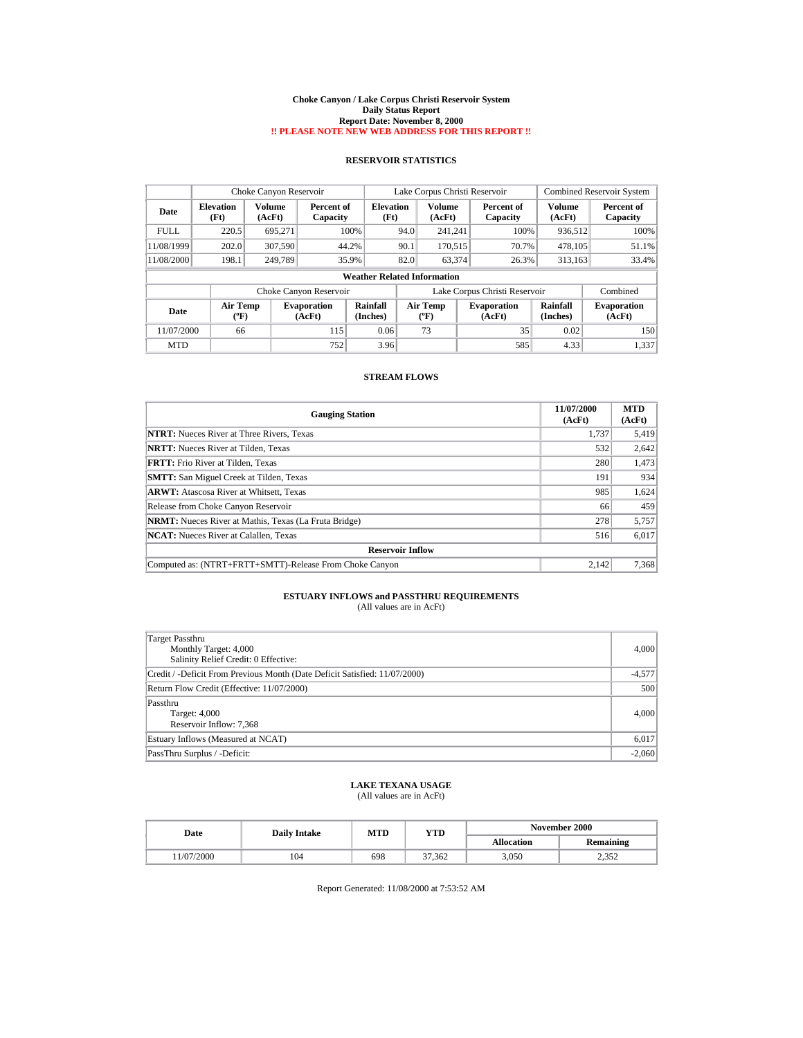#### **Choke Canyon / Lake Corpus Christi Reservoir System Daily Status Report Report Date: November 8, 2000 !! PLEASE NOTE NEW WEB ADDRESS FOR THIS REPORT !!**

## **RESERVOIR STATISTICS**

|             | Choke Canyon Reservoir             |                  |                              |                          | Lake Corpus Christi Reservoir |                                |  |                               | <b>Combined Reservoir System</b> |                              |
|-------------|------------------------------------|------------------|------------------------------|--------------------------|-------------------------------|--------------------------------|--|-------------------------------|----------------------------------|------------------------------|
| Date        | <b>Elevation</b><br>(Ft)           | Volume<br>(AcFt) | Percent of<br>Capacity       | <b>Elevation</b><br>(Ft) |                               | Volume<br>(AcFt)               |  | Percent of<br>Capacity        | Volume<br>(AcFt)                 | Percent of<br>Capacity       |
| <b>FULL</b> | 220.5                              | 695.271          |                              | 100%                     | 94.0                          | 241.241                        |  | 100%                          | 936,512                          | 100%                         |
| 11/08/1999  | 202.0                              | 307,590          |                              | 44.2%                    | 90.1                          | 170,515                        |  | 70.7%                         | 478.105                          | 51.1%                        |
| 11/08/2000  | 198.1                              | 249,789          |                              | 35.9%                    | 82.0                          | 63.374                         |  | 26.3%                         | 313.163                          | 33.4%                        |
|             | <b>Weather Related Information</b> |                  |                              |                          |                               |                                |  |                               |                                  |                              |
|             |                                    |                  | Choke Canyon Reservoir       |                          |                               |                                |  | Lake Corpus Christi Reservoir |                                  | Combined                     |
| Date        | <b>Air Temp</b><br>(°F)            |                  | <b>Evaporation</b><br>(AcFt) | Rainfall<br>(Inches)     |                               | Air Temp<br>$({}^o\mathrm{F})$ |  | <b>Evaporation</b><br>(AcFt)  | Rainfall<br>(Inches)             | <b>Evaporation</b><br>(AcFt) |
| 11/07/2000  | 66                                 |                  | 115                          | 0.06                     |                               | 73                             |  | 35                            | 0.02                             | 150                          |
| <b>MTD</b>  |                                    |                  | 752                          | 3.96                     |                               |                                |  | 585                           | 4.33                             | 1,337                        |

### **STREAM FLOWS**

| <b>Gauging Station</b>                                       | 11/07/2000<br>(AcFt) | <b>MTD</b><br>(AcFt) |  |  |  |
|--------------------------------------------------------------|----------------------|----------------------|--|--|--|
| <b>NTRT:</b> Nueces River at Three Rivers, Texas             | 1,737                | 5,419                |  |  |  |
| <b>NRTT:</b> Nueces River at Tilden, Texas                   | 532                  | 2,642                |  |  |  |
| <b>FRTT:</b> Frio River at Tilden, Texas                     | 280                  | 1,473                |  |  |  |
| <b>SMTT:</b> San Miguel Creek at Tilden, Texas               | 191                  | 934                  |  |  |  |
| <b>ARWT:</b> Atascosa River at Whitsett, Texas               | 985                  | 1,624                |  |  |  |
| Release from Choke Canyon Reservoir                          | 66                   | 459                  |  |  |  |
| <b>NRMT:</b> Nueces River at Mathis, Texas (La Fruta Bridge) | 278                  | 5,757                |  |  |  |
| <b>NCAT:</b> Nueces River at Calallen, Texas                 | 516                  | 6,017                |  |  |  |
| <b>Reservoir Inflow</b>                                      |                      |                      |  |  |  |
| Computed as: (NTRT+FRTT+SMTT)-Release From Choke Canyon      | 2.142                | 7,368                |  |  |  |

# **ESTUARY INFLOWS and PASSTHRU REQUIREMENTS**<br>(All values are in AcFt)

| Target Passthru<br>Monthly Target: 4,000<br>Salinity Relief Credit: 0 Effective: | 4,000    |
|----------------------------------------------------------------------------------|----------|
| Credit / -Deficit From Previous Month (Date Deficit Satisfied: 11/07/2000)       | $-4,577$ |
| Return Flow Credit (Effective: 11/07/2000)                                       | 500      |
| Passthru<br>Target: 4,000<br>Reservoir Inflow: 7,368                             | 4,000    |
| Estuary Inflows (Measured at NCAT)                                               | 6,017    |
| PassThru Surplus / -Deficit:                                                     | $-2,060$ |

### **LAKE TEXANA USAGE** (All values are in AcFt)

| Date      | <b>Daily Intake</b> | MTD | YTD    | November 2000     |                 |  |
|-----------|---------------------|-----|--------|-------------------|-----------------|--|
|           |                     |     |        | <b>Allocation</b> | Remaining       |  |
| 1/07/2000 | 104                 | 698 | 37.362 | 3,050             | า วรา<br>ے رہے۔ |  |

Report Generated: 11/08/2000 at 7:53:52 AM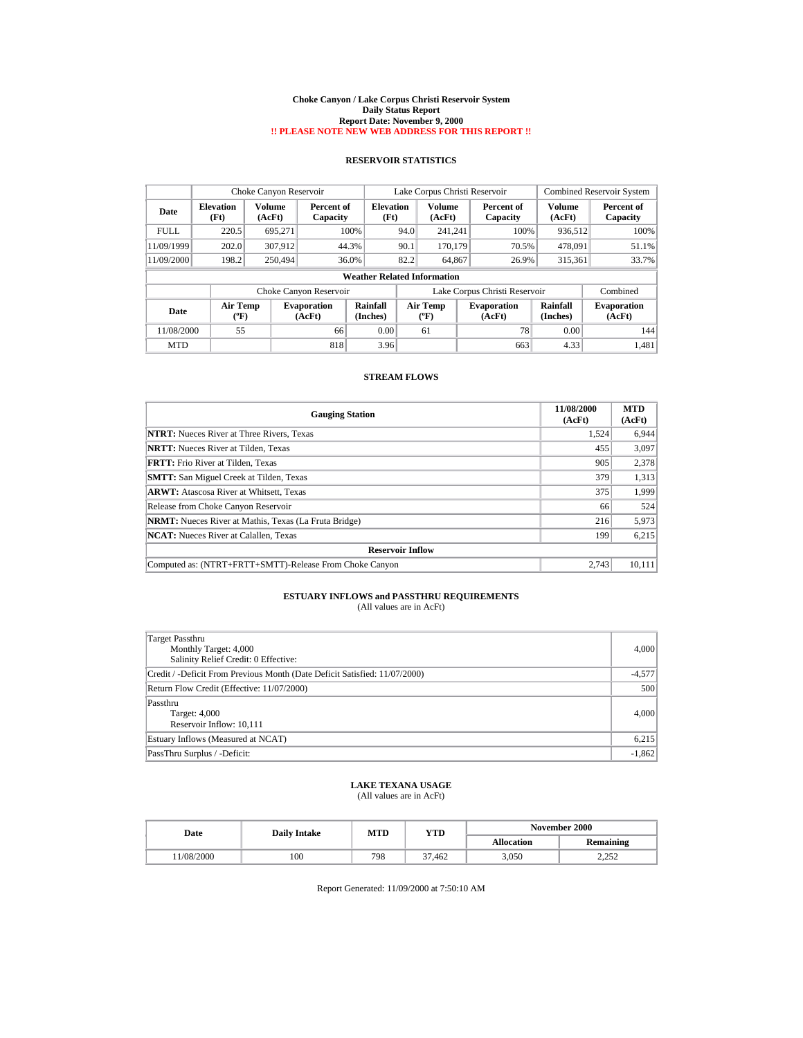#### **Choke Canyon / Lake Corpus Christi Reservoir System Daily Status Report Report Date: November 9, 2000 !! PLEASE NOTE NEW WEB ADDRESS FOR THIS REPORT !!**

## **RESERVOIR STATISTICS**

|             | Choke Canyon Reservoir   |                  |                              |                                    | Lake Corpus Christi Reservoir |                                |  |                               | <b>Combined Reservoir System</b> |                              |
|-------------|--------------------------|------------------|------------------------------|------------------------------------|-------------------------------|--------------------------------|--|-------------------------------|----------------------------------|------------------------------|
| Date        | <b>Elevation</b><br>(Ft) | Volume<br>(AcFt) | Percent of<br>Capacity       | Elevation<br>(Ft)                  |                               | Volume<br>(AcFt)               |  | Percent of<br>Capacity        | Volume<br>(AcFt)                 | Percent of<br>Capacity       |
| <b>FULL</b> | 220.5                    | 695.271          | 100%                         |                                    | 94.0                          | 241.241                        |  | 100%                          | 936.512                          | 100%                         |
| 11/09/1999  | 202.0                    | 307.912          | 44.3%                        |                                    | 90.1                          | 170.179                        |  | 70.5%                         | 478,091                          | 51.1%                        |
| 11/09/2000  | 198.2                    | 250,494          | 36.0%                        |                                    | 82.2                          | 64.867                         |  | 26.9%                         | 315.361                          | 33.7%                        |
|             |                          |                  |                              | <b>Weather Related Information</b> |                               |                                |  |                               |                                  |                              |
|             |                          |                  | Choke Canyon Reservoir       |                                    |                               |                                |  | Lake Corpus Christi Reservoir |                                  | Combined                     |
| Date        | <b>Air Temp</b><br>(°F)  |                  | <b>Evaporation</b><br>(AcFt) | Rainfall<br>(Inches)               |                               | Air Temp<br>$({}^o\mathrm{F})$ |  | <b>Evaporation</b><br>(AcFt)  | Rainfall<br>(Inches)             | <b>Evaporation</b><br>(AcFt) |
| 11/08/2000  | 55                       |                  | 66                           | 0.00                               |                               | 61                             |  | 78                            | 0.00                             | 144                          |
| <b>MTD</b>  |                          |                  | 818                          | 3.96                               |                               |                                |  | 663                           | 4.33                             | 1,481                        |

### **STREAM FLOWS**

| <b>Gauging Station</b>                                       | 11/08/2000<br>(AcFt) | <b>MTD</b><br>(AcFt) |  |  |  |
|--------------------------------------------------------------|----------------------|----------------------|--|--|--|
| <b>NTRT:</b> Nueces River at Three Rivers, Texas             | 1,524                | 6,944                |  |  |  |
| <b>NRTT:</b> Nueces River at Tilden, Texas                   | 455                  | 3,097                |  |  |  |
| <b>FRTT:</b> Frio River at Tilden, Texas                     | 905                  | 2,378                |  |  |  |
| <b>SMTT:</b> San Miguel Creek at Tilden, Texas               | 379                  | 1,313                |  |  |  |
| <b>ARWT:</b> Atascosa River at Whitsett, Texas               | 375                  | 1,999                |  |  |  |
| Release from Choke Canyon Reservoir                          | 66                   | 524                  |  |  |  |
| <b>NRMT:</b> Nueces River at Mathis, Texas (La Fruta Bridge) | 216                  | 5,973                |  |  |  |
| <b>NCAT:</b> Nueces River at Calallen, Texas                 | 199                  | 6,215                |  |  |  |
| <b>Reservoir Inflow</b>                                      |                      |                      |  |  |  |
| Computed as: (NTRT+FRTT+SMTT)-Release From Choke Canyon      | 2.743                | 10,111               |  |  |  |

# **ESTUARY INFLOWS and PASSTHRU REQUIREMENTS**<br>(All values are in AcFt)

| Target Passthru<br>Monthly Target: 4,000<br>Salinity Relief Credit: 0 Effective: | 4,000    |
|----------------------------------------------------------------------------------|----------|
| Credit / -Deficit From Previous Month (Date Deficit Satisfied: 11/07/2000)       | $-4,577$ |
| Return Flow Credit (Effective: 11/07/2000)                                       | 500      |
| Passthru<br>Target: 4,000<br>Reservoir Inflow: 10,111                            | 4,000    |
| Estuary Inflows (Measured at NCAT)                                               | 6,215    |
| PassThru Surplus / -Deficit:                                                     | $-1,862$ |

### **LAKE TEXANA USAGE** (All values are in AcFt)

| Date      | <b>Daily Intake</b> | MTD | YTD    | November 2000     |                  |  |
|-----------|---------------------|-----|--------|-------------------|------------------|--|
|           |                     |     |        | <b>Allocation</b> | <b>Remaining</b> |  |
| 1/08/2000 | 100                 | 798 | 37.462 | 3,050             | ר בר<br>ے بے د   |  |

Report Generated: 11/09/2000 at 7:50:10 AM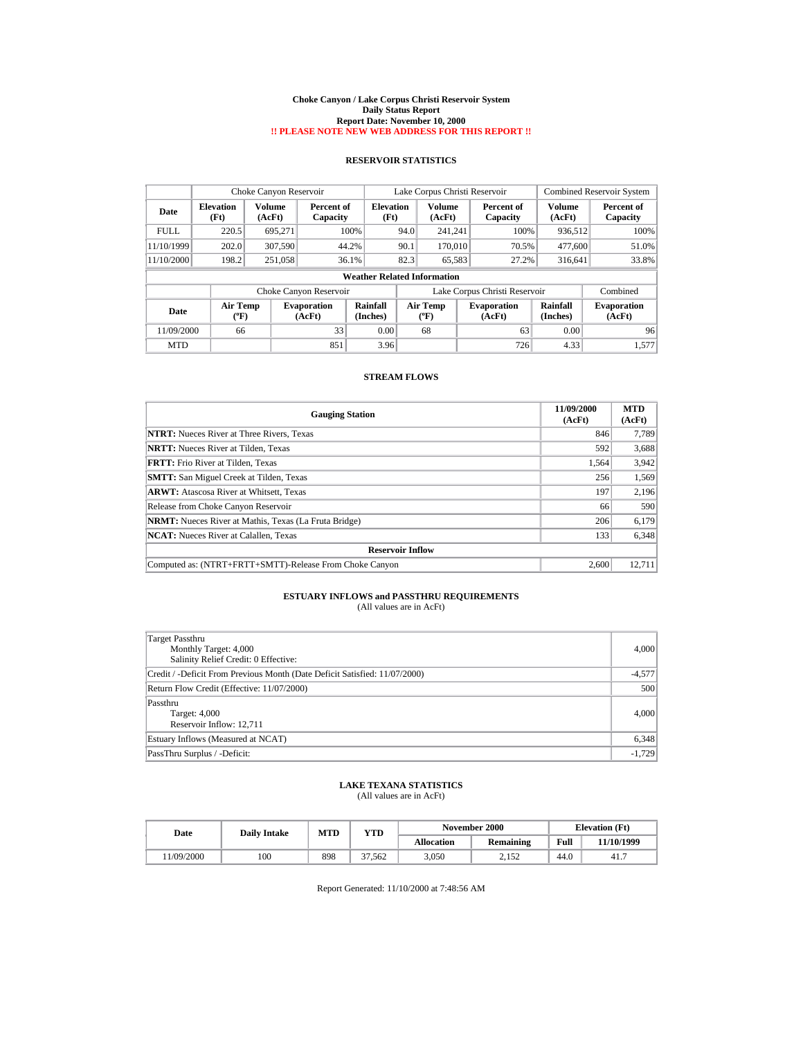#### **Choke Canyon / Lake Corpus Christi Reservoir System Daily Status Report Report Date: November 10, 2000 !! PLEASE NOTE NEW WEB ADDRESS FOR THIS REPORT !!**

## **RESERVOIR STATISTICS**

|             | Choke Canyon Reservoir   |                         |                              |                                    |                               | Lake Corpus Christi Reservoir  |  |                              |                      | <b>Combined Reservoir System</b> |
|-------------|--------------------------|-------------------------|------------------------------|------------------------------------|-------------------------------|--------------------------------|--|------------------------------|----------------------|----------------------------------|
| Date        | <b>Elevation</b><br>(Ft) | <b>Volume</b><br>(AcFt) | Percent of<br>Capacity       | Elevation<br>(Ft)                  |                               | Volume<br>(AcFt)               |  | Percent of<br>Capacity       | Volume<br>(AcFt)     | Percent of<br>Capacity           |
| <b>FULL</b> | 220.5                    | 695.271                 |                              | 100%                               | 94.0                          | 241.241                        |  | 100%                         | 936,512              | 100%                             |
| 11/10/1999  | 202.0                    | 307,590                 |                              | 44.2%                              | 90.1                          | 170,010                        |  | 70.5%                        | 477,600              | 51.0%                            |
| 11/10/2000  | 198.2                    | 251.058                 |                              | 36.1%                              | 82.3                          | 65,583                         |  | 27.2%                        | 316.641              | 33.8%                            |
|             |                          |                         |                              | <b>Weather Related Information</b> |                               |                                |  |                              |                      |                                  |
|             |                          |                         | Choke Canyon Reservoir       |                                    | Lake Corpus Christi Reservoir |                                |  |                              | Combined             |                                  |
| Date        | <b>Air Temp</b><br>(°F)  |                         | <b>Evaporation</b><br>(AcFt) | Rainfall<br>(Inches)               |                               | Air Temp<br>$({}^o\mathrm{F})$ |  | <b>Evaporation</b><br>(AcFt) | Rainfall<br>(Inches) | <b>Evaporation</b><br>(AcFt)     |
| 11/09/2000  | 66                       |                         | 33                           | 0.00                               |                               | 68                             |  | 63                           | 0.00                 | 96                               |
| <b>MTD</b>  |                          |                         | 851                          | 3.96                               |                               |                                |  | 726                          | 4.33                 | 1,577                            |

### **STREAM FLOWS**

| <b>Gauging Station</b>                                       | 11/09/2000<br>(AcFt) | <b>MTD</b><br>(AcFt) |
|--------------------------------------------------------------|----------------------|----------------------|
| <b>NTRT:</b> Nueces River at Three Rivers, Texas             | 846                  | 7,789                |
| <b>NRTT:</b> Nueces River at Tilden, Texas                   | 592                  | 3,688                |
| <b>FRTT:</b> Frio River at Tilden, Texas                     | 1.564                | 3,942                |
| <b>SMTT:</b> San Miguel Creek at Tilden, Texas               | 256                  | 1,569                |
| <b>ARWT:</b> Atascosa River at Whitsett, Texas               | 197                  | 2,196                |
| Release from Choke Canyon Reservoir                          | 66                   | 590                  |
| <b>NRMT:</b> Nueces River at Mathis, Texas (La Fruta Bridge) | 206                  | 6,179                |
| <b>NCAT:</b> Nueces River at Calallen, Texas                 | 133                  | 6,348                |
| <b>Reservoir Inflow</b>                                      |                      |                      |
| Computed as: (NTRT+FRTT+SMTT)-Release From Choke Canyon      | 2.600                | 12,711               |

# **ESTUARY INFLOWS and PASSTHRU REQUIREMENTS**<br>(All values are in AcFt)

| Target Passthru<br>Monthly Target: 4,000<br>Salinity Relief Credit: 0 Effective: | 4,000    |
|----------------------------------------------------------------------------------|----------|
| Credit / -Deficit From Previous Month (Date Deficit Satisfied: 11/07/2000)       | $-4,577$ |
| Return Flow Credit (Effective: 11/07/2000)                                       | 500      |
| Passthru<br>Target: 4,000<br>Reservoir Inflow: 12,711                            | 4,000    |
| Estuary Inflows (Measured at NCAT)                                               | 6,348    |
| PassThru Surplus / -Deficit:                                                     | $-1,729$ |

### **LAKE TEXANA STATISTICS** (All values are in AcFt)

| Date      | <b>Daily Intake</b> | <b>MTD</b> | VTD    |            | November 2000 | <b>Elevation</b> (Ft) |            |
|-----------|---------------------|------------|--------|------------|---------------|-----------------------|------------|
|           |                     |            |        | Allocation | Remaining     | Full                  | 11/10/1999 |
| 1/09/2000 | 100                 | 898        | 37.562 | 3.050      | 2.152         | 44.0                  | 41.7       |

Report Generated: 11/10/2000 at 7:48:56 AM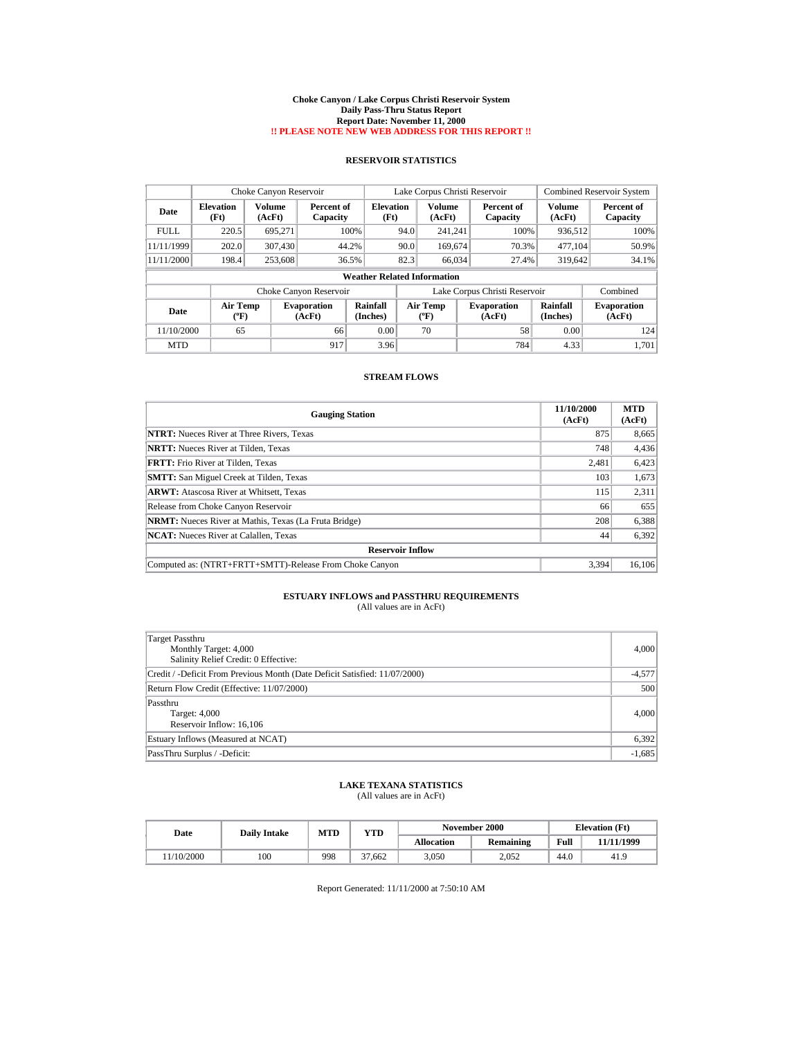#### **Choke Canyon / Lake Corpus Christi Reservoir System Daily Pass-Thru Status Report Report Date: November 11, 2000 !! PLEASE NOTE NEW WEB ADDRESS FOR THIS REPORT !!**

## **RESERVOIR STATISTICS**

| Choke Canyon Reservoir |                          |                         |                              |                                    |      | Lake Corpus Christi Reservoir  |                               |                         | <b>Combined Reservoir System</b> |
|------------------------|--------------------------|-------------------------|------------------------------|------------------------------------|------|--------------------------------|-------------------------------|-------------------------|----------------------------------|
| Date                   | <b>Elevation</b><br>(Ft) | <b>Volume</b><br>(AcFt) | Percent of<br>Capacity       | <b>Elevation</b><br>(Ft)           |      | Volume<br>(AcFt)               | Percent of<br>Capacity        | <b>Volume</b><br>(AcFt) | Percent of<br>Capacity           |
| <b>FULL</b>            | 220.5                    | 695.271                 |                              | 100%                               | 94.0 | 241.241                        | 100%                          | 936,512                 | 100%                             |
| 11/11/1999             | 202.0                    | 307,430                 | 44.2%                        |                                    | 90.0 | 169,674                        | 70.3%                         | 477.104                 | 50.9%                            |
| 11/11/2000             | 198.4                    | 253,608                 | 36.5%                        |                                    | 82.3 | 66.034                         | 27.4%                         | 319,642                 | 34.1%                            |
|                        |                          |                         |                              | <b>Weather Related Information</b> |      |                                |                               |                         |                                  |
|                        |                          |                         | Choke Canyon Reservoir       |                                    |      |                                | Lake Corpus Christi Reservoir |                         | Combined                         |
| Date                   | <b>Air Temp</b><br>(°F)  |                         | <b>Evaporation</b><br>(AcFt) | Rainfall<br>(Inches)               |      | Air Temp<br>$({}^o\mathrm{F})$ | <b>Evaporation</b><br>(AcFt)  | Rainfall<br>(Inches)    | <b>Evaporation</b><br>(AcFt)     |
| 11/10/2000             | 65                       |                         | 66                           | 0.00                               |      | 70                             | 58                            | 0.00                    | 124                              |
| <b>MTD</b>             |                          |                         | 917                          | 3.96                               |      |                                | 784                           | 4.33                    | 1,701                            |

### **STREAM FLOWS**

| <b>Gauging Station</b>                                       | 11/10/2000<br>(AcFt) | <b>MTD</b><br>(AcFt) |
|--------------------------------------------------------------|----------------------|----------------------|
| <b>NTRT:</b> Nueces River at Three Rivers, Texas             | 875                  | 8,665                |
| <b>NRTT:</b> Nueces River at Tilden, Texas                   | 748                  | 4,436                |
| <b>FRTT:</b> Frio River at Tilden, Texas                     | 2.481                | 6,423                |
| <b>SMTT:</b> San Miguel Creek at Tilden, Texas               | 103                  | 1,673                |
| <b>ARWT:</b> Atascosa River at Whitsett, Texas               | 115                  | 2,311                |
| Release from Choke Canyon Reservoir                          | 66                   | 655                  |
| <b>NRMT:</b> Nueces River at Mathis, Texas (La Fruta Bridge) | 208                  | 6,388                |
| <b>NCAT:</b> Nueces River at Calallen, Texas                 | 44                   | 6,392                |
| <b>Reservoir Inflow</b>                                      |                      |                      |
| Computed as: (NTRT+FRTT+SMTT)-Release From Choke Canyon      | 3.394                | 16,106               |

# **ESTUARY INFLOWS and PASSTHRU REQUIREMENTS**<br>(All values are in AcFt)

| Target Passthru<br>Monthly Target: 4,000<br>Salinity Relief Credit: 0 Effective: | 4,000    |
|----------------------------------------------------------------------------------|----------|
| Credit / -Deficit From Previous Month (Date Deficit Satisfied: 11/07/2000)       | $-4,577$ |
| Return Flow Credit (Effective: 11/07/2000)                                       | 500      |
| Passthru<br>Target: 4,000<br>Reservoir Inflow: 16,106                            | 4,000    |
| Estuary Inflows (Measured at NCAT)                                               | 6,392    |
| PassThru Surplus / -Deficit:                                                     | $-1,685$ |

### **LAKE TEXANA STATISTICS** (All values are in AcFt)

| Date      | <b>Daily Intake</b> | MTD | VTD    |            | November 2000 | <b>Elevation</b> (Ft) |            |
|-----------|---------------------|-----|--------|------------|---------------|-----------------------|------------|
|           |                     |     |        | Allocation | Remaining     | Full                  | 11/11/1999 |
| 1/10/2000 | 100                 | 998 | 37.662 | 3.050      | 2.052         | 44.0                  | 41.9       |

Report Generated: 11/11/2000 at 7:50:10 AM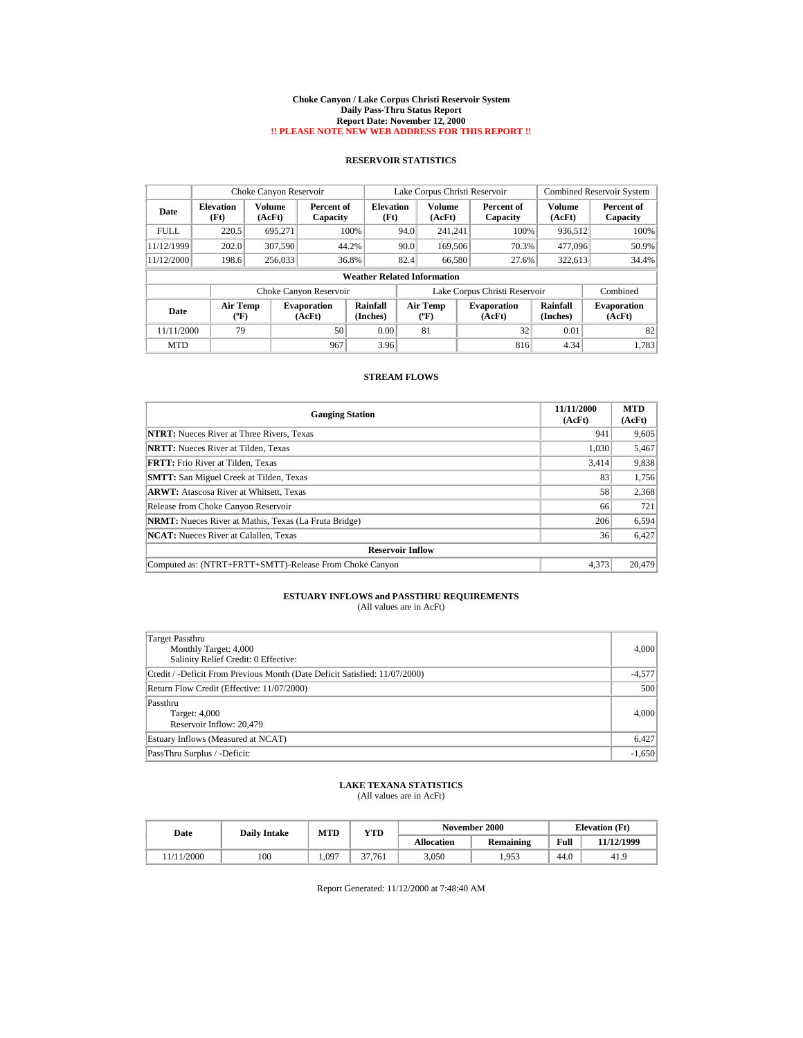#### **Choke Canyon / Lake Corpus Christi Reservoir System Daily Pass-Thru Status Report Report Date: November 12, 2000 !! PLEASE NOTE NEW WEB ADDRESS FOR THIS REPORT !!**

## **RESERVOIR STATISTICS**

| Choke Canyon Reservoir |                          |                         |                              |                                    |      | Lake Corpus Christi Reservoir  |                               |                         | <b>Combined Reservoir System</b> |
|------------------------|--------------------------|-------------------------|------------------------------|------------------------------------|------|--------------------------------|-------------------------------|-------------------------|----------------------------------|
| Date                   | <b>Elevation</b><br>(Ft) | <b>Volume</b><br>(AcFt) | Percent of<br>Capacity       | <b>Elevation</b><br>(Ft)           |      | Volume<br>(AcFt)               | Percent of<br>Capacity        | <b>Volume</b><br>(AcFt) | Percent of<br>Capacity           |
| <b>FULL</b>            | 220.5                    | 695.271                 | 100%                         |                                    | 94.0 | 241.241                        | 100%                          | 936,512                 | 100%                             |
| 11/12/1999             | 202.0                    | 307,590                 | 44.2%                        |                                    | 90.0 | 169,506                        | 70.3%                         | 477,096                 | 50.9%                            |
| 11/12/2000             | 198.6                    | 256,033                 | 36.8%                        |                                    | 82.4 | 66,580                         | 27.6%                         | 322.613                 | 34.4%                            |
|                        |                          |                         |                              | <b>Weather Related Information</b> |      |                                |                               |                         |                                  |
|                        |                          |                         | Choke Canyon Reservoir       |                                    |      |                                | Lake Corpus Christi Reservoir |                         | Combined                         |
| Date                   | <b>Air Temp</b><br>(°F)  |                         | <b>Evaporation</b><br>(AcFt) | Rainfall<br>(Inches)               |      | Air Temp<br>$({}^o\mathrm{F})$ | <b>Evaporation</b><br>(AcFt)  | Rainfall<br>(Inches)    | <b>Evaporation</b><br>(AcFt)     |
| 11/11/2000             | 79                       |                         | 50                           | 0.00                               |      | 81                             | 32                            | 0.01                    | 82                               |
| <b>MTD</b>             |                          |                         | 967                          | 3.96                               |      |                                | 816                           | 4.34                    | 1.783                            |

### **STREAM FLOWS**

| <b>Gauging Station</b>                                       | 11/11/2000<br>(AcFt) | <b>MTD</b><br>(AcFt) |
|--------------------------------------------------------------|----------------------|----------------------|
| <b>NTRT:</b> Nueces River at Three Rivers, Texas             | 941                  | 9,605                |
| <b>NRTT:</b> Nueces River at Tilden, Texas                   | 1,030                | 5,467                |
| FRTT: Frio River at Tilden, Texas                            | 3.414                | 9,838                |
| <b>SMTT:</b> San Miguel Creek at Tilden, Texas               | 83                   | 1,756                |
| <b>ARWT:</b> Atascosa River at Whitsett, Texas               | 58                   | 2,368                |
| Release from Choke Canyon Reservoir                          | 66                   | 721                  |
| <b>NRMT:</b> Nueces River at Mathis, Texas (La Fruta Bridge) | 206                  | 6,594                |
| <b>NCAT:</b> Nueces River at Calallen, Texas                 | 36                   | 6,427                |
| <b>Reservoir Inflow</b>                                      |                      |                      |
| Computed as: (NTRT+FRTT+SMTT)-Release From Choke Canyon      | 4.373                | 20,479               |

# **ESTUARY INFLOWS and PASSTHRU REQUIREMENTS**<br>(All values are in AcFt)

| Target Passthru<br>Monthly Target: 4,000<br>Salinity Relief Credit: 0 Effective: | 4,000    |
|----------------------------------------------------------------------------------|----------|
| Credit / -Deficit From Previous Month (Date Deficit Satisfied: 11/07/2000)       | $-4,577$ |
| Return Flow Credit (Effective: 11/07/2000)                                       | 500      |
| Passthru<br>Target: 4,000<br>Reservoir Inflow: 20,479                            | 4,000    |
| Estuary Inflows (Measured at NCAT)                                               | 6,427    |
| PassThru Surplus / -Deficit:                                                     | $-1,650$ |

### **LAKE TEXANA STATISTICS** (All values are in AcFt)

| Date      | <b>Daily Intake</b> | <b>MTD</b> | YTD    |                   | November 2000 |      | <b>Elevation</b> (Ft) |
|-----------|---------------------|------------|--------|-------------------|---------------|------|-----------------------|
|           |                     |            |        | <b>Allocation</b> | Remaining     | Full | 11/12/1999            |
| 1/11/2000 | 100                 | 1.097      | 37.761 | 3.050             | 1.953         | 44.0 | 41.9                  |

Report Generated: 11/12/2000 at 7:48:40 AM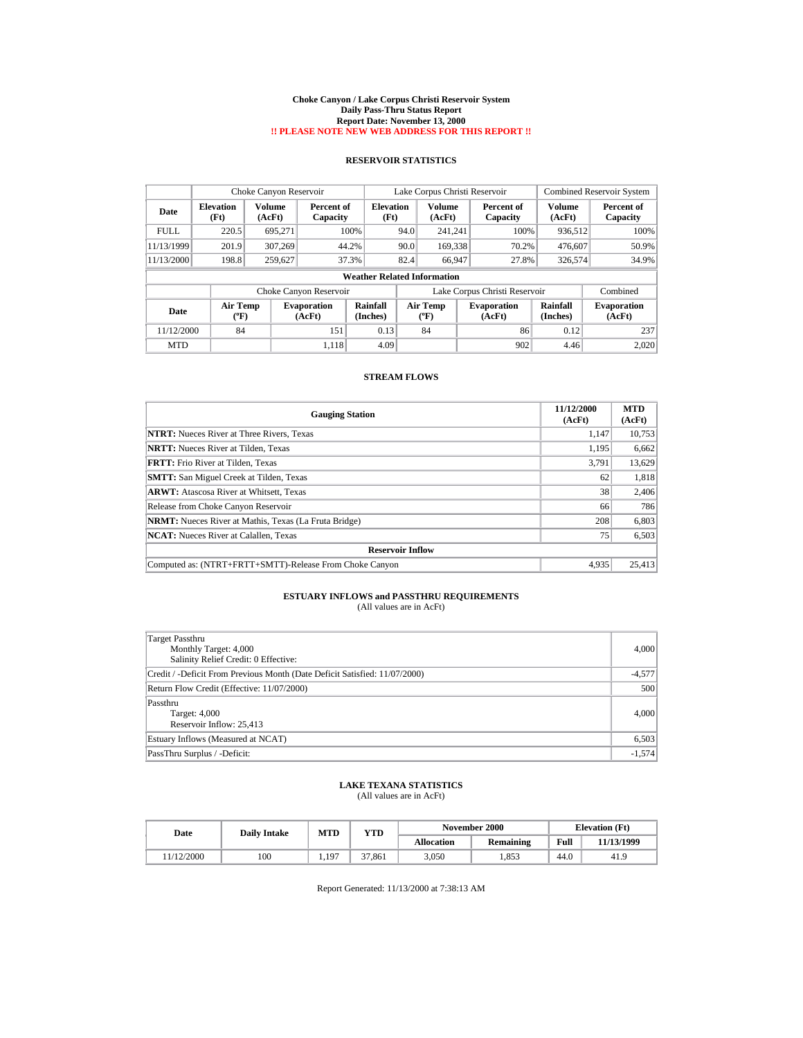#### **Choke Canyon / Lake Corpus Christi Reservoir System Daily Pass-Thru Status Report Report Date: November 13, 2000 !! PLEASE NOTE NEW WEB ADDRESS FOR THIS REPORT !!**

## **RESERVOIR STATISTICS**

|             | Choke Canyon Reservoir                |                         |                              |                                    | Lake Corpus Christi Reservoir |                                    |  |                               |                      | <b>Combined Reservoir System</b> |
|-------------|---------------------------------------|-------------------------|------------------------------|------------------------------------|-------------------------------|------------------------------------|--|-------------------------------|----------------------|----------------------------------|
| Date        | <b>Elevation</b><br>(Ft)              | <b>Volume</b><br>(AcFt) | Percent of<br>Capacity       | <b>Elevation</b><br>(Ft)           |                               | Volume<br>(AcFt)                   |  | Percent of<br>Capacity        | Volume<br>(AcFt)     | Percent of<br>Capacity           |
| <b>FULL</b> | 220.5                                 | 695.271                 | 100%                         |                                    | 94.0                          | 241.241                            |  | 100%                          | 936,512              | 100%                             |
| 11/13/1999  | 201.9                                 | 307,269                 | 44.2%                        |                                    | 90.0                          | 169.338                            |  | 70.2%                         | 476.607              | 50.9%                            |
| 11/13/2000  | 198.8                                 | 259,627                 | 37.3%                        |                                    | 82.4                          | 66.947                             |  | 27.8%                         | 326,574              | 34.9%                            |
|             |                                       |                         |                              | <b>Weather Related Information</b> |                               |                                    |  |                               |                      |                                  |
|             |                                       |                         | Choke Canyon Reservoir       |                                    |                               |                                    |  | Lake Corpus Christi Reservoir |                      | Combined                         |
| Date        | <b>Air Temp</b><br>$({}^o\mathrm{F})$ |                         | <b>Evaporation</b><br>(AcFt) | Rainfall<br>(Inches)               |                               | Air Temp<br>$({}^{\circ}\text{F})$ |  | <b>Evaporation</b><br>(AcFt)  | Rainfall<br>(Inches) | <b>Evaporation</b><br>(AcFt)     |
| 11/12/2000  | 84                                    |                         | 151                          | 0.13                               |                               | 84                                 |  | 86                            | 0.12                 | 237                              |
| <b>MTD</b>  |                                       |                         | 1.118                        | 4.09                               |                               |                                    |  | 902                           | 4.46                 | 2.020                            |

### **STREAM FLOWS**

| <b>Gauging Station</b>                                       | 11/12/2000<br>(AcFt) | <b>MTD</b><br>(AcFt) |
|--------------------------------------------------------------|----------------------|----------------------|
| <b>NTRT:</b> Nueces River at Three Rivers, Texas             | 1,147                | 10,753               |
| <b>NRTT:</b> Nueces River at Tilden, Texas                   | 1,195                | 6,662                |
| <b>FRTT:</b> Frio River at Tilden, Texas                     | 3.791                | 13,629               |
| <b>SMTT:</b> San Miguel Creek at Tilden, Texas               | 62                   | 1,818                |
| <b>ARWT:</b> Atascosa River at Whitsett, Texas               | 38                   | 2,406                |
| Release from Choke Canyon Reservoir                          | 66                   | 786                  |
| <b>NRMT:</b> Nueces River at Mathis, Texas (La Fruta Bridge) | 208                  | 6,803                |
| <b>NCAT:</b> Nueces River at Calallen, Texas                 | 75                   | 6,503                |
| <b>Reservoir Inflow</b>                                      |                      |                      |
| Computed as: (NTRT+FRTT+SMTT)-Release From Choke Canyon      | 4.935                | 25,413               |

# **ESTUARY INFLOWS and PASSTHRU REQUIREMENTS**<br>(All values are in AcFt)

| Target Passthru<br>Monthly Target: 4,000<br>Salinity Relief Credit: 0 Effective: | 4,000    |
|----------------------------------------------------------------------------------|----------|
| Credit / -Deficit From Previous Month (Date Deficit Satisfied: 11/07/2000)       | $-4,577$ |
| Return Flow Credit (Effective: 11/07/2000)                                       | 500      |
| Passthru<br>Target: 4,000<br>Reservoir Inflow: 25,413                            | 4,000    |
| Estuary Inflows (Measured at NCAT)                                               | 6,503    |
| PassThru Surplus / -Deficit:                                                     | $-1,574$ |

### **LAKE TEXANA STATISTICS** (All values are in AcFt)

| Date      | <b>Daily Intake</b> | <b>MTD</b> | YTD    |                   | November 2000 | <b>Elevation</b> (Ft) |            |
|-----------|---------------------|------------|--------|-------------------|---------------|-----------------------|------------|
|           |                     |            |        | <b>Allocation</b> | Remaining     | Full                  | 11/13/1999 |
| 1/12/2000 | 100                 | 1.197      | 37.861 | 3.050             | .853          | 44.0                  | 41.9       |

Report Generated: 11/13/2000 at 7:38:13 AM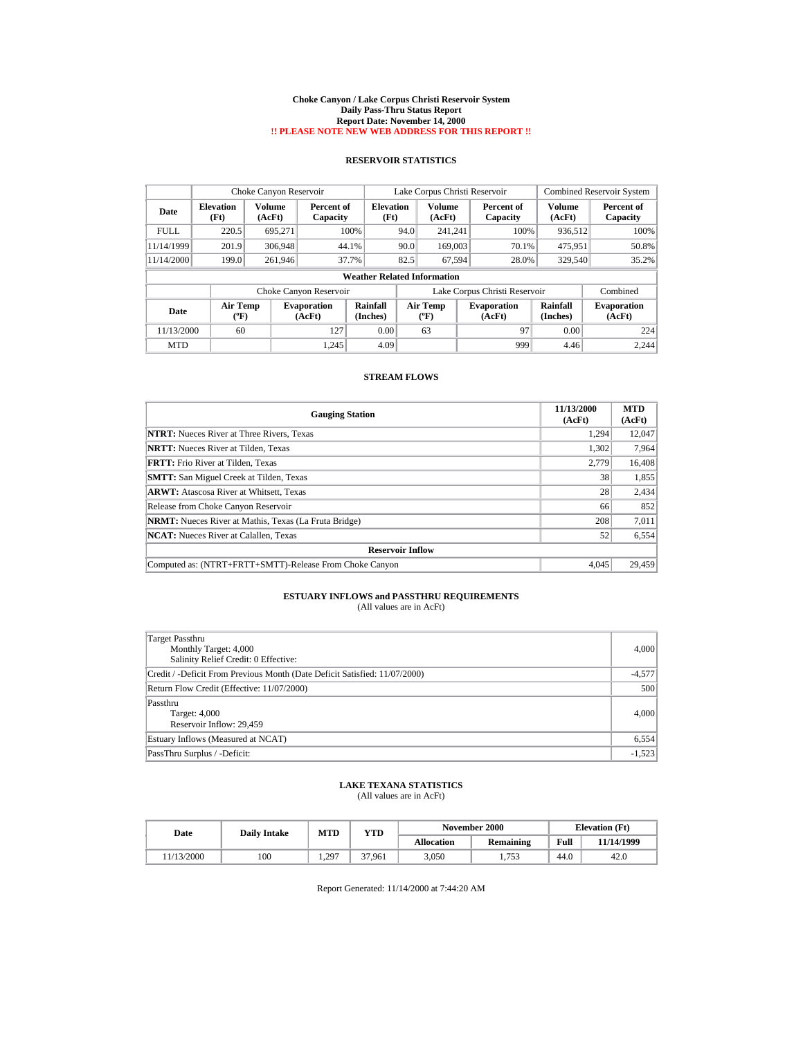#### **Choke Canyon / Lake Corpus Christi Reservoir System Daily Pass-Thru Status Report Report Date: November 14, 2000 !! PLEASE NOTE NEW WEB ADDRESS FOR THIS REPORT !!**

## **RESERVOIR STATISTICS**

|             | Choke Canyon Reservoir                |                         |                              |                                    |      | Lake Corpus Christi Reservoir  |                               |                         | <b>Combined Reservoir System</b> |
|-------------|---------------------------------------|-------------------------|------------------------------|------------------------------------|------|--------------------------------|-------------------------------|-------------------------|----------------------------------|
| Date        | <b>Elevation</b><br>(Ft)              | <b>Volume</b><br>(AcFt) | Percent of<br>Capacity       | <b>Elevation</b><br>(Ft)           |      | Volume<br>(AcFt)               | Percent of<br>Capacity        | <b>Volume</b><br>(AcFt) | Percent of<br>Capacity           |
| <b>FULL</b> | 220.5                                 | 695.271                 |                              | 100%                               | 94.0 | 241.241                        | 100%                          | 936.512                 | 100%                             |
| 11/14/1999  | 201.9                                 | 306,948                 | 44.1%                        |                                    | 90.0 | 169,003                        | 70.1%                         | 475,951                 | 50.8%                            |
| 11/14/2000  | 199.0                                 | 261.946                 | 37.7%                        |                                    | 82.5 | 67.594                         | 28.0%                         | 329,540                 | 35.2%                            |
|             |                                       |                         |                              | <b>Weather Related Information</b> |      |                                |                               |                         |                                  |
|             |                                       |                         | Choke Canyon Reservoir       |                                    |      |                                | Lake Corpus Christi Reservoir |                         | Combined                         |
| Date        | <b>Air Temp</b><br>$({}^o\mathrm{F})$ |                         | <b>Evaporation</b><br>(AcFt) | Rainfall<br>(Inches)               |      | Air Temp<br>$({}^o\mathrm{F})$ | <b>Evaporation</b><br>(AcFt)  | Rainfall<br>(Inches)    | <b>Evaporation</b><br>(AcFt)     |
| 11/13/2000  | 60                                    |                         | 127                          | 0.00                               |      | 63                             | 97                            | 0.00                    | 224                              |
| <b>MTD</b>  |                                       |                         | 1.245                        | 4.09                               |      |                                | 999                           | 4.46                    | 2.244                            |

### **STREAM FLOWS**

| <b>Gauging Station</b>                                       | 11/13/2000<br>(AcFt) | <b>MTD</b><br>(AcFt) |
|--------------------------------------------------------------|----------------------|----------------------|
| <b>NTRT:</b> Nueces River at Three Rivers, Texas             | 1,294                | 12,047               |
| <b>NRTT:</b> Nueces River at Tilden, Texas                   | 1,302                | 7,964                |
| FRTT: Frio River at Tilden, Texas                            | 2.779                | 16,408               |
| <b>SMTT:</b> San Miguel Creek at Tilden, Texas               | 38                   | 1,855                |
| <b>ARWT:</b> Atascosa River at Whitsett, Texas               | 28                   | 2,434                |
| Release from Choke Canyon Reservoir                          | 66                   | 852                  |
| <b>NRMT:</b> Nueces River at Mathis, Texas (La Fruta Bridge) | 208                  | 7,011                |
| <b>NCAT:</b> Nueces River at Calallen, Texas                 | 52                   | 6,554                |
| <b>Reservoir Inflow</b>                                      |                      |                      |
| Computed as: (NTRT+FRTT+SMTT)-Release From Choke Canyon      | 4.045                | 29,459               |

# **ESTUARY INFLOWS and PASSTHRU REQUIREMENTS**<br>(All values are in AcFt)

| Target Passthru<br>Monthly Target: 4,000<br>Salinity Relief Credit: 0 Effective: | 4,000    |
|----------------------------------------------------------------------------------|----------|
| Credit / -Deficit From Previous Month (Date Deficit Satisfied: 11/07/2000)       | $-4,577$ |
| Return Flow Credit (Effective: 11/07/2000)                                       | 500      |
| Passthru<br>Target: 4,000<br>Reservoir Inflow: 29,459                            | 4,000    |
| Estuary Inflows (Measured at NCAT)                                               | 6,554    |
| PassThru Surplus / -Deficit:                                                     | $-1,523$ |

### **LAKE TEXANA STATISTICS** (All values are in AcFt)

| Date      | <b>Daily Intake</b> | MTD   | VTD    |            | November 2000 | <b>Elevation</b> (Ft) |            |
|-----------|---------------------|-------|--------|------------|---------------|-----------------------|------------|
|           |                     |       |        | Allocation | Remaining     | Full                  | 11/14/1999 |
| 1/13/2000 | 100                 | 1.297 | 37.961 | 3.050      | .753          | 44.0                  | 42.0       |

Report Generated: 11/14/2000 at 7:44:20 AM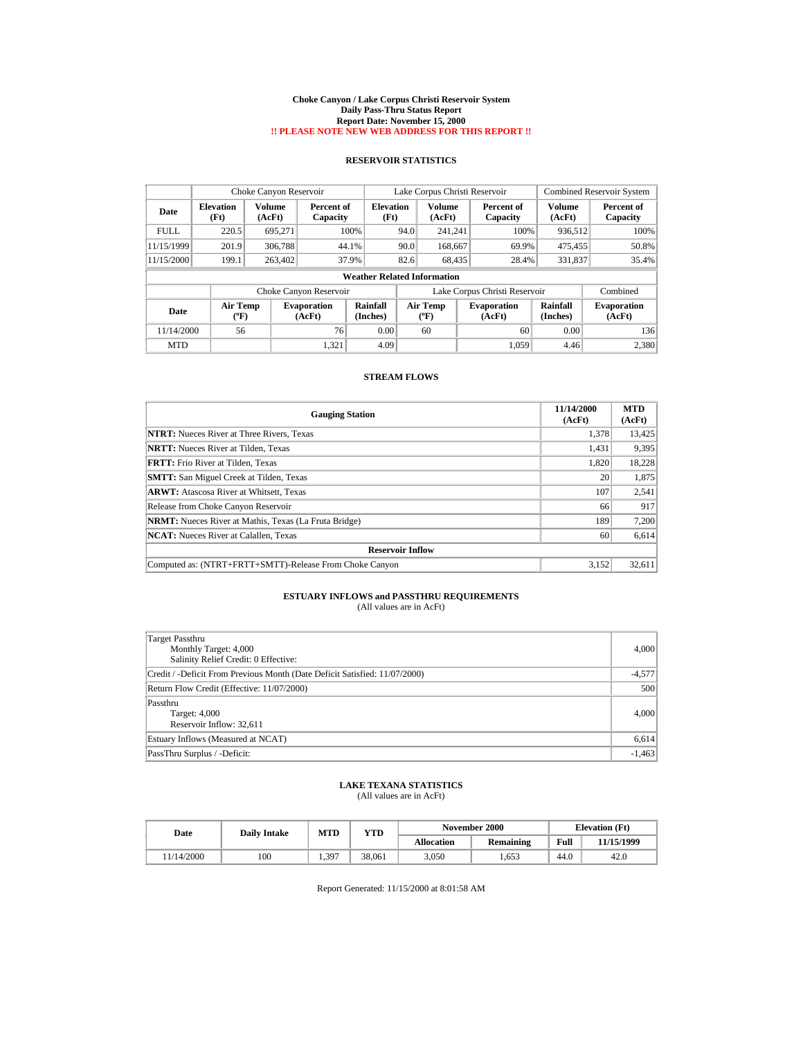#### **Choke Canyon / Lake Corpus Christi Reservoir System Daily Pass-Thru Status Report Report Date: November 15, 2000 !! PLEASE NOTE NEW WEB ADDRESS FOR THIS REPORT !!**

## **RESERVOIR STATISTICS**

|             | Choke Canyon Reservoir                |                         |                              |                                    | Lake Corpus Christi Reservoir |                                    |  |                               |                      | <b>Combined Reservoir System</b> |
|-------------|---------------------------------------|-------------------------|------------------------------|------------------------------------|-------------------------------|------------------------------------|--|-------------------------------|----------------------|----------------------------------|
| Date        | <b>Elevation</b><br>(Ft)              | <b>Volume</b><br>(AcFt) | Percent of<br>Capacity       | <b>Elevation</b><br>(Ft)           |                               | Volume<br>(AcFt)                   |  | Percent of<br>Capacity        | Volume<br>(AcFt)     | Percent of<br>Capacity           |
| <b>FULL</b> | 220.5                                 | 695.271                 |                              | 100%                               | 94.0                          | 241.241                            |  | 100%                          | 936,512              | 100%                             |
| 11/15/1999  | 201.9                                 | 306,788                 | 44.1%                        |                                    | 90.0                          | 168,667                            |  | 69.9%                         | 475,455              | 50.8%                            |
| 11/15/2000  | 199.1                                 | 263,402                 | 37.9%                        |                                    | 82.6                          | 68,435                             |  | 28.4%                         | 331.837              | 35.4%                            |
|             |                                       |                         |                              | <b>Weather Related Information</b> |                               |                                    |  |                               |                      |                                  |
|             |                                       |                         | Choke Canyon Reservoir       |                                    |                               |                                    |  | Lake Corpus Christi Reservoir |                      | Combined                         |
| Date        | <b>Air Temp</b><br>$({}^o\mathrm{F})$ |                         | <b>Evaporation</b><br>(AcFt) | Rainfall<br>(Inches)               |                               | Air Temp<br>$({}^{\circ}\text{F})$ |  | <b>Evaporation</b><br>(AcFt)  | Rainfall<br>(Inches) | <b>Evaporation</b><br>(AcFt)     |
| 11/14/2000  | 56                                    |                         | 76                           | 0.00                               |                               | 60                                 |  | 60                            | 0.00                 | 136                              |
| <b>MTD</b>  |                                       |                         | 1.321                        | 4.09                               |                               |                                    |  | 1.059                         | 4.46                 | 2,380                            |

### **STREAM FLOWS**

| <b>Gauging Station</b>                                       | 11/14/2000<br>(AcFt) | <b>MTD</b><br>(AcFt) |
|--------------------------------------------------------------|----------------------|----------------------|
| <b>NTRT:</b> Nueces River at Three Rivers, Texas             | 1,378                | 13,425               |
| <b>NRTT:</b> Nueces River at Tilden, Texas                   | 1,431                | 9,395                |
| <b>FRTT:</b> Frio River at Tilden, Texas                     | 1.820                | 18.228               |
| <b>SMTT:</b> San Miguel Creek at Tilden, Texas               | 20                   | 1,875                |
| <b>ARWT:</b> Atascosa River at Whitsett, Texas               | 107                  | 2,541                |
| Release from Choke Canyon Reservoir                          | 66                   | 917                  |
| <b>NRMT:</b> Nueces River at Mathis, Texas (La Fruta Bridge) | 189                  | 7,200                |
| <b>NCAT:</b> Nueces River at Calallen, Texas                 | 60                   | 6,614                |
| <b>Reservoir Inflow</b>                                      |                      |                      |
| Computed as: (NTRT+FRTT+SMTT)-Release From Choke Canyon      | 3.152                | 32,611               |

# **ESTUARY INFLOWS and PASSTHRU REQUIREMENTS**<br>(All values are in AcFt)

| Target Passthru<br>Monthly Target: 4,000<br>Salinity Relief Credit: 0 Effective: | 4,000    |
|----------------------------------------------------------------------------------|----------|
| Credit / -Deficit From Previous Month (Date Deficit Satisfied: 11/07/2000)       | $-4,577$ |
| Return Flow Credit (Effective: 11/07/2000)                                       | 500      |
| Passthru<br>Target: 4,000<br>Reservoir Inflow: 32,611                            | 4,000    |
| Estuary Inflows (Measured at NCAT)                                               | 6,614    |
| PassThru Surplus / -Deficit:                                                     | $-1,463$ |

### **LAKE TEXANA STATISTICS** (All values are in AcFt)

| Date      | <b>Daily Intake</b> | <b>MTD</b> | YTD    |                   | November 2000 | <b>Elevation</b> (Ft) |            |
|-----------|---------------------|------------|--------|-------------------|---------------|-----------------------|------------|
|           |                     |            |        | <b>Allocation</b> | Remaining     | Full                  | 11/15/1999 |
| 1/14/2000 | 100                 | 1.397      | 38,061 | 3.050             | .653          | 44.0                  | 42.0       |

Report Generated: 11/15/2000 at 8:01:58 AM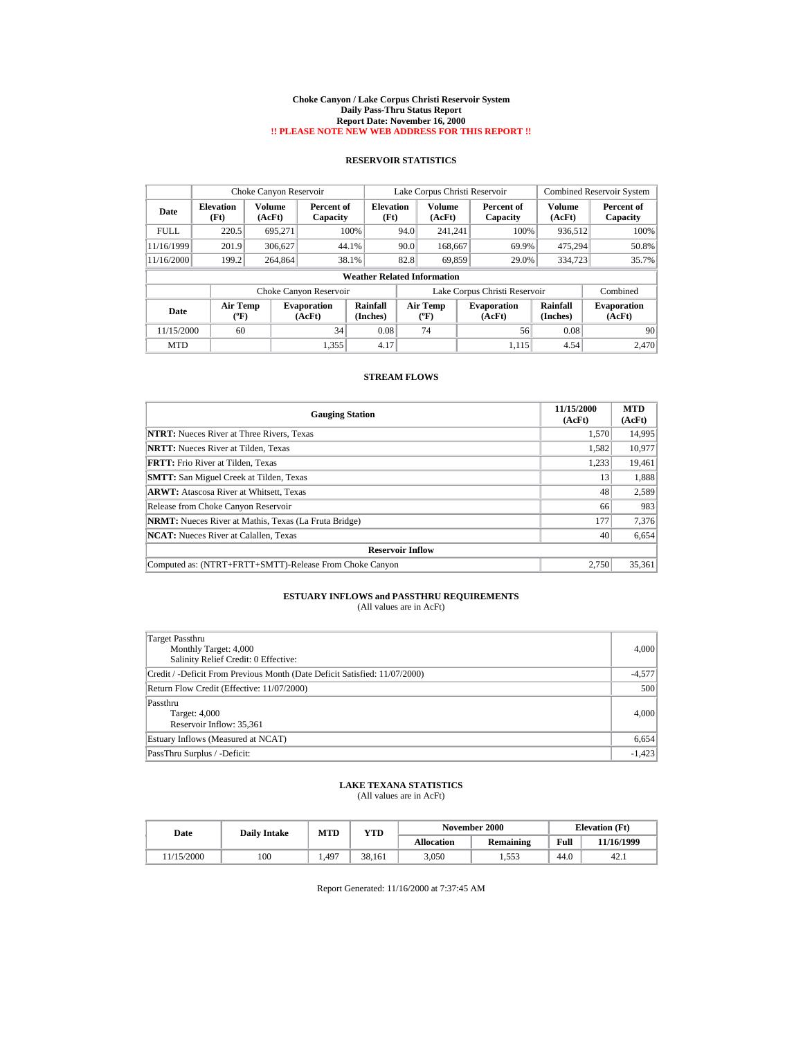#### **Choke Canyon / Lake Corpus Christi Reservoir System Daily Pass-Thru Status Report Report Date: November 16, 2000 !! PLEASE NOTE NEW WEB ADDRESS FOR THIS REPORT !!**

## **RESERVOIR STATISTICS**

|             | Choke Canyon Reservoir                |                         |                              |                                    | Lake Corpus Christi Reservoir |                                      |  |                               |                      | <b>Combined Reservoir System</b> |  |  |
|-------------|---------------------------------------|-------------------------|------------------------------|------------------------------------|-------------------------------|--------------------------------------|--|-------------------------------|----------------------|----------------------------------|--|--|
| Date        | <b>Elevation</b><br>(Ft)              | <b>Volume</b><br>(AcFt) | Percent of<br>Capacity       | <b>Elevation</b><br>(Ft)           |                               | Volume<br>(AcFt)                     |  | Percent of<br>Capacity        | Volume<br>(AcFt)     | Percent of<br>Capacity           |  |  |
| <b>FULL</b> | 220.5                                 | 695.271                 |                              | 100%                               | 94.0                          | 241.241                              |  | 100%                          | 936,512              | 100%                             |  |  |
| 11/16/1999  | 201.9                                 | 306,627                 | 44.1%                        |                                    | 90.0                          | 168,667                              |  | 69.9%                         | 475,294              | 50.8%                            |  |  |
| 11/16/2000  | 199.2                                 | 264,864                 | 38.1%                        |                                    | 82.8                          | 69.859                               |  | 29.0%                         | 334,723              | 35.7%                            |  |  |
|             |                                       |                         |                              | <b>Weather Related Information</b> |                               |                                      |  |                               |                      |                                  |  |  |
|             |                                       |                         | Choke Canyon Reservoir       |                                    |                               |                                      |  | Lake Corpus Christi Reservoir |                      | Combined                         |  |  |
| Date        | <b>Air Temp</b><br>$({}^o\mathrm{F})$ |                         | <b>Evaporation</b><br>(AcFt) | Rainfall<br>(Inches)               |                               | Air Temp<br>$({}^{\circ}\mathrm{F})$ |  | <b>Evaporation</b><br>(AcFt)  | Rainfall<br>(Inches) | <b>Evaporation</b><br>(AcFt)     |  |  |
| 11/15/2000  | 60                                    |                         | 34                           | 0.08                               |                               | 74                                   |  | 56                            | 0.08                 | 90                               |  |  |
| <b>MTD</b>  |                                       |                         | 1.355                        | 4.17                               |                               |                                      |  | 1.115                         | 4.54                 | 2.470                            |  |  |

### **STREAM FLOWS**

| <b>Gauging Station</b>                                       | 11/15/2000<br>(AcFt) | <b>MTD</b><br>(AcFt) |
|--------------------------------------------------------------|----------------------|----------------------|
| <b>NTRT:</b> Nueces River at Three Rivers, Texas             | 1,570                | 14,995               |
| <b>NRTT:</b> Nueces River at Tilden, Texas                   | 1,582                | 10,977               |
| <b>FRTT:</b> Frio River at Tilden, Texas                     | 1.233                | 19,461               |
| <b>SMTT:</b> San Miguel Creek at Tilden, Texas               | 13                   | 1,888                |
| <b>ARWT:</b> Atascosa River at Whitsett, Texas               | 48                   | 2,589                |
| Release from Choke Canyon Reservoir                          | 66                   | 983                  |
| <b>NRMT:</b> Nueces River at Mathis, Texas (La Fruta Bridge) | 177                  | 7,376                |
| <b>NCAT:</b> Nueces River at Calallen, Texas                 | 40                   | 6,654                |
| <b>Reservoir Inflow</b>                                      |                      |                      |
| Computed as: (NTRT+FRTT+SMTT)-Release From Choke Canyon      | 2.750                | 35,361               |

# **ESTUARY INFLOWS and PASSTHRU REQUIREMENTS**<br>(All values are in AcFt)

| Target Passthru<br>Monthly Target: 4,000<br>Salinity Relief Credit: 0 Effective: | 4,000    |
|----------------------------------------------------------------------------------|----------|
| Credit / -Deficit From Previous Month (Date Deficit Satisfied: 11/07/2000)       | $-4,577$ |
| Return Flow Credit (Effective: 11/07/2000)                                       | 500      |
| Passthru<br>Target: 4,000<br>Reservoir Inflow: 35,361                            | 4,000    |
| Estuary Inflows (Measured at NCAT)                                               | 6,654    |
| PassThru Surplus / -Deficit:                                                     | $-1,423$ |

### **LAKE TEXANA STATISTICS** (All values are in AcFt)

| Date      | <b>Daily Intake</b> | <b>MTD</b> | YTD    |                   | November 2000 | <b>Elevation</b> (Ft) |            |
|-----------|---------------------|------------|--------|-------------------|---------------|-----------------------|------------|
|           |                     |            |        | <b>Allocation</b> | Remaining     | Full                  | 11/16/1999 |
| 1/15/2000 | 100                 | 1.497      | 38.161 | 3.050             | 1.553         | 44.0                  | 42.1       |

Report Generated: 11/16/2000 at 7:37:45 AM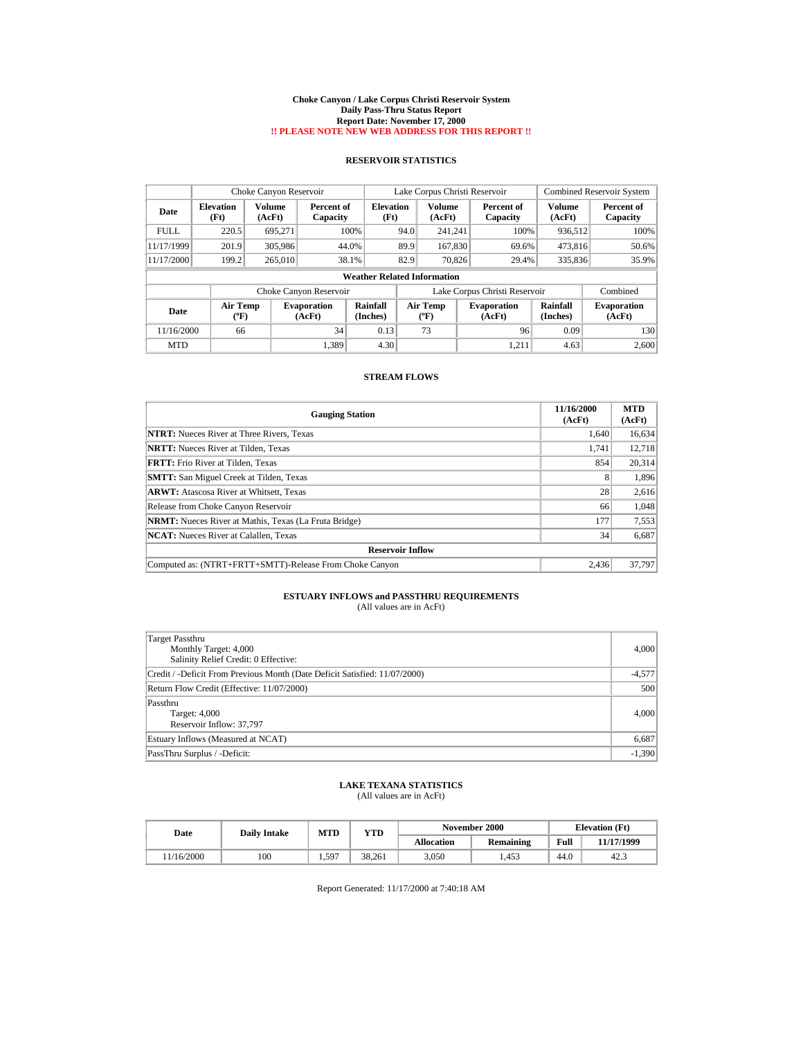#### **Choke Canyon / Lake Corpus Christi Reservoir System Daily Pass-Thru Status Report Report Date: November 17, 2000 !! PLEASE NOTE NEW WEB ADDRESS FOR THIS REPORT !!**

## **RESERVOIR STATISTICS**

|             | Choke Canyon Reservoir                |                         |                              |                          | Lake Corpus Christi Reservoir |                                             |  |                               |                      | <b>Combined Reservoir System</b> |  |  |
|-------------|---------------------------------------|-------------------------|------------------------------|--------------------------|-------------------------------|---------------------------------------------|--|-------------------------------|----------------------|----------------------------------|--|--|
| Date        | <b>Elevation</b><br>(Ft)              | <b>Volume</b><br>(AcFt) | Percent of<br>Capacity       | <b>Elevation</b><br>(Ft) |                               | <b>Volume</b><br>(AcFt)                     |  | Percent of<br>Capacity        | Volume<br>(AcFt)     | Percent of<br>Capacity           |  |  |
| <b>FULL</b> | 220.5                                 | 695.271                 | 100%                         |                          | 94.0                          | 241.241                                     |  | 100%                          | 936,512              | 100%                             |  |  |
| 11/17/1999  | 201.9                                 | 305,986                 | 44.0%                        |                          | 89.9                          | 167,830                                     |  | 69.6%                         | 473,816              | 50.6%                            |  |  |
| 11/17/2000  | 199.2                                 | 265,010                 | 38.1%                        |                          | 82.9                          | 70.826                                      |  | 29.4%                         | 335,836              | 35.9%                            |  |  |
|             | <b>Weather Related Information</b>    |                         |                              |                          |                               |                                             |  |                               |                      |                                  |  |  |
|             |                                       |                         | Choke Canyon Reservoir       |                          |                               |                                             |  | Lake Corpus Christi Reservoir |                      | Combined                         |  |  |
| Date        | <b>Air Temp</b><br>$({}^o\mathrm{F})$ |                         | <b>Evaporation</b><br>(AcFt) | Rainfall<br>(Inches)     |                               | <b>Air Temp</b><br>$({}^{\circ}\mathrm{F})$ |  | <b>Evaporation</b><br>(AcFt)  | Rainfall<br>(Inches) | <b>Evaporation</b><br>(AcFt)     |  |  |
| 11/16/2000  | 66                                    |                         | 34                           | 0.13                     |                               | 73                                          |  | 96                            | 0.09                 | 130                              |  |  |
| <b>MTD</b>  |                                       |                         | 1,389                        | 4.30                     |                               |                                             |  | 1,211                         | 4.63                 | 2,600                            |  |  |

### **STREAM FLOWS**

| <b>Gauging Station</b>                                       | 11/16/2000<br>(AcFt) | <b>MTD</b><br>(AcFt) |
|--------------------------------------------------------------|----------------------|----------------------|
| <b>NTRT:</b> Nueces River at Three Rivers, Texas             | 1.640                | 16,634               |
| <b>NRTT:</b> Nueces River at Tilden, Texas                   | 1.741                | 12.718               |
| <b>FRTT:</b> Frio River at Tilden, Texas                     | 854                  | 20,314               |
| <b>SMTT:</b> San Miguel Creek at Tilden, Texas               | 8                    | 1,896                |
| <b>ARWT:</b> Atascosa River at Whitsett, Texas               | 28                   | 2,616                |
| Release from Choke Canyon Reservoir                          | 66                   | 1,048                |
| <b>NRMT:</b> Nueces River at Mathis, Texas (La Fruta Bridge) | 177                  | 7,553                |
| <b>NCAT:</b> Nueces River at Calallen, Texas                 | 34                   | 6,687                |
| <b>Reservoir Inflow</b>                                      |                      |                      |
| Computed as: (NTRT+FRTT+SMTT)-Release From Choke Canyon      | 2.436                | 37,797               |

# **ESTUARY INFLOWS and PASSTHRU REQUIREMENTS**<br>(All values are in AcFt)

| Target Passthru<br>Monthly Target: 4,000<br>Salinity Relief Credit: 0 Effective: | 4,000    |
|----------------------------------------------------------------------------------|----------|
| Credit / -Deficit From Previous Month (Date Deficit Satisfied: 11/07/2000)       | $-4,577$ |
| Return Flow Credit (Effective: 11/07/2000)                                       | 500      |
| Passthru<br>Target: 4,000<br>Reservoir Inflow: 37,797                            | 4,000    |
| Estuary Inflows (Measured at NCAT)                                               | 6,687    |
| PassThru Surplus / -Deficit:                                                     | $-1,390$ |

### **LAKE TEXANA STATISTICS** (All values are in AcFt)

| Date      | <b>Daily Intake</b> | <b>MTD</b> | YTD    |                   | November 2000 | <b>Elevation</b> (Ft) |            |
|-----------|---------------------|------------|--------|-------------------|---------------|-----------------------|------------|
|           |                     |            |        | <b>Allocation</b> | Remaining     | Full                  | 11/17/1999 |
| 1/16/2000 | 100                 | 1,597      | 38.261 | 3.050             | .453          | 44.0                  | 42.3       |

Report Generated: 11/17/2000 at 7:40:18 AM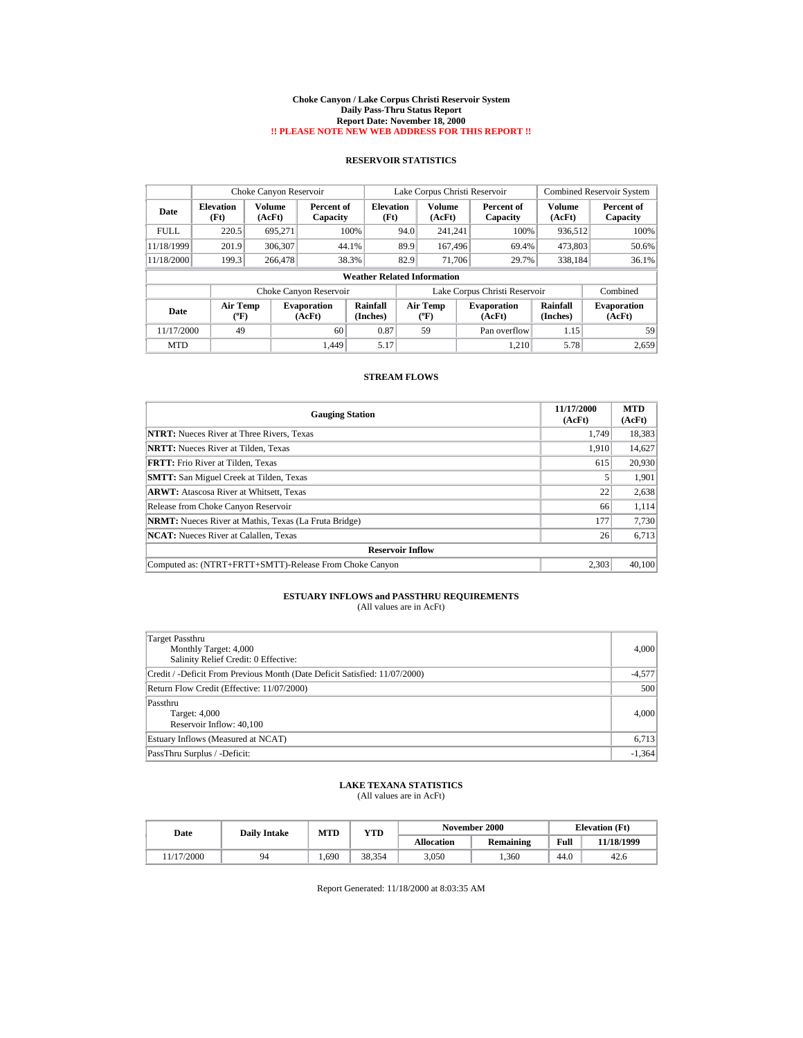#### **Choke Canyon / Lake Corpus Christi Reservoir System Daily Pass-Thru Status Report Report Date: November 18, 2000 !! PLEASE NOTE NEW WEB ADDRESS FOR THIS REPORT !!**

## **RESERVOIR STATISTICS**

|             | Choke Canyon Reservoir                |                         |                              |                                    | Lake Corpus Christi Reservoir |                                    |  |                               |                      | <b>Combined Reservoir System</b> |
|-------------|---------------------------------------|-------------------------|------------------------------|------------------------------------|-------------------------------|------------------------------------|--|-------------------------------|----------------------|----------------------------------|
| Date        | <b>Elevation</b><br>(Ft)              | <b>Volume</b><br>(AcFt) | Percent of<br>Capacity       | <b>Elevation</b><br>(Ft)           |                               | <b>Volume</b><br>(AcFt)            |  | Percent of<br>Capacity        | Volume<br>(AcFt)     | Percent of<br>Capacity           |
| <b>FULL</b> | 220.5                                 | 695.271                 | 100%                         |                                    | 94.0                          | 241.241                            |  | 100%                          | 936.512              | 100%                             |
| 11/18/1999  | 201.9                                 | 306.307                 | 44.1%                        |                                    | 89.9                          | 167,496                            |  | 69.4%                         | 473,803              | 50.6%                            |
| 11/18/2000  | 199.3                                 | 266,478                 | 38.3%                        |                                    | 82.9                          | 71,706                             |  | 29.7%                         | 338,184              | 36.1%                            |
|             |                                       |                         |                              | <b>Weather Related Information</b> |                               |                                    |  |                               |                      |                                  |
|             |                                       |                         | Choke Canyon Reservoir       |                                    |                               |                                    |  | Lake Corpus Christi Reservoir |                      | Combined                         |
| Date        | <b>Air Temp</b><br>$({}^o\mathrm{F})$ |                         | <b>Evaporation</b><br>(AcFt) | Rainfall<br>(Inches)               |                               | <b>Air Temp</b><br>$({}^{\circ}F)$ |  | <b>Evaporation</b><br>(AcFt)  | Rainfall<br>(Inches) | <b>Evaporation</b><br>(AcFt)     |
| 11/17/2000  | 49                                    |                         | 60                           | 0.87                               |                               | 59                                 |  | Pan overflow                  | 1.15                 | 59                               |
| <b>MTD</b>  |                                       |                         | 1.449                        | 5.17                               |                               |                                    |  | 1,210                         | 5.78                 | 2,659                            |

### **STREAM FLOWS**

| <b>Gauging Station</b>                                       | 11/17/2000<br>(AcFt) | <b>MTD</b><br>(AcFt) |
|--------------------------------------------------------------|----------------------|----------------------|
| <b>NTRT:</b> Nueces River at Three Rivers, Texas             | 1.749                | 18,383               |
| <b>NRTT:</b> Nueces River at Tilden, Texas                   | 1.910                | 14,627               |
| <b>FRTT:</b> Frio River at Tilden, Texas                     | 615                  | 20,930               |
| <b>SMTT:</b> San Miguel Creek at Tilden, Texas               |                      | 1,901                |
| <b>ARWT:</b> Atascosa River at Whitsett, Texas               | 22                   | 2,638                |
| Release from Choke Canyon Reservoir                          | 66                   | 1,114                |
| <b>NRMT:</b> Nueces River at Mathis, Texas (La Fruta Bridge) | 177                  | 7,730                |
| <b>NCAT:</b> Nueces River at Calallen, Texas                 | 26                   | 6,713                |
| <b>Reservoir Inflow</b>                                      |                      |                      |
| Computed as: (NTRT+FRTT+SMTT)-Release From Choke Canyon      | 2.303                | 40,100               |

# **ESTUARY INFLOWS and PASSTHRU REQUIREMENTS**<br>(All values are in AcFt)

| Target Passthru<br>Monthly Target: 4,000<br>Salinity Relief Credit: 0 Effective: | 4,000    |
|----------------------------------------------------------------------------------|----------|
| Credit / -Deficit From Previous Month (Date Deficit Satisfied: 11/07/2000)       | $-4,577$ |
| Return Flow Credit (Effective: 11/07/2000)                                       | 500      |
| Passthru<br>Target: 4,000<br>Reservoir Inflow: 40,100                            | 4,000    |
| Estuary Inflows (Measured at NCAT)                                               | 6,713    |
| PassThru Surplus / -Deficit:                                                     | $-1,364$ |

### **LAKE TEXANA STATISTICS** (All values are in AcFt)

| Date      | <b>Daily Intake</b> | <b>MTD</b><br>YTD |        |                   | November 2000 | <b>Elevation</b> (Ft) |            |
|-----------|---------------------|-------------------|--------|-------------------|---------------|-----------------------|------------|
|           |                     |                   |        | <b>Allocation</b> | Remaining     | Full                  | 11/18/1999 |
| 1/17/2000 | 94                  | .690              | 38.354 | 3.050             | .360          | 44.0                  | 42.6       |

Report Generated: 11/18/2000 at 8:03:35 AM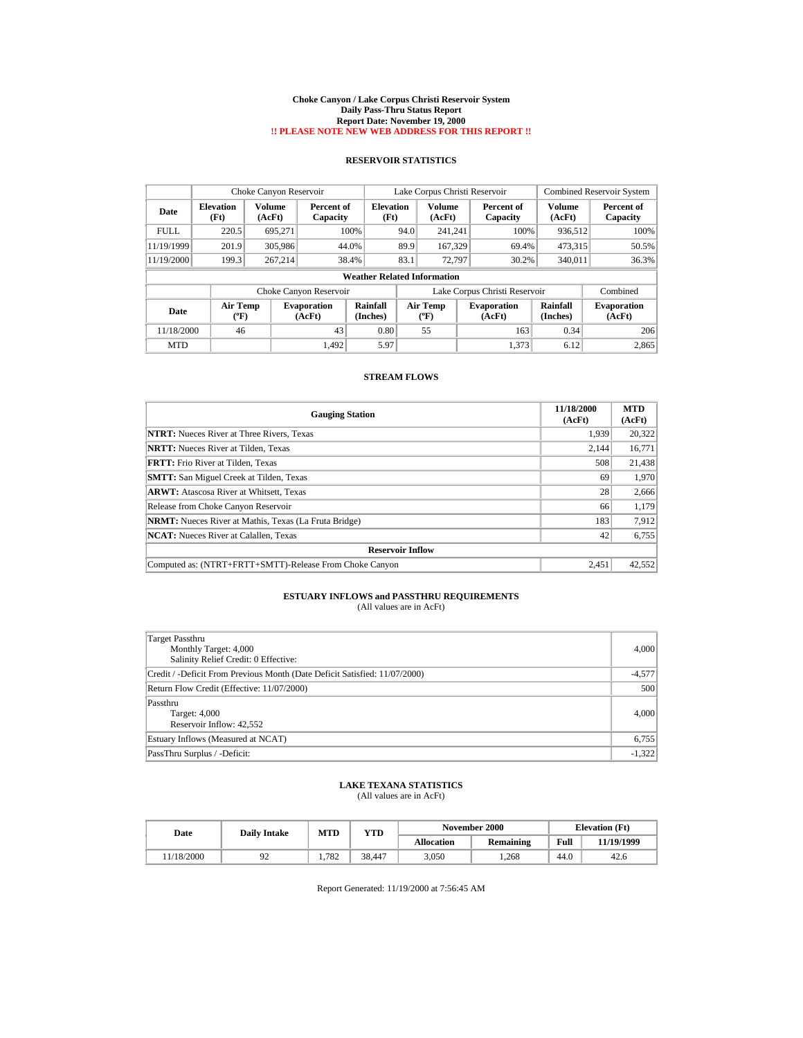#### **Choke Canyon / Lake Corpus Christi Reservoir System Daily Pass-Thru Status Report Report Date: November 19, 2000 !! PLEASE NOTE NEW WEB ADDRESS FOR THIS REPORT !!**

## **RESERVOIR STATISTICS**

|             | Choke Canyon Reservoir                |                         |                              |                          | Lake Corpus Christi Reservoir |                                      |  |                               |                      | <b>Combined Reservoir System</b> |  |  |
|-------------|---------------------------------------|-------------------------|------------------------------|--------------------------|-------------------------------|--------------------------------------|--|-------------------------------|----------------------|----------------------------------|--|--|
| Date        | <b>Elevation</b><br>(Ft)              | <b>Volume</b><br>(AcFt) | Percent of<br>Capacity       | <b>Elevation</b><br>(Ft) |                               | <b>Volume</b><br>(AcFt)              |  | Percent of<br>Capacity        | Volume<br>(AcFt)     | Percent of<br>Capacity           |  |  |
| <b>FULL</b> | 220.5                                 | 695.271                 |                              | 100%                     | 94.0                          | 241.241                              |  | 100%                          | 936,512              | 100%                             |  |  |
| 11/19/1999  | 201.9                                 | 305,986                 |                              | 44.0%                    | 89.9                          | 167.329                              |  | 69.4%                         | 473,315              | 50.5%                            |  |  |
| 11/19/2000  | 199.3                                 | 267.214                 |                              | 38.4%                    | 83.1                          | 72.797                               |  | 30.2%                         | 340,011              | 36.3%                            |  |  |
|             | <b>Weather Related Information</b>    |                         |                              |                          |                               |                                      |  |                               |                      |                                  |  |  |
|             |                                       |                         | Choke Canyon Reservoir       |                          |                               |                                      |  | Lake Corpus Christi Reservoir |                      | Combined                         |  |  |
| Date        | <b>Air Temp</b><br>$({}^o\mathrm{F})$ |                         | <b>Evaporation</b><br>(AcFt) | Rainfall<br>(Inches)     |                               | Air Temp<br>$({}^{\circ}\mathrm{F})$ |  | <b>Evaporation</b><br>(AcFt)  | Rainfall<br>(Inches) | <b>Evaporation</b><br>(AcFt)     |  |  |
| 11/18/2000  | 46                                    |                         | 43                           | 0.80                     |                               | 55                                   |  | 163                           | 0.34                 | 206                              |  |  |
| <b>MTD</b>  |                                       |                         | 1.492                        | 5.97                     |                               |                                      |  | 1,373                         | 6.12                 | 2,865                            |  |  |

### **STREAM FLOWS**

| <b>Gauging Station</b>                                       | 11/18/2000<br>(AcFt) | <b>MTD</b><br>(AcFt) |
|--------------------------------------------------------------|----------------------|----------------------|
| <b>NTRT:</b> Nueces River at Three Rivers, Texas             | 1.939                | 20,322               |
| <b>NRTT:</b> Nueces River at Tilden, Texas                   | 2.144                | 16,771               |
| <b>FRTT:</b> Frio River at Tilden, Texas                     | 508                  | 21,438               |
| <b>SMTT:</b> San Miguel Creek at Tilden, Texas               | 69                   | 1.970                |
| <b>ARWT:</b> Atascosa River at Whitsett, Texas               | 28                   | 2,666                |
| Release from Choke Canyon Reservoir                          | 66                   | 1,179                |
| <b>NRMT:</b> Nueces River at Mathis, Texas (La Fruta Bridge) | 183                  | 7,912                |
| <b>NCAT:</b> Nueces River at Calallen, Texas                 | 42                   | 6,755                |
| <b>Reservoir Inflow</b>                                      |                      |                      |
| Computed as: (NTRT+FRTT+SMTT)-Release From Choke Canyon      | 2.451                | 42,552               |

# **ESTUARY INFLOWS and PASSTHRU REQUIREMENTS**<br>(All values are in AcFt)

| Target Passthru<br>Monthly Target: 4,000<br>Salinity Relief Credit: 0 Effective: | 4,000    |
|----------------------------------------------------------------------------------|----------|
| Credit / -Deficit From Previous Month (Date Deficit Satisfied: 11/07/2000)       | $-4,577$ |
| Return Flow Credit (Effective: 11/07/2000)                                       | 500      |
| Passthru<br>Target: 4,000<br>Reservoir Inflow: 42,552                            | 4,000    |
| Estuary Inflows (Measured at NCAT)                                               | 6,755    |
| PassThru Surplus / -Deficit:                                                     | $-1,322$ |

### **LAKE TEXANA STATISTICS** (All values are in AcFt)

| Date      | <b>Daily Intake</b> | <b>MTD</b> | YTD    |                   | November 2000 | <b>Elevation</b> (Ft) |            |
|-----------|---------------------|------------|--------|-------------------|---------------|-----------------------|------------|
|           |                     |            |        | <b>Allocation</b> | Remaining     | Full                  | 11/19/1999 |
| 1/18/2000 | ت .                 | 1.782      | 38.447 | 3.050             | .268          | 44.0                  | 42.6       |

Report Generated: 11/19/2000 at 7:56:45 AM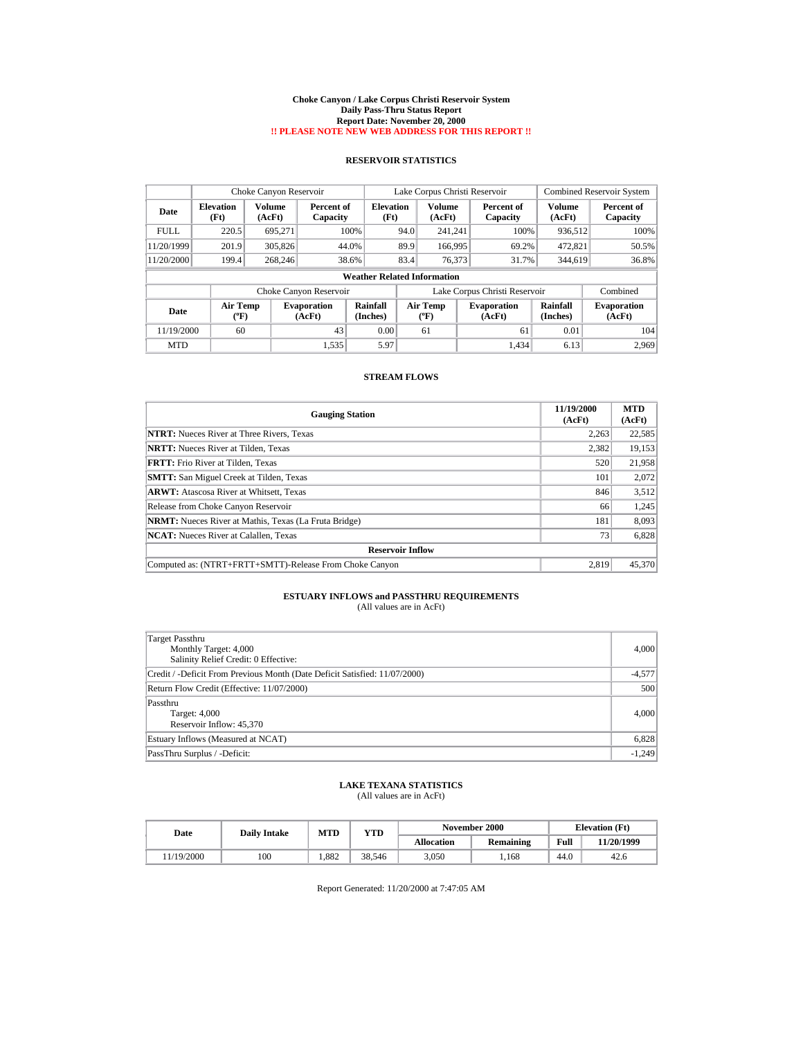#### **Choke Canyon / Lake Corpus Christi Reservoir System Daily Pass-Thru Status Report Report Date: November 20, 2000 !! PLEASE NOTE NEW WEB ADDRESS FOR THIS REPORT !!**

## **RESERVOIR STATISTICS**

|             | Choke Canyon Reservoir                |                         |                              |                          | Lake Corpus Christi Reservoir |                                             |  |                               |                      | <b>Combined Reservoir System</b> |  |  |
|-------------|---------------------------------------|-------------------------|------------------------------|--------------------------|-------------------------------|---------------------------------------------|--|-------------------------------|----------------------|----------------------------------|--|--|
| Date        | <b>Elevation</b><br>(Ft)              | <b>Volume</b><br>(AcFt) | Percent of<br>Capacity       | <b>Elevation</b><br>(Ft) |                               | <b>Volume</b><br>(AcFt)                     |  | Percent of<br>Capacity        | Volume<br>(AcFt)     | Percent of<br>Capacity           |  |  |
| <b>FULL</b> | 220.5                                 | 695.271                 |                              | 100%                     | 94.0                          | 241.241                                     |  | 100%                          | 936,512              | 100%                             |  |  |
| 11/20/1999  | 201.9                                 | 305,826                 |                              | 44.0%                    | 89.9                          | 166,995                                     |  | 69.2%                         | 472.821              | 50.5%                            |  |  |
| 11/20/2000  | 199.4                                 | 268,246                 |                              | 38.6%                    | 83.4                          | 76,373                                      |  | 31.7%                         | 344,619              | 36.8%                            |  |  |
|             | <b>Weather Related Information</b>    |                         |                              |                          |                               |                                             |  |                               |                      |                                  |  |  |
|             |                                       |                         | Choke Canyon Reservoir       |                          |                               |                                             |  | Lake Corpus Christi Reservoir |                      | Combined                         |  |  |
| Date        | <b>Air Temp</b><br>$({}^o\mathrm{F})$ |                         | <b>Evaporation</b><br>(AcFt) | Rainfall<br>(Inches)     |                               | <b>Air Temp</b><br>$({}^{\circ}\mathrm{F})$ |  | <b>Evaporation</b><br>(AcFt)  | Rainfall<br>(Inches) | <b>Evaporation</b><br>(AcFt)     |  |  |
| 11/19/2000  | 60                                    |                         | 43                           | 0.00                     |                               | 61                                          |  | 61                            | 0.01                 | 104                              |  |  |
| <b>MTD</b>  |                                       |                         | 1,535                        | 5.97                     |                               |                                             |  | 1,434                         | 6.13                 | 2,969                            |  |  |

### **STREAM FLOWS**

| <b>Gauging Station</b>                                       | 11/19/2000<br>(AcFt) | <b>MTD</b><br>(AcFt) |
|--------------------------------------------------------------|----------------------|----------------------|
| <b>NTRT:</b> Nueces River at Three Rivers, Texas             | 2,263                | 22,585               |
| <b>NRTT:</b> Nueces River at Tilden. Texas                   | 2.382                | 19,153               |
| <b>FRTT:</b> Frio River at Tilden, Texas                     | 520                  | 21,958               |
| <b>SMTT:</b> San Miguel Creek at Tilden, Texas               | 101                  | 2,072                |
| <b>ARWT:</b> Atascosa River at Whitsett, Texas               | 846                  | 3,512                |
| Release from Choke Canyon Reservoir                          | 66                   | 1,245                |
| <b>NRMT:</b> Nueces River at Mathis, Texas (La Fruta Bridge) | 181                  | 8,093                |
| <b>NCAT:</b> Nueces River at Calallen, Texas                 | 73                   | 6,828                |
| <b>Reservoir Inflow</b>                                      |                      |                      |
| Computed as: (NTRT+FRTT+SMTT)-Release From Choke Canyon      | 2.819                | 45,370               |

# **ESTUARY INFLOWS and PASSTHRU REQUIREMENTS**<br>(All values are in AcFt)

| Target Passthru<br>Monthly Target: 4,000<br>Salinity Relief Credit: 0 Effective: | 4,000    |
|----------------------------------------------------------------------------------|----------|
| Credit / -Deficit From Previous Month (Date Deficit Satisfied: 11/07/2000)       | $-4,577$ |
| Return Flow Credit (Effective: 11/07/2000)                                       | 500      |
| Passthru<br>Target: 4,000<br>Reservoir Inflow: 45,370                            | 4,000    |
| Estuary Inflows (Measured at NCAT)                                               | 6,828    |
| PassThru Surplus / -Deficit:                                                     | $-1,249$ |

### **LAKE TEXANA STATISTICS** (All values are in AcFt)

| Date      |     | <b>MTD</b><br><b>Daily Intake</b> |        |                   | November 2000 | <b>Elevation</b> (Ft) |            |
|-----------|-----|-----------------------------------|--------|-------------------|---------------|-----------------------|------------|
|           |     |                                   | YTD    | <b>Allocation</b> | Remaining     | Full                  | 11/20/1999 |
| 1/19/2000 | 100 | 1.882                             | 38.546 | 3.050             | .168          | 44.0                  | 42.6       |

Report Generated: 11/20/2000 at 7:47:05 AM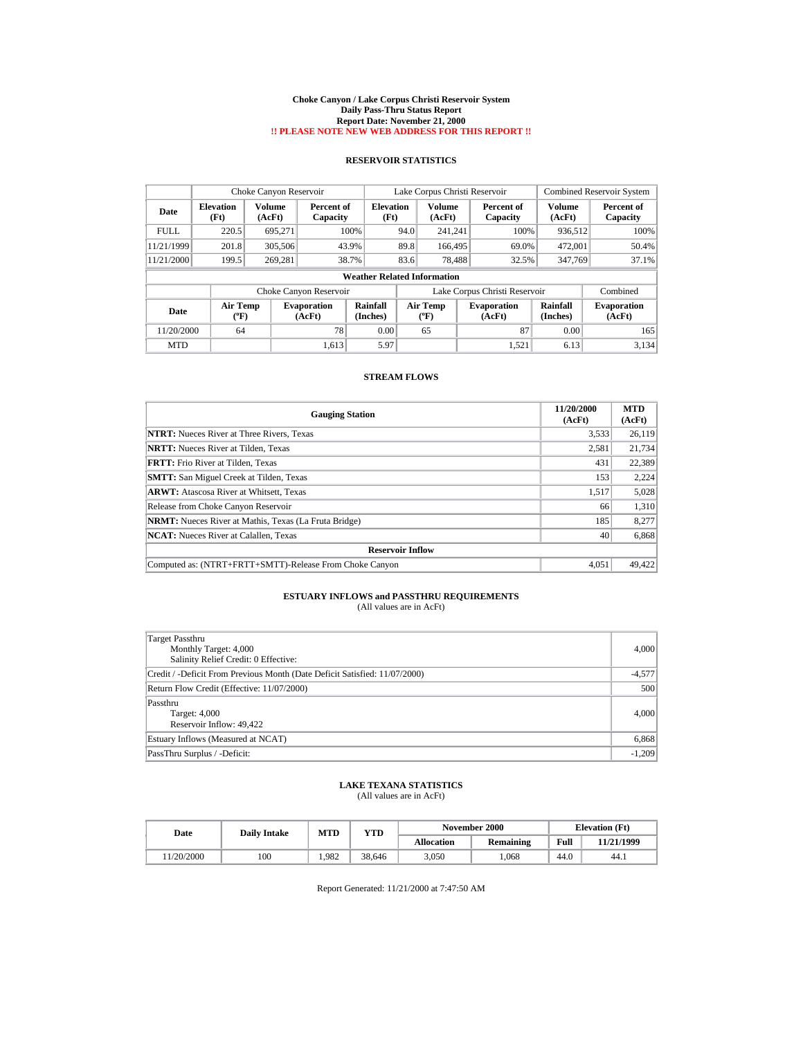#### **Choke Canyon / Lake Corpus Christi Reservoir System Daily Pass-Thru Status Report Report Date: November 21, 2000 !! PLEASE NOTE NEW WEB ADDRESS FOR THIS REPORT !!**

## **RESERVOIR STATISTICS**

|             | Choke Canyon Reservoir             |                  |                              |                          | Lake Corpus Christi Reservoir |                                       |  |                               |                         | <b>Combined Reservoir System</b> |  |
|-------------|------------------------------------|------------------|------------------------------|--------------------------|-------------------------------|---------------------------------------|--|-------------------------------|-------------------------|----------------------------------|--|
| Date        | <b>Elevation</b><br>(Ft)           | Volume<br>(AcFt) | Percent of<br>Capacity       | <b>Elevation</b><br>(Ft) |                               | Volume<br>(AcFt)                      |  | Percent of<br>Capacity        | <b>Volume</b><br>(AcFt) | Percent of<br>Capacity           |  |
| <b>FULL</b> | 220.5                              | 695.271          | 100%                         |                          | 94.0                          | 241.241                               |  | 100%                          | 936,512                 | 100%                             |  |
| 11/21/1999  | 201.8                              | 305,506          | 43.9%                        |                          | 89.8                          | 166,495                               |  | 69.0%                         | 472,001                 | 50.4%                            |  |
| 11/21/2000  | 199.5                              | 269.281          | 38.7%                        |                          | 83.6                          | 78.488                                |  | 32.5%                         | 347,769                 | 37.1%                            |  |
|             | <b>Weather Related Information</b> |                  |                              |                          |                               |                                       |  |                               |                         |                                  |  |
|             |                                    |                  | Choke Canyon Reservoir       |                          |                               |                                       |  | Lake Corpus Christi Reservoir |                         | Combined                         |  |
| Date        | <b>Air Temp</b><br>(°F)            |                  | <b>Evaporation</b><br>(AcFt) | Rainfall<br>(Inches)     |                               | <b>Air Temp</b><br>$({}^o\mathrm{F})$ |  | <b>Evaporation</b><br>(AcFt)  | Rainfall<br>(Inches)    | <b>Evaporation</b><br>(AcFt)     |  |
| 11/20/2000  | 64                                 |                  | 78                           | 0.00                     |                               | 65                                    |  | 87                            | 0.00                    | 165                              |  |
| <b>MTD</b>  |                                    |                  | 1,613                        | 5.97                     |                               |                                       |  | 1,521                         | 6.13                    | 3,134                            |  |

### **STREAM FLOWS**

| <b>Gauging Station</b>                                       | 11/20/2000<br>(AcFt) | <b>MTD</b><br>(AcFt) |
|--------------------------------------------------------------|----------------------|----------------------|
| <b>NTRT:</b> Nueces River at Three Rivers, Texas             | 3,533                | 26,119               |
| <b>NRTT:</b> Nueces River at Tilden, Texas                   | 2,581                | 21,734               |
| <b>FRTT:</b> Frio River at Tilden, Texas                     | 431                  | 22,389               |
| <b>SMTT:</b> San Miguel Creek at Tilden, Texas               | 153                  | 2,224                |
| <b>ARWT:</b> Atascosa River at Whitsett, Texas               | 1,517                | 5,028                |
| Release from Choke Canyon Reservoir                          | 66                   | 1,310                |
| <b>NRMT:</b> Nueces River at Mathis, Texas (La Fruta Bridge) | 185                  | 8,277                |
| <b>NCAT:</b> Nueces River at Calallen, Texas                 | 40                   | 6,868                |
| <b>Reservoir Inflow</b>                                      |                      |                      |
| Computed as: (NTRT+FRTT+SMTT)-Release From Choke Canyon      | 4.051                | 49,422               |

# **ESTUARY INFLOWS and PASSTHRU REQUIREMENTS**<br>(All values are in AcFt)

| Target Passthru<br>Monthly Target: 4,000<br>Salinity Relief Credit: 0 Effective: | 4,000    |
|----------------------------------------------------------------------------------|----------|
| Credit / -Deficit From Previous Month (Date Deficit Satisfied: 11/07/2000)       | $-4,577$ |
| Return Flow Credit (Effective: 11/07/2000)                                       | 500      |
| Passthru<br>Target: 4,000<br>Reservoir Inflow: 49,422                            | 4,000    |
| Estuary Inflows (Measured at NCAT)                                               | 6,868    |
| PassThru Surplus / -Deficit:                                                     | $-1,209$ |

### **LAKE TEXANA STATISTICS** (All values are in AcFt)

| Date      | <b>MTD</b><br>YTD<br><b>Daily Intake</b> |       | November 2000 | <b>Elevation</b> (Ft) |           |      |            |
|-----------|------------------------------------------|-------|---------------|-----------------------|-----------|------|------------|
|           |                                          |       |               | <b>Allocation</b>     | Remaining | Full | 11/21/1999 |
| 1/20/2000 | 100                                      | 1.982 | 38.646        | 3.050                 | .068      | 44.0 | 44.1       |

Report Generated: 11/21/2000 at 7:47:50 AM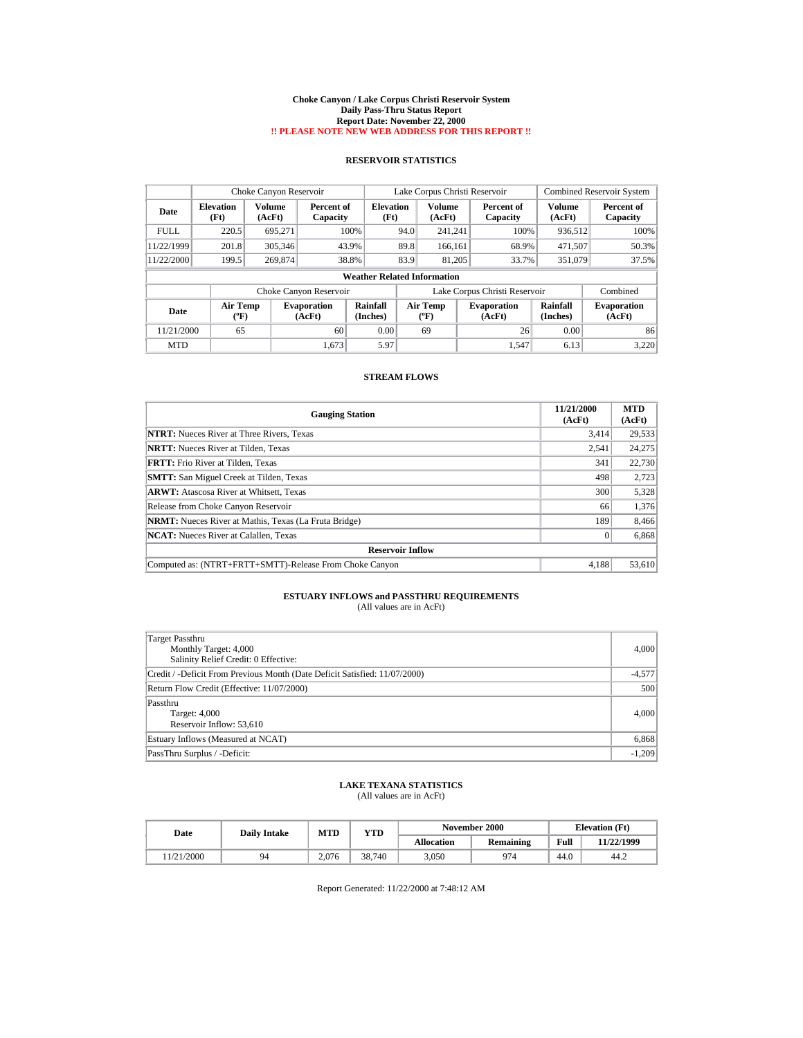#### **Choke Canyon / Lake Corpus Christi Reservoir System Daily Pass-Thru Status Report Report Date: November 22, 2000 !! PLEASE NOTE NEW WEB ADDRESS FOR THIS REPORT !!**

## **RESERVOIR STATISTICS**

|             | Choke Canyon Reservoir                |                         |                              |                          | Lake Corpus Christi Reservoir |                                  |  |                               |                         | <b>Combined Reservoir System</b> |  |
|-------------|---------------------------------------|-------------------------|------------------------------|--------------------------|-------------------------------|----------------------------------|--|-------------------------------|-------------------------|----------------------------------|--|
| Date        | <b>Elevation</b><br>(Ft)              | <b>Volume</b><br>(AcFt) | Percent of<br>Capacity       | <b>Elevation</b><br>(Ft) |                               | <b>Volume</b><br>(AcFt)          |  | Percent of<br>Capacity        | <b>Volume</b><br>(AcFt) | Percent of<br>Capacity           |  |
| <b>FULL</b> | 220.5                                 | 695.271                 |                              | 100%                     | 94.0                          | 241,241                          |  | 100%                          | 936,512                 | 100%                             |  |
| 11/22/1999  | 201.8                                 | 305,346                 |                              | 43.9%                    | 89.8                          | 166.161                          |  | 68.9%                         | 471.507                 | 50.3%                            |  |
| 11/22/2000  | 199.5                                 | 269,874                 |                              | 38.8%                    | 83.9                          | 81.205                           |  | 33.7%                         | 351,079                 | 37.5%                            |  |
|             | <b>Weather Related Information</b>    |                         |                              |                          |                               |                                  |  |                               |                         |                                  |  |
|             |                                       |                         | Choke Canyon Reservoir       |                          |                               |                                  |  | Lake Corpus Christi Reservoir |                         | Combined                         |  |
| Date        | <b>Air Temp</b><br>$({}^o\mathrm{F})$ |                         | <b>Evaporation</b><br>(AcFt) | Rainfall<br>(Inches)     |                               | Air Temp<br>$(^{\circ}\text{F})$ |  | <b>Evaporation</b><br>(AcFt)  | Rainfall<br>(Inches)    | <b>Evaporation</b><br>(AcFt)     |  |
| 11/21/2000  | 65                                    |                         | 60                           | 0.00                     |                               | 69                               |  | 26                            | 0.00                    | 86                               |  |
| <b>MTD</b>  |                                       |                         | 1.673                        | 5.97                     |                               |                                  |  | 1.547                         | 6.13                    | 3,220                            |  |

### **STREAM FLOWS**

| <b>Gauging Station</b>                                       | 11/21/2000<br>(AcFt) | <b>MTD</b><br>(AcFt) |  |  |  |  |  |  |
|--------------------------------------------------------------|----------------------|----------------------|--|--|--|--|--|--|
| <b>NTRT:</b> Nueces River at Three Rivers, Texas             | 3,414                | 29,533               |  |  |  |  |  |  |
| <b>NRTT:</b> Nueces River at Tilden, Texas                   | 2,541                | 24,275               |  |  |  |  |  |  |
| <b>FRTT:</b> Frio River at Tilden, Texas                     | 341                  | 22,730               |  |  |  |  |  |  |
| <b>SMTT:</b> San Miguel Creek at Tilden, Texas               | 498                  | 2,723                |  |  |  |  |  |  |
| <b>ARWT:</b> Atascosa River at Whitsett, Texas               | 300                  | 5,328                |  |  |  |  |  |  |
| Release from Choke Canyon Reservoir                          | 66                   | 1,376                |  |  |  |  |  |  |
| <b>NRMT:</b> Nueces River at Mathis, Texas (La Fruta Bridge) | 189                  | 8,466                |  |  |  |  |  |  |
| <b>NCAT:</b> Nueces River at Calallen, Texas                 |                      | 6,868                |  |  |  |  |  |  |
| <b>Reservoir Inflow</b>                                      |                      |                      |  |  |  |  |  |  |
| Computed as: (NTRT+FRTT+SMTT)-Release From Choke Canyon      | 4.188                | 53,610               |  |  |  |  |  |  |

# **ESTUARY INFLOWS and PASSTHRU REQUIREMENTS**<br>(All values are in AcFt)

| Target Passthru<br>Monthly Target: 4,000<br>Salinity Relief Credit: 0 Effective: | 4,000    |
|----------------------------------------------------------------------------------|----------|
| Credit / -Deficit From Previous Month (Date Deficit Satisfied: 11/07/2000)       | $-4,577$ |
| Return Flow Credit (Effective: 11/07/2000)                                       | 500      |
| Passthru<br>Target: 4,000<br>Reservoir Inflow: 53,610                            | 4,000    |
| Estuary Inflows (Measured at NCAT)                                               | 6,868    |
| PassThru Surplus / -Deficit:                                                     | $-1,209$ |

### **LAKE TEXANA STATISTICS** (All values are in AcFt)

| Date      | <b>Daily Intake</b> | <b>MTD</b> | YTD    | November 2000     |           | <b>Elevation</b> (Ft) |            |
|-----------|---------------------|------------|--------|-------------------|-----------|-----------------------|------------|
|           |                     |            |        | <b>Allocation</b> | Remaining | Full                  | 11/22/1999 |
| 1/21/2000 | 94                  | 2.076      | 38.740 | 3.050             | 974       | 44.0                  | 44.2       |

Report Generated: 11/22/2000 at 7:48:12 AM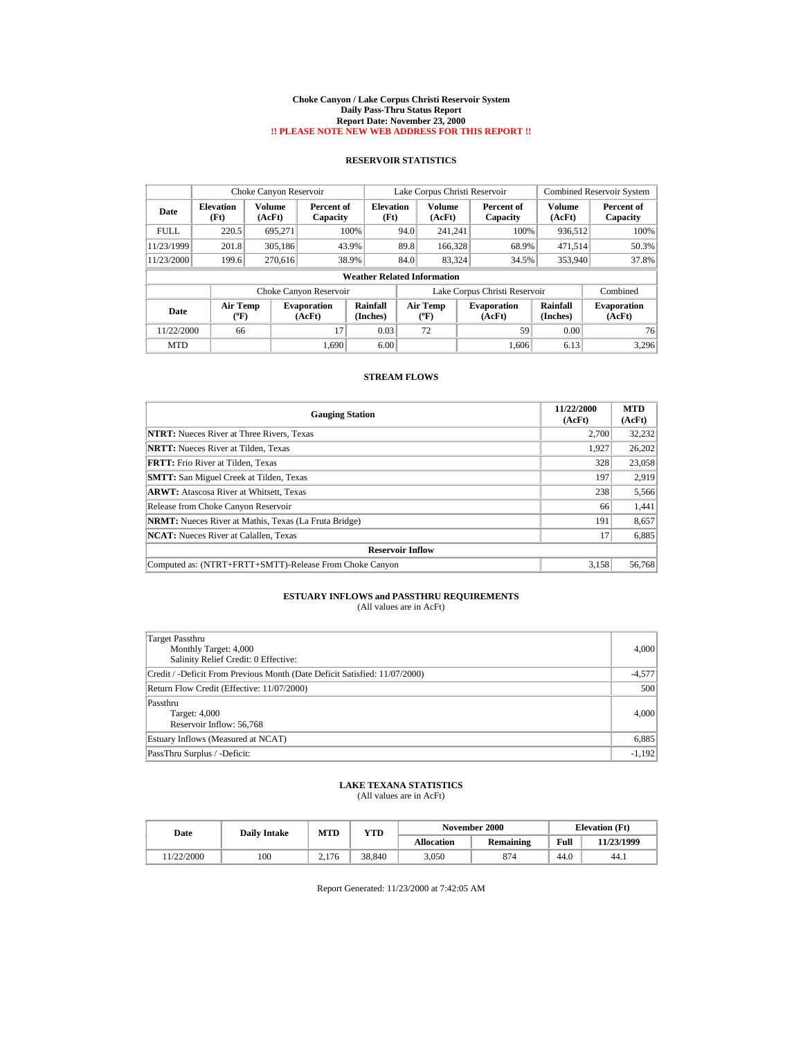#### **Choke Canyon / Lake Corpus Christi Reservoir System Daily Pass-Thru Status Report Report Date: November 23, 2000 !! PLEASE NOTE NEW WEB ADDRESS FOR THIS REPORT !!**

## **RESERVOIR STATISTICS**

|             | Choke Canyon Reservoir                |                  |                              |                                    | Lake Corpus Christi Reservoir |                                      |  |                               |                      | <b>Combined Reservoir System</b> |  |  |
|-------------|---------------------------------------|------------------|------------------------------|------------------------------------|-------------------------------|--------------------------------------|--|-------------------------------|----------------------|----------------------------------|--|--|
| Date        | <b>Elevation</b><br>(Ft)              | Volume<br>(AcFt) | Percent of<br>Capacity       | <b>Elevation</b><br>(Ft)           |                               | Volume<br>(AcFt)                     |  | Percent of<br>Capacity        | Volume<br>(AcFt)     | Percent of<br>Capacity           |  |  |
| <b>FULL</b> | 220.5                                 | 695.271          |                              | 100%                               | 94.0                          | 241.241                              |  | 100%                          | 936,512              | 100%                             |  |  |
| 11/23/1999  | 201.8                                 | 305,186          | 43.9%                        |                                    | 89.8                          | 166,328                              |  | 68.9%                         | 471,514              | 50.3%                            |  |  |
| 11/23/2000  | 199.6                                 | 270.616          | 38.9%                        |                                    | 84.0                          | 83.324                               |  | 34.5%                         | 353,940              | 37.8%                            |  |  |
|             |                                       |                  |                              | <b>Weather Related Information</b> |                               |                                      |  |                               |                      |                                  |  |  |
|             |                                       |                  | Choke Canyon Reservoir       |                                    |                               |                                      |  | Lake Corpus Christi Reservoir |                      | Combined                         |  |  |
| Date        | <b>Air Temp</b><br>$({}^o\mathrm{F})$ |                  | <b>Evaporation</b><br>(AcFt) | Rainfall<br>(Inches)               |                               | Air Temp<br>$({}^{\circ}\mathrm{F})$ |  | <b>Evaporation</b><br>(AcFt)  | Rainfall<br>(Inches) | <b>Evaporation</b><br>(AcFt)     |  |  |
| 11/22/2000  | 66                                    |                  | 17                           | 0.03                               |                               | 72                                   |  | 59                            | 0.00                 | 76                               |  |  |
| <b>MTD</b>  |                                       |                  | 1.690                        | 6.00                               |                               |                                      |  | 1.606                         | 6.13                 | 3,296                            |  |  |

### **STREAM FLOWS**

| <b>Gauging Station</b>                                       | 11/22/2000<br>(AcFt) | <b>MTD</b><br>(AcFt) |  |  |  |  |
|--------------------------------------------------------------|----------------------|----------------------|--|--|--|--|
| <b>NTRT:</b> Nueces River at Three Rivers, Texas             | 2.700                | 32,232               |  |  |  |  |
| <b>NRTT:</b> Nueces River at Tilden, Texas                   | 1.927                | 26,202               |  |  |  |  |
| <b>FRTT:</b> Frio River at Tilden, Texas                     | 328                  | 23,058               |  |  |  |  |
| <b>SMTT:</b> San Miguel Creek at Tilden, Texas               | 197                  | 2,919                |  |  |  |  |
| <b>ARWT:</b> Atascosa River at Whitsett, Texas               | 238                  | 5,566                |  |  |  |  |
| Release from Choke Canyon Reservoir                          | 66                   | 1,441                |  |  |  |  |
| <b>NRMT:</b> Nueces River at Mathis, Texas (La Fruta Bridge) | 191                  | 8,657                |  |  |  |  |
| <b>NCAT:</b> Nueces River at Calallen, Texas                 | 17                   | 6,885                |  |  |  |  |
| <b>Reservoir Inflow</b>                                      |                      |                      |  |  |  |  |
| Computed as: (NTRT+FRTT+SMTT)-Release From Choke Canyon      | 3,158                | 56,768               |  |  |  |  |

# **ESTUARY INFLOWS and PASSTHRU REQUIREMENTS**<br>(All values are in AcFt)

| Target Passthru<br>Monthly Target: 4,000<br>Salinity Relief Credit: 0 Effective: | 4,000    |
|----------------------------------------------------------------------------------|----------|
| Credit / -Deficit From Previous Month (Date Deficit Satisfied: 11/07/2000)       | $-4,577$ |
| Return Flow Credit (Effective: 11/07/2000)                                       | 500      |
| Passthru<br>Target: 4,000<br>Reservoir Inflow: 56,768                            | 4,000    |
| Estuary Inflows (Measured at NCAT)                                               | 6,885    |
| PassThru Surplus / -Deficit:                                                     | $-1,192$ |

### **LAKE TEXANA STATISTICS** (All values are in AcFt)

| Date      | <b>Daily Intake</b> | <b>MTD</b> | YTD    |                   | <b>November 2000</b> | <b>Elevation</b> (Ft) |            |
|-----------|---------------------|------------|--------|-------------------|----------------------|-----------------------|------------|
|           |                     |            |        | <b>Allocation</b> | <b>Remaining</b>     | Full                  | 11/23/1999 |
| 1/22/2000 | 100                 | 2.176      | 38.840 | 3.050             | 874                  | 44.0                  | 44.1       |

Report Generated: 11/23/2000 at 7:42:05 AM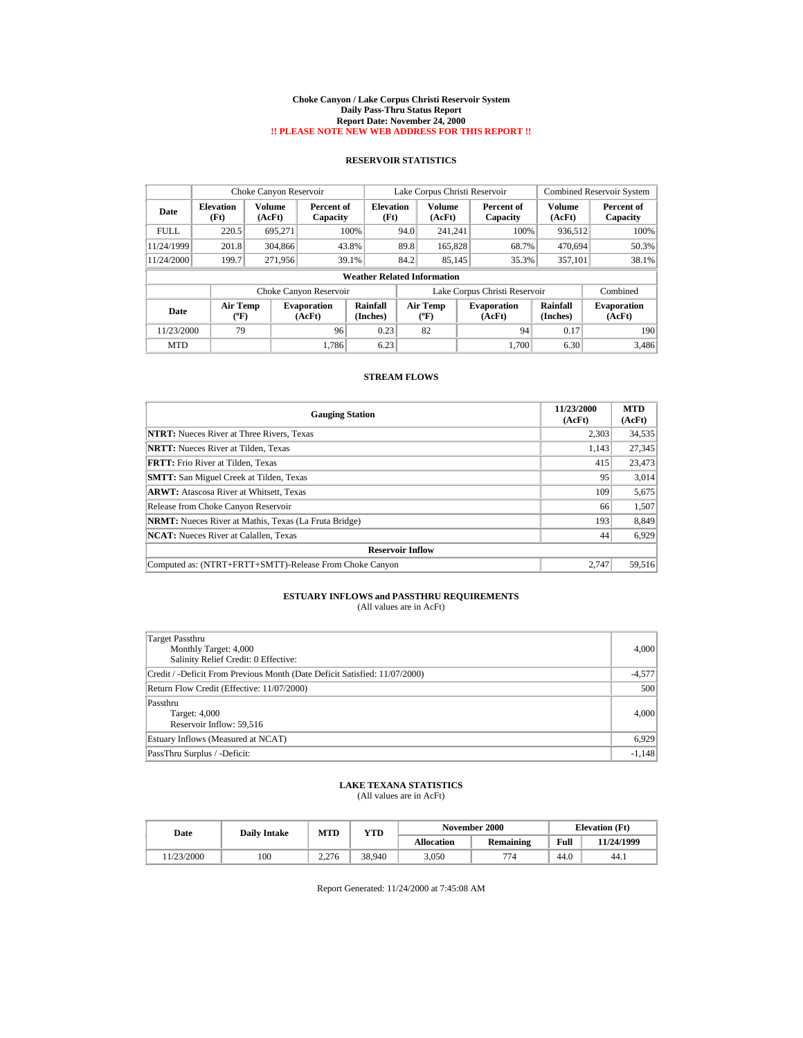#### **Choke Canyon / Lake Corpus Christi Reservoir System Daily Pass-Thru Status Report Report Date: November 24, 2000 !! PLEASE NOTE NEW WEB ADDRESS FOR THIS REPORT !!**

## **RESERVOIR STATISTICS**

|             | Choke Canyon Reservoir                |                  |                              |                                    | Lake Corpus Christi Reservoir |                                |  |                               |                         | <b>Combined Reservoir System</b> |
|-------------|---------------------------------------|------------------|------------------------------|------------------------------------|-------------------------------|--------------------------------|--|-------------------------------|-------------------------|----------------------------------|
| Date        | <b>Elevation</b><br>(Ft)              | Volume<br>(AcFt) | Percent of<br>Capacity       | Elevation<br>(Ft)                  |                               | Volume<br>(AcFt)               |  | Percent of<br>Capacity        | <b>Volume</b><br>(AcFt) | Percent of<br>Capacity           |
| <b>FULL</b> | 220.5                                 | 695.271          |                              | 100%                               | 94.0                          | 241.241                        |  | 100%                          | 936,512                 | 100%                             |
| 11/24/1999  | 201.8                                 | 304,866          |                              | 43.8%                              | 89.8                          | 165,828                        |  | 68.7%                         | 470,694                 | 50.3%                            |
| 11/24/2000  | 199.7                                 | 271.956          |                              | 39.1%                              | 84.2                          | 85.145                         |  | 35.3%                         | 357.101                 | 38.1%                            |
|             |                                       |                  |                              | <b>Weather Related Information</b> |                               |                                |  |                               |                         |                                  |
|             |                                       |                  | Choke Canyon Reservoir       |                                    |                               |                                |  | Lake Corpus Christi Reservoir |                         | Combined                         |
| Date        | <b>Air Temp</b><br>$({}^o\mathrm{F})$ |                  | <b>Evaporation</b><br>(AcFt) | Rainfall<br>(Inches)               |                               | Air Temp<br>$({}^o\mathrm{F})$ |  | <b>Evaporation</b><br>(AcFt)  | Rainfall<br>(Inches)    | <b>Evaporation</b><br>(AcFt)     |
| 11/23/2000  | 79                                    |                  | 96                           | 0.23                               |                               | 82                             |  | 94                            | 0.17                    | 190                              |
| <b>MTD</b>  |                                       |                  | 1.786                        | 6.23                               |                               |                                |  | 1.700                         | 6.30                    | 3,486                            |

### **STREAM FLOWS**

| <b>Gauging Station</b>                                       | 11/23/2000<br>(AcFt) | <b>MTD</b><br>(AcFt) |  |  |  |  |  |
|--------------------------------------------------------------|----------------------|----------------------|--|--|--|--|--|
| <b>NTRT:</b> Nueces River at Three Rivers, Texas             | 2,303                | 34,535               |  |  |  |  |  |
| <b>NRTT:</b> Nueces River at Tilden, Texas                   | 1.143                | 27,345               |  |  |  |  |  |
| <b>FRTT:</b> Frio River at Tilden, Texas                     | 415                  | 23,473               |  |  |  |  |  |
| <b>SMTT:</b> San Miguel Creek at Tilden, Texas               | 95                   | 3,014                |  |  |  |  |  |
| <b>ARWT:</b> Atascosa River at Whitsett, Texas               | 109                  | 5,675                |  |  |  |  |  |
| Release from Choke Canyon Reservoir                          | 66                   | 1,507                |  |  |  |  |  |
| <b>NRMT:</b> Nueces River at Mathis, Texas (La Fruta Bridge) | 193                  | 8,849                |  |  |  |  |  |
| <b>NCAT:</b> Nueces River at Calallen, Texas                 | 44                   | 6,929                |  |  |  |  |  |
| <b>Reservoir Inflow</b>                                      |                      |                      |  |  |  |  |  |
| Computed as: (NTRT+FRTT+SMTT)-Release From Choke Canyon      | 2.747                | 59,516               |  |  |  |  |  |

# **ESTUARY INFLOWS and PASSTHRU REQUIREMENTS**<br>(All values are in AcFt)

| Target Passthru<br>Monthly Target: 4,000<br>Salinity Relief Credit: 0 Effective: | 4,000    |
|----------------------------------------------------------------------------------|----------|
| Credit / -Deficit From Previous Month (Date Deficit Satisfied: 11/07/2000)       | $-4,577$ |
| Return Flow Credit (Effective: 11/07/2000)                                       | 500      |
| Passthru<br>Target: 4,000<br>Reservoir Inflow: 59,516                            | 4,000    |
| Estuary Inflows (Measured at NCAT)                                               | 6,929    |
| PassThru Surplus / -Deficit:                                                     | $-1,148$ |

### **LAKE TEXANA STATISTICS** (All values are in AcFt)

| Date      | <b>Daily Intake</b> | <b>MTD</b> | YTD    |                   | <b>November 2000</b> |      | <b>Elevation</b> (Ft) |
|-----------|---------------------|------------|--------|-------------------|----------------------|------|-----------------------|
|           |                     |            |        | <b>Allocation</b> | Remaining            | Full | 11/24/1999            |
| 1/23/2000 | 100                 | 2.276      | 38.940 | 3.050             | 774                  | 44.0 | 44.1                  |

Report Generated: 11/24/2000 at 7:45:08 AM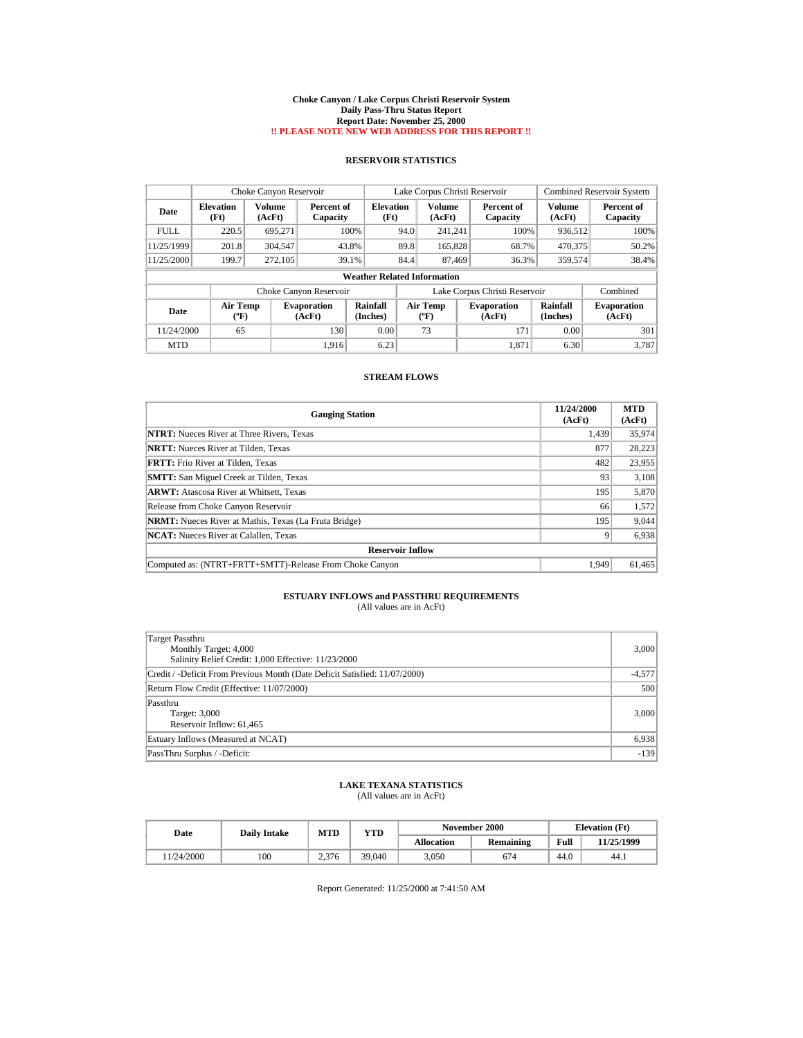#### **Choke Canyon / Lake Corpus Christi Reservoir System Daily Pass-Thru Status Report Report Date: November 25, 2000 !! PLEASE NOTE NEW WEB ADDRESS FOR THIS REPORT !!**

## **RESERVOIR STATISTICS**

|             | Choke Canyon Reservoir             |                         |                              |                          | Lake Corpus Christi Reservoir |                                       |  |                               |                         | <b>Combined Reservoir System</b> |  |
|-------------|------------------------------------|-------------------------|------------------------------|--------------------------|-------------------------------|---------------------------------------|--|-------------------------------|-------------------------|----------------------------------|--|
| Date        | <b>Elevation</b><br>(Ft)           | <b>Volume</b><br>(AcFt) | Percent of<br>Capacity       | <b>Elevation</b><br>(Ft) |                               | <b>Volume</b><br>(AcFt)               |  | Percent of<br>Capacity        | <b>Volume</b><br>(AcFt) | Percent of<br>Capacity           |  |
| <b>FULL</b> | 220.5                              | 695.271                 |                              | 100%                     | 94.0                          | 241.241                               |  | 100%                          | 936,512                 | 100%                             |  |
| 11/25/1999  | 201.8                              | 304.547                 |                              | 43.8%                    | 89.8                          | 165,828                               |  | 68.7%                         | 470,375                 | 50.2%                            |  |
| 11/25/2000  | 199.7                              | 272,105                 |                              | 39.1%                    | 84.4                          | 87.469                                |  | 36.3%                         | 359.574                 | 38.4%                            |  |
|             | <b>Weather Related Information</b> |                         |                              |                          |                               |                                       |  |                               |                         |                                  |  |
|             |                                    |                         | Choke Canyon Reservoir       |                          |                               |                                       |  | Lake Corpus Christi Reservoir |                         | Combined                         |  |
| Date        | <b>Air Temp</b><br>(°F)            |                         | <b>Evaporation</b><br>(AcFt) | Rainfall<br>(Inches)     |                               | <b>Air Temp</b><br>$({}^o\mathrm{F})$ |  | <b>Evaporation</b><br>(AcFt)  | Rainfall<br>(Inches)    | <b>Evaporation</b><br>(AcFt)     |  |
| 11/24/2000  | 65                                 |                         | 130                          | 0.00                     |                               | 73                                    |  | 171                           | 0.00                    | 301                              |  |
| <b>MTD</b>  |                                    |                         | 1.916                        | 6.23                     |                               |                                       |  | 1,871                         | 6.30                    | 3,787                            |  |

### **STREAM FLOWS**

| <b>Gauging Station</b>                                       | 11/24/2000<br>(AcFt) | <b>MTD</b><br>(AcFt) |  |  |  |  |  |
|--------------------------------------------------------------|----------------------|----------------------|--|--|--|--|--|
| <b>NTRT:</b> Nueces River at Three Rivers, Texas             | 1.439                | 35,974               |  |  |  |  |  |
| <b>NRTT:</b> Nueces River at Tilden, Texas                   | 877                  | 28.223               |  |  |  |  |  |
| <b>FRTT:</b> Frio River at Tilden, Texas                     | 482                  | 23,955               |  |  |  |  |  |
| <b>SMTT:</b> San Miguel Creek at Tilden, Texas               | 93                   | 3,108                |  |  |  |  |  |
| <b>ARWT:</b> Atascosa River at Whitsett, Texas               | 195                  | 5,870                |  |  |  |  |  |
| Release from Choke Canyon Reservoir                          | 66                   | 1,572                |  |  |  |  |  |
| <b>NRMT:</b> Nueces River at Mathis, Texas (La Fruta Bridge) | 195                  | 9,044                |  |  |  |  |  |
| <b>NCAT:</b> Nueces River at Calallen, Texas                 | 9                    | 6,938                |  |  |  |  |  |
| <b>Reservoir Inflow</b>                                      |                      |                      |  |  |  |  |  |
| Computed as: (NTRT+FRTT+SMTT)-Release From Choke Canyon      | 1.949                | 61,465               |  |  |  |  |  |

# **ESTUARY INFLOWS and PASSTHRU REQUIREMENTS**<br>(All values are in AcFt)

| Target Passthru<br>Monthly Target: 4,000<br>Salinity Relief Credit: 1,000 Effective: 11/23/2000 | 3,000    |
|-------------------------------------------------------------------------------------------------|----------|
| Credit / -Deficit From Previous Month (Date Deficit Satisfied: 11/07/2000)                      | $-4,577$ |
| Return Flow Credit (Effective: 11/07/2000)                                                      | 500      |
| Passthru<br>Target: 3,000<br>Reservoir Inflow: 61,465                                           | 3,000    |
| Estuary Inflows (Measured at NCAT)                                                              | 6,938    |
| PassThru Surplus / -Deficit:                                                                    | $-139$   |

### **LAKE TEXANA STATISTICS** (All values are in AcFt)

| Date      | <b>Daily Intake</b> | <b>MTD</b> | YTD    |                   | November 2000 | <b>Elevation</b> (Ft) |            |
|-----------|---------------------|------------|--------|-------------------|---------------|-----------------------|------------|
|           |                     |            |        | <b>Allocation</b> | Remaining     | Full                  | 11/25/1999 |
| 1/24/2000 | 100                 | 2.376      | 39.040 | 3.050             | 674           | 44.0                  | 44.1       |

Report Generated: 11/25/2000 at 7:41:50 AM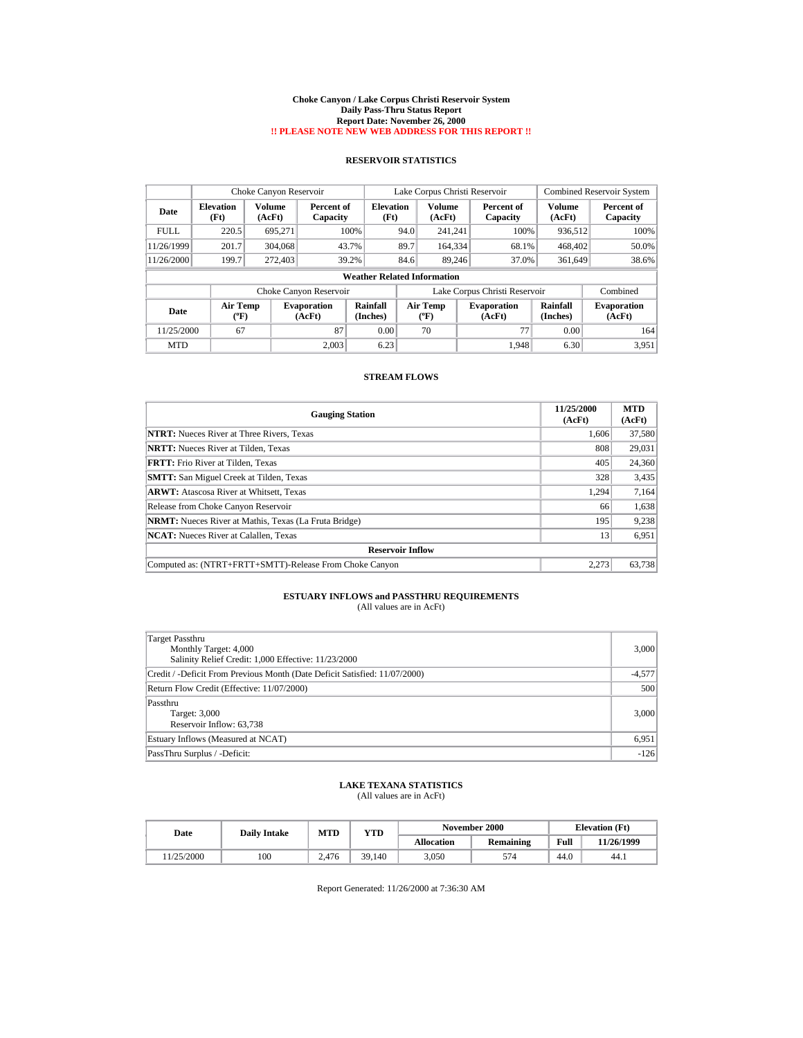#### **Choke Canyon / Lake Corpus Christi Reservoir System Daily Pass-Thru Status Report Report Date: November 26, 2000 !! PLEASE NOTE NEW WEB ADDRESS FOR THIS REPORT !!**

## **RESERVOIR STATISTICS**

|             | Choke Canyon Reservoir             |                  |                              |                          | Lake Corpus Christi Reservoir |                                       |  |                               |                         | <b>Combined Reservoir System</b> |  |
|-------------|------------------------------------|------------------|------------------------------|--------------------------|-------------------------------|---------------------------------------|--|-------------------------------|-------------------------|----------------------------------|--|
| Date        | <b>Elevation</b><br>(Ft)           | Volume<br>(AcFt) | Percent of<br>Capacity       | <b>Elevation</b><br>(Ft) |                               | <b>Volume</b><br>(AcFt)               |  | Percent of<br>Capacity        | <b>Volume</b><br>(AcFt) | Percent of<br>Capacity           |  |
| <b>FULL</b> | 220.5                              | 695.271          |                              | 100%                     | 94.0                          | 241.241                               |  | 100%                          | 936,512                 | 100%                             |  |
| 11/26/1999  | 201.7                              | 304,068          | 43.7%                        |                          | 89.7                          | 164.334                               |  | 68.1%                         | 468,402                 | 50.0%                            |  |
| 11/26/2000  | 199.7                              | 272,403          | 39.2%                        |                          | 84.6                          | 89.246                                |  | 37.0%                         | 361,649                 | 38.6%                            |  |
|             | <b>Weather Related Information</b> |                  |                              |                          |                               |                                       |  |                               |                         |                                  |  |
|             |                                    |                  | Choke Canyon Reservoir       |                          |                               |                                       |  | Lake Corpus Christi Reservoir |                         | Combined                         |  |
| Date        | <b>Air Temp</b><br>(°F)            |                  | <b>Evaporation</b><br>(AcFt) | Rainfall<br>(Inches)     |                               | <b>Air Temp</b><br>$({}^o\mathrm{F})$ |  | <b>Evaporation</b><br>(AcFt)  | Rainfall<br>(Inches)    | <b>Evaporation</b><br>(AcFt)     |  |
| 11/25/2000  | 67                                 |                  | 87                           | 0.00                     |                               | 70                                    |  | 77                            | 0.00                    | 164                              |  |
| <b>MTD</b>  |                                    |                  | 2.003                        | 6.23                     |                               |                                       |  | 1,948                         | 6.30                    | 3,951                            |  |

### **STREAM FLOWS**

| <b>Gauging Station</b>                                       | 11/25/2000<br>(AcFt) | <b>MTD</b><br>(AcFt) |
|--------------------------------------------------------------|----------------------|----------------------|
| <b>NTRT:</b> Nueces River at Three Rivers, Texas             | 1.606                | 37,580               |
| <b>NRTT:</b> Nueces River at Tilden, Texas                   | 808                  | 29,031               |
| <b>FRTT:</b> Frio River at Tilden, Texas                     | 405                  | 24,360               |
| <b>SMTT:</b> San Miguel Creek at Tilden, Texas               | 328                  | 3,435                |
| <b>ARWT:</b> Atascosa River at Whitsett, Texas               | 1,294                | 7,164                |
| Release from Choke Canyon Reservoir                          | 66                   | 1,638                |
| <b>NRMT:</b> Nueces River at Mathis, Texas (La Fruta Bridge) | 195                  | 9,238                |
| <b>NCAT:</b> Nueces River at Calallen, Texas                 | 13                   | 6,951                |
| <b>Reservoir Inflow</b>                                      |                      |                      |
| Computed as: (NTRT+FRTT+SMTT)-Release From Choke Canyon      | 2.273                | 63,738               |

# **ESTUARY INFLOWS and PASSTHRU REQUIREMENTS**<br>(All values are in AcFt)

| Target Passthru<br>Monthly Target: 4,000<br>Salinity Relief Credit: 1,000 Effective: 11/23/2000 | 3,000    |
|-------------------------------------------------------------------------------------------------|----------|
| Credit / -Deficit From Previous Month (Date Deficit Satisfied: 11/07/2000)                      | $-4,577$ |
| Return Flow Credit (Effective: 11/07/2000)                                                      | 500      |
| Passthru<br>Target: 3,000<br>Reservoir Inflow: 63,738                                           | 3,000    |
| Estuary Inflows (Measured at NCAT)                                                              | 6,951    |
| PassThru Surplus / -Deficit:                                                                    | $-126$   |

### **LAKE TEXANA STATISTICS** (All values are in AcFt)

| Date      | <b>Daily Intake</b> | MTD   | VTD    |            | November 2000 | <b>Elevation</b> (Ft) |            |
|-----------|---------------------|-------|--------|------------|---------------|-----------------------|------------|
|           |                     |       |        | Allocation | Remaining     | Full                  | 11/26/1999 |
| 1/25/2000 | 100                 | 2.476 | 39.140 | 3.050      | 574           | 44.0                  | 44.1       |

Report Generated: 11/26/2000 at 7:36:30 AM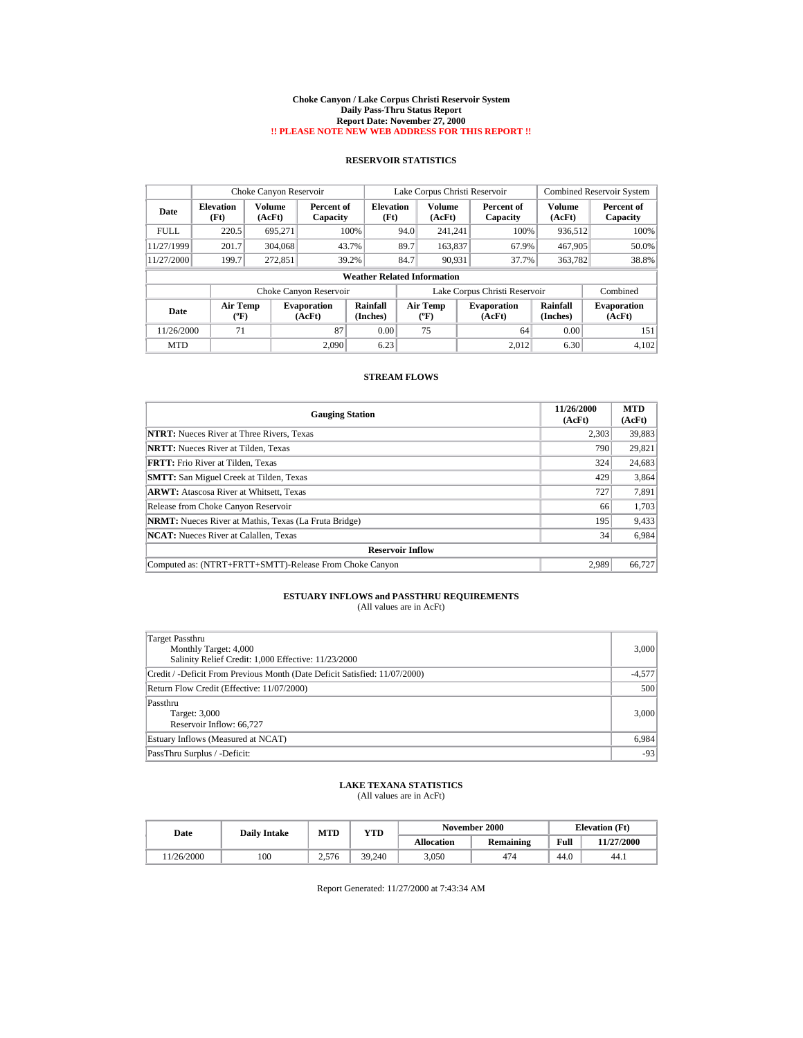#### **Choke Canyon / Lake Corpus Christi Reservoir System Daily Pass-Thru Status Report Report Date: November 27, 2000 !! PLEASE NOTE NEW WEB ADDRESS FOR THIS REPORT !!**

## **RESERVOIR STATISTICS**

|             | Choke Canyon Reservoir             |                         |                              |                          | Lake Corpus Christi Reservoir |                                       |  |                               |                         | <b>Combined Reservoir System</b> |  |
|-------------|------------------------------------|-------------------------|------------------------------|--------------------------|-------------------------------|---------------------------------------|--|-------------------------------|-------------------------|----------------------------------|--|
| Date        | <b>Elevation</b><br>(Ft)           | <b>Volume</b><br>(AcFt) | Percent of<br>Capacity       | <b>Elevation</b><br>(Ft) |                               | <b>Volume</b><br>(AcFt)               |  | Percent of<br>Capacity        | <b>Volume</b><br>(AcFt) | Percent of<br>Capacity           |  |
| <b>FULL</b> | 220.5                              | 695.271                 |                              | 100%                     | 94.0                          | 241.241                               |  | 100%                          | 936,512                 | 100%                             |  |
| 11/27/1999  | 201.7                              | 304,068                 | 43.7%                        |                          | 89.7                          | 163.837                               |  | 67.9%                         | 467.905                 | 50.0%                            |  |
| 11/27/2000  | 199.7                              | 272,851                 | 39.2%                        |                          | 84.7                          | 90.931                                |  | 37.7%                         | 363,782                 | 38.8%                            |  |
|             | <b>Weather Related Information</b> |                         |                              |                          |                               |                                       |  |                               |                         |                                  |  |
|             |                                    |                         | Choke Canyon Reservoir       |                          |                               |                                       |  | Lake Corpus Christi Reservoir |                         | Combined                         |  |
| Date        | <b>Air Temp</b><br>(°F)            |                         | <b>Evaporation</b><br>(AcFt) | Rainfall<br>(Inches)     |                               | <b>Air Temp</b><br>$({}^o\mathrm{F})$ |  | <b>Evaporation</b><br>(AcFt)  | Rainfall<br>(Inches)    | <b>Evaporation</b><br>(AcFt)     |  |
| 11/26/2000  | 71                                 |                         | 87                           | 0.00                     |                               | 75                                    |  | 64                            | 0.00                    | 151                              |  |
| <b>MTD</b>  |                                    |                         | 2.090                        | 6.23                     |                               |                                       |  | 2.012                         | 6.30                    | 4,102                            |  |

### **STREAM FLOWS**

| <b>Gauging Station</b>                                       | 11/26/2000<br>(AcFt) | <b>MTD</b><br>(AcFt) |  |  |  |  |  |
|--------------------------------------------------------------|----------------------|----------------------|--|--|--|--|--|
| <b>NTRT:</b> Nueces River at Three Rivers, Texas             | 2.303                | 39,883               |  |  |  |  |  |
| <b>NRTT:</b> Nueces River at Tilden, Texas                   | 790                  | 29,821               |  |  |  |  |  |
| <b>FRTT:</b> Frio River at Tilden, Texas                     | 324                  | 24,683               |  |  |  |  |  |
| <b>SMTT:</b> San Miguel Creek at Tilden, Texas               | 429                  | 3,864                |  |  |  |  |  |
| <b>ARWT:</b> Atascosa River at Whitsett, Texas               | 727                  | 7,891                |  |  |  |  |  |
| Release from Choke Canyon Reservoir                          | 66                   | 1,703                |  |  |  |  |  |
| <b>NRMT:</b> Nueces River at Mathis, Texas (La Fruta Bridge) | 195                  | 9,433                |  |  |  |  |  |
| <b>NCAT:</b> Nueces River at Calallen, Texas                 | 34                   | 6,984                |  |  |  |  |  |
| <b>Reservoir Inflow</b>                                      |                      |                      |  |  |  |  |  |
| Computed as: (NTRT+FRTT+SMTT)-Release From Choke Canyon      | 2.989                | 66,727               |  |  |  |  |  |

# **ESTUARY INFLOWS and PASSTHRU REQUIREMENTS**<br>(All values are in AcFt)

| Target Passthru<br>Monthly Target: 4,000<br>Salinity Relief Credit: 1,000 Effective: 11/23/2000 | 3,000    |
|-------------------------------------------------------------------------------------------------|----------|
| Credit / -Deficit From Previous Month (Date Deficit Satisfied: 11/07/2000)                      | $-4,577$ |
| Return Flow Credit (Effective: 11/07/2000)                                                      | 500      |
| Passthru<br>Target: 3,000<br>Reservoir Inflow: 66,727                                           | 3,000    |
| Estuary Inflows (Measured at NCAT)                                                              | 6,984    |
| PassThru Surplus / -Deficit:                                                                    | $-93$    |

### **LAKE TEXANA STATISTICS** (All values are in AcFt)

| Date      | <b>Daily Intake</b> | MTD   | YTD    |                   | November 2000    |      | <b>Elevation</b> (Ft) |
|-----------|---------------------|-------|--------|-------------------|------------------|------|-----------------------|
|           |                     |       |        | <b>Allocation</b> | <b>Remaining</b> | Full | 11/27/2000            |
| 1/26/2000 | 100                 | 2.576 | 39.240 | 3.050             | 474              | 44.0 | 44.1                  |

Report Generated: 11/27/2000 at 7:43:34 AM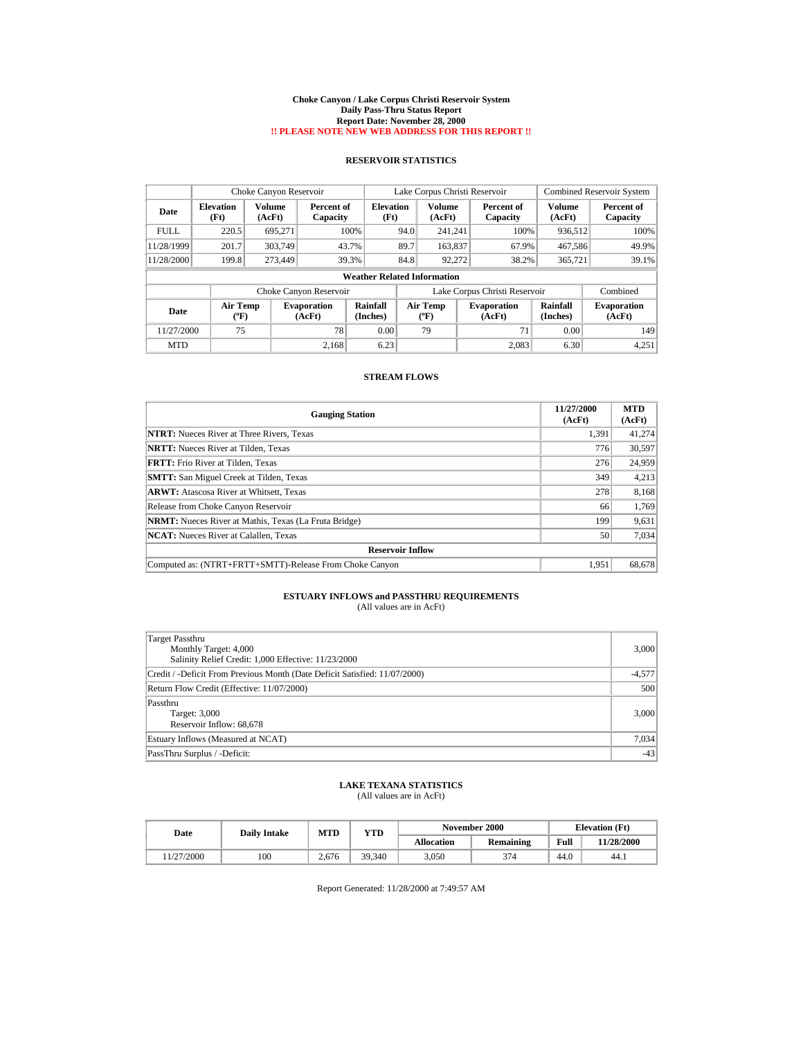#### **Choke Canyon / Lake Corpus Christi Reservoir System Daily Pass-Thru Status Report Report Date: November 28, 2000 !! PLEASE NOTE NEW WEB ADDRESS FOR THIS REPORT !!**

## **RESERVOIR STATISTICS**

|             | Choke Canyon Reservoir             |                         |                              |                      | Lake Corpus Christi Reservoir |                                |  |                               |                      | <b>Combined Reservoir System</b> |  |  |
|-------------|------------------------------------|-------------------------|------------------------------|----------------------|-------------------------------|--------------------------------|--|-------------------------------|----------------------|----------------------------------|--|--|
| Date        | <b>Elevation</b><br>(Ft)           | <b>Volume</b><br>(AcFt) | Percent of<br>Capacity       | Elevation<br>(Ft)    |                               | Volume<br>(AcFt)               |  | Percent of<br>Capacity        | Volume<br>(AcFt)     | Percent of<br>Capacity           |  |  |
| <b>FULL</b> | 220.5                              | 695.271                 |                              | 100%                 | 94.0                          | 241.241                        |  | 100%                          | 936,512              | 100%                             |  |  |
| 11/28/1999  | 201.7                              | 303,749                 |                              | 43.7%                | 89.7                          | 163,837                        |  | 67.9%                         | 467.586              | 49.9%                            |  |  |
| 11/28/2000  | 199.8                              | 273,449                 |                              | 39.3%                | 84.8                          | 92.272                         |  | 38.2%                         | 365,721              | 39.1%                            |  |  |
|             | <b>Weather Related Information</b> |                         |                              |                      |                               |                                |  |                               |                      |                                  |  |  |
|             |                                    |                         | Choke Canyon Reservoir       |                      |                               |                                |  | Lake Corpus Christi Reservoir |                      | Combined                         |  |  |
| Date        | <b>Air Temp</b><br>(°F)            |                         | <b>Evaporation</b><br>(AcFt) | Rainfall<br>(Inches) |                               | Air Temp<br>$({}^o\mathrm{F})$ |  | <b>Evaporation</b><br>(AcFt)  | Rainfall<br>(Inches) | <b>Evaporation</b><br>(AcFt)     |  |  |
| 11/27/2000  | 75                                 |                         | 78                           | 0.00                 |                               | 79                             |  | 71                            | 0.00                 | 149                              |  |  |
| <b>MTD</b>  |                                    |                         | 2.168                        | 6.23                 |                               |                                |  | 2.083                         | 6.30                 | 4,251                            |  |  |

### **STREAM FLOWS**

| <b>Gauging Station</b>                                       | 11/27/2000<br>(AcFt) | <b>MTD</b><br>(AcFt) |
|--------------------------------------------------------------|----------------------|----------------------|
| <b>NTRT:</b> Nueces River at Three Rivers, Texas             | 1.391                | 41,274               |
| <b>NRTT:</b> Nueces River at Tilden. Texas                   | 776                  | 30,597               |
| <b>FRTT:</b> Frio River at Tilden, Texas                     | 276                  | 24,959               |
| <b>SMTT:</b> San Miguel Creek at Tilden, Texas               | 349                  | 4,213                |
| <b>ARWT:</b> Atascosa River at Whitsett, Texas               | 278                  | 8,168                |
| Release from Choke Canyon Reservoir                          | 66                   | 1,769                |
| <b>NRMT:</b> Nueces River at Mathis, Texas (La Fruta Bridge) | 199                  | 9,631                |
| <b>NCAT:</b> Nueces River at Calallen, Texas                 | 50                   | 7,034                |
| <b>Reservoir Inflow</b>                                      |                      |                      |
| Computed as: (NTRT+FRTT+SMTT)-Release From Choke Canyon      | 1.951                | 68,678               |

# **ESTUARY INFLOWS and PASSTHRU REQUIREMENTS**<br>(All values are in AcFt)

| Target Passthru<br>Monthly Target: 4,000<br>Salinity Relief Credit: 1,000 Effective: 11/23/2000 | 3,000    |
|-------------------------------------------------------------------------------------------------|----------|
| Credit / -Deficit From Previous Month (Date Deficit Satisfied: 11/07/2000)                      | $-4,577$ |
| Return Flow Credit (Effective: 11/07/2000)                                                      | 500      |
| Passthru<br>Target: 3,000<br>Reservoir Inflow: 68,678                                           | 3,000    |
| Estuary Inflows (Measured at NCAT)                                                              | 7,034    |
| PassThru Surplus / -Deficit:                                                                    | $-43$    |

# **LAKE TEXANA STATISTICS** (All values are in AcFt)

| Date      | <b>Daily Intake</b> | MTD   |        | VTD        | November 2000 |      | <b>Elevation</b> (Ft) |  |
|-----------|---------------------|-------|--------|------------|---------------|------|-----------------------|--|
|           |                     |       |        | Allocation | Remaining     | Full | 11/28/2000            |  |
| 1/27/2000 | 100                 | 2.676 | 39.340 | 3.050      | 374           | 44.0 | 44.1                  |  |

Report Generated: 11/28/2000 at 7:49:57 AM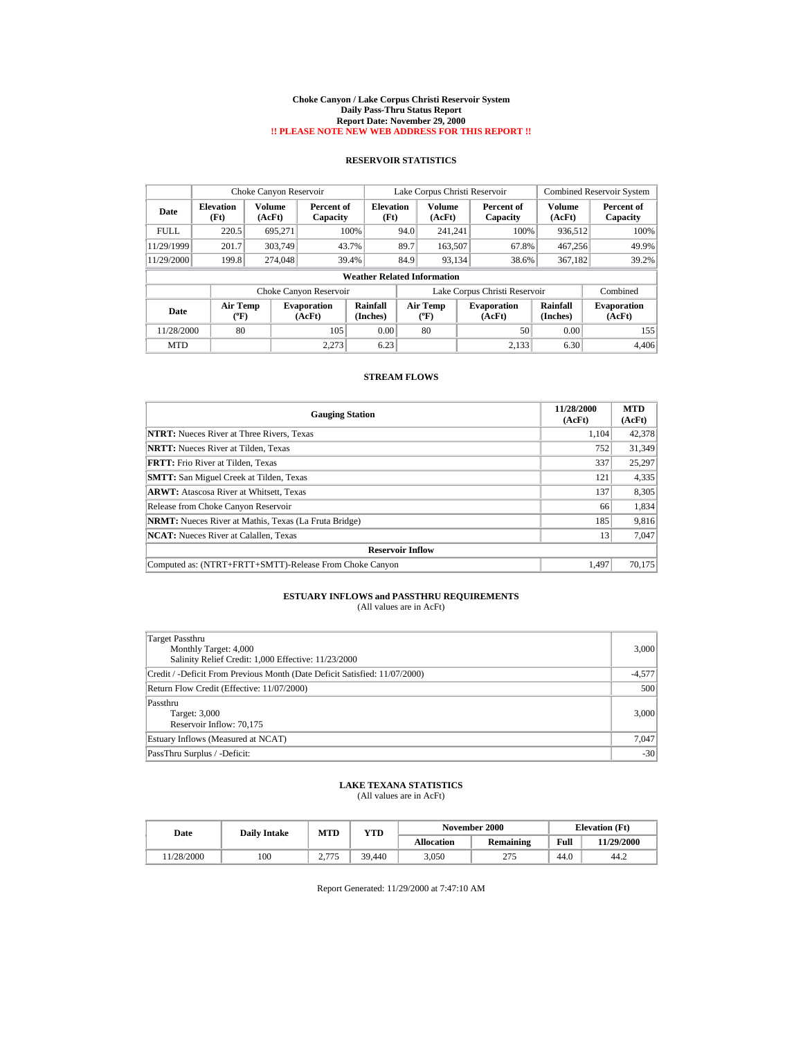#### **Choke Canyon / Lake Corpus Christi Reservoir System Daily Pass-Thru Status Report Report Date: November 29, 2000 !! PLEASE NOTE NEW WEB ADDRESS FOR THIS REPORT !!**

## **RESERVOIR STATISTICS**

|             | Choke Canyon Reservoir             |                  |                              |                      | Lake Corpus Christi Reservoir |                                |  |                               |                      | <b>Combined Reservoir System</b> |  |
|-------------|------------------------------------|------------------|------------------------------|----------------------|-------------------------------|--------------------------------|--|-------------------------------|----------------------|----------------------------------|--|
| Date        | <b>Elevation</b><br>(Ft)           | Volume<br>(AcFt) | Percent of<br>Capacity       | Elevation<br>(Ft)    |                               | Volume<br>(AcFt)               |  | Percent of<br>Capacity        | Volume<br>(AcFt)     | Percent of<br>Capacity           |  |
| <b>FULL</b> | 220.5                              | 695.271          |                              | 100%                 | 94.0                          | 241.241                        |  | 100%                          | 936.512              | 100%                             |  |
| 11/29/1999  | 201.7                              | 303,749          | 43.7%                        |                      | 89.7                          | 163,507                        |  | 67.8%                         | 467.256              | 49.9%                            |  |
| 11/29/2000  | 199.8                              | 274,048          | 39.4%                        |                      | 84.9                          | 93.134                         |  | 38.6%                         | 367.182              | 39.2%                            |  |
|             | <b>Weather Related Information</b> |                  |                              |                      |                               |                                |  |                               |                      |                                  |  |
|             |                                    |                  | Choke Canyon Reservoir       |                      |                               |                                |  | Lake Corpus Christi Reservoir |                      | Combined                         |  |
| Date        | <b>Air Temp</b><br>(°F)            |                  | <b>Evaporation</b><br>(AcFt) | Rainfall<br>(Inches) |                               | Air Temp<br>$({}^o\mathrm{F})$ |  | <b>Evaporation</b><br>(AcFt)  | Rainfall<br>(Inches) | <b>Evaporation</b><br>(AcFt)     |  |
| 11/28/2000  | 80                                 |                  | 105                          | 0.00                 |                               | 80                             |  | 50                            | 0.00                 | 155                              |  |
| <b>MTD</b>  |                                    |                  | 2.273                        | 6.23                 |                               |                                |  | 2.133                         | 6.30                 | 4,406                            |  |

### **STREAM FLOWS**

| <b>Gauging Station</b>                                       | 11/28/2000<br>(AcFt) | <b>MTD</b><br>(AcFt) |
|--------------------------------------------------------------|----------------------|----------------------|
| <b>NTRT:</b> Nueces River at Three Rivers, Texas             | 1.104                | 42,378               |
| <b>NRTT:</b> Nueces River at Tilden. Texas                   | 752                  | 31.349               |
| <b>FRTT:</b> Frio River at Tilden, Texas                     | 337                  | 25,297               |
| <b>SMTT:</b> San Miguel Creek at Tilden, Texas               | 121                  | 4,335                |
| <b>ARWT:</b> Atascosa River at Whitsett, Texas               | 137                  | 8,305                |
| Release from Choke Canyon Reservoir                          | 66                   | 1,834                |
| <b>NRMT:</b> Nueces River at Mathis, Texas (La Fruta Bridge) | 185                  | 9,816                |
| <b>NCAT:</b> Nueces River at Calallen, Texas                 | 13                   | 7,047                |
| <b>Reservoir Inflow</b>                                      |                      |                      |
| Computed as: (NTRT+FRTT+SMTT)-Release From Choke Canyon      | 1.497                | 70,175               |

# **ESTUARY INFLOWS and PASSTHRU REQUIREMENTS**<br>(All values are in AcFt)

| Target Passthru<br>Monthly Target: 4,000<br>Salinity Relief Credit: 1,000 Effective: 11/23/2000 | 3,000    |
|-------------------------------------------------------------------------------------------------|----------|
| Credit / -Deficit From Previous Month (Date Deficit Satisfied: 11/07/2000)                      | $-4,577$ |
| Return Flow Credit (Effective: 11/07/2000)                                                      | 500      |
| Passthru<br>Target: 3,000<br>Reservoir Inflow: 70,175                                           | 3,000    |
| Estuary Inflows (Measured at NCAT)                                                              | 7,047    |
| PassThru Surplus / -Deficit:                                                                    | $-301$   |

### **LAKE TEXANA STATISTICS** (All values are in AcFt)

| Date      | <b>Daily Intake</b> | MTD             | VTD    |            | November 2000       |      | <b>Elevation</b> (Ft) |
|-----------|---------------------|-----------------|--------|------------|---------------------|------|-----------------------|
|           |                     |                 |        | Allocation | Remaining           | Full | 11/29/2000            |
| 1/28/2000 | 100                 | 775<br><u>.</u> | 39.440 | 3.050      | 275<br><u>_ 1 J</u> | 44.0 | 44.2                  |

Report Generated: 11/29/2000 at 7:47:10 AM